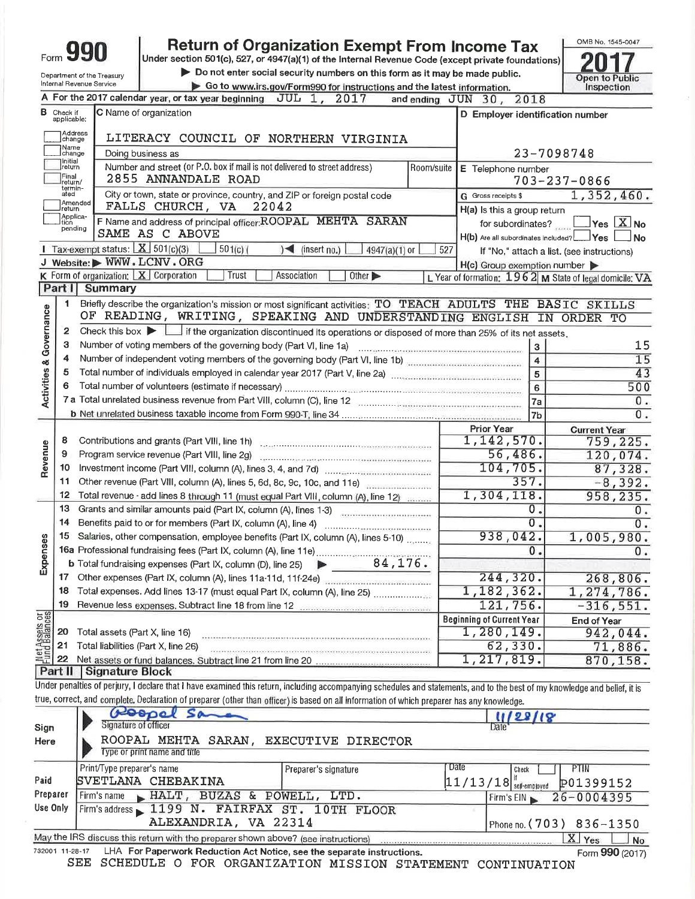|                                              |                             |                                         | <b>Return of Organization Exempt From Income Tax</b>                                                                                                                       |            |                                                              | OMB No. 1545-0047                                       |
|----------------------------------------------|-----------------------------|-----------------------------------------|----------------------------------------------------------------------------------------------------------------------------------------------------------------------------|------------|--------------------------------------------------------------|---------------------------------------------------------|
|                                              |                             |                                         | Under section 501(c), 527, or 4947(a)(1) of the Internal Revenue Code (except private foundations)                                                                         |            |                                                              |                                                         |
|                                              |                             | Department of the Treasury              | Do not enter social security numbers on this form as it may be made public.                                                                                                |            |                                                              | Open to Public                                          |
|                                              |                             | Internal Revenue Service                | Go to www.irs.gov/Form990 for instructions and the latest information.                                                                                                     |            |                                                              | Inspection                                              |
|                                              |                             |                                         | A For the 2017 calendar year, or tax year beginning $JUL$ 1, $2017$                                                                                                        |            | and ending JUN 30, 2018                                      |                                                         |
| в                                            | Check if<br>applicable:     |                                         | C Name of organization                                                                                                                                                     |            | D Employer identification number                             |                                                         |
|                                              | Address<br>change           |                                         | LITERACY COUNCIL OF NORTHERN VIRGINIA                                                                                                                                      |            |                                                              |                                                         |
|                                              | Name<br>change              |                                         | Doing business as                                                                                                                                                          |            |                                                              | 23-7098748                                              |
|                                              | Initial<br> return          |                                         | Number and street (or P.O. box if mail is not delivered to street address)                                                                                                 | Room/suite | E Telephone number                                           |                                                         |
|                                              | Final<br>return/<br>termin- |                                         | 2855 ANNANDALE ROAD                                                                                                                                                        |            |                                                              | $703 - 237 - 0866$                                      |
|                                              | ated<br>Amended             |                                         | City or town, state or province, country, and ZIP or foreign postal code<br>FALLS CHURCH, VA                                                                               |            | G Gross receipts \$                                          | 1,352,460.                                              |
|                                              | return<br>Applica-          |                                         | 22042                                                                                                                                                                      |            | H(a) Is this a group return                                  |                                                         |
|                                              | tion<br>pending             |                                         | F Name and address of principal officer: ROOPAL MEHTA SARAN<br>SAME AS C ABOVE                                                                                             |            | for subordinates?<br>H(b) Are all subordinates included? Ves | $\frac{1}{\sqrt{2}}$ Yes $\frac{1}{2}$ No<br><b>No</b>  |
|                                              |                             | 1 Tax-exempt status: $X$ 501(c)(3)      | $501(c)$ (<br>$4947(a)(1)$ or<br>$\leq$ (insert no.)                                                                                                                       | 527        |                                                              | If "No," attach a list. (see instructions)              |
|                                              |                             |                                         | J Website: WWW.LCNV.ORG                                                                                                                                                    |            | $H(c)$ Group exemption number $\blacktriangleright$          |                                                         |
|                                              |                             | K Form of organization: $X$ Corporation | Trust<br>Association<br>Other $\blacktriangleright$                                                                                                                        |            |                                                              | L Year of formation: 1962 M State of legal domicile: VA |
|                                              | Part I                      | Summary                                 |                                                                                                                                                                            |            |                                                              |                                                         |
|                                              | 1                           |                                         | Briefly describe the organization's mission or most significant activities: TO TEACH ADULTS THE BASIC SKILLS                                                               |            |                                                              |                                                         |
| Activities & Governance                      |                             |                                         | OF READING, WRITING, SPEAKING AND UNDERSTANDING ENGLISH IN ORDER TO                                                                                                        |            |                                                              |                                                         |
|                                              | 2                           |                                         | Check this box $\blacktriangleright$ $\Box$ if the organization discontinued its operations or disposed of more than 25% of its net assets.                                |            |                                                              |                                                         |
|                                              | З                           |                                         | Number of voting members of the governing body (Part VI, line 1a)                                                                                                          |            | $\mathbf{3}$                                                 | 15                                                      |
|                                              | 4                           |                                         | Number of independent voting members of the governing body (Part VI, line 1b)                                                                                              |            | $\overline{\mathbf{4}}$                                      | 15                                                      |
|                                              | 5                           |                                         |                                                                                                                                                                            |            | 5                                                            | 43                                                      |
|                                              | 6                           |                                         |                                                                                                                                                                            |            | 6                                                            | 500                                                     |
|                                              |                             |                                         |                                                                                                                                                                            |            | 7a                                                           | 0.                                                      |
|                                              |                             |                                         |                                                                                                                                                                            |            | 7 <sub>b</sub>                                               | 0.                                                      |
|                                              |                             |                                         |                                                                                                                                                                            |            | <b>Prior Year</b>                                            | <b>Current Year</b>                                     |
| Revenue                                      | 8                           |                                         |                                                                                                                                                                            |            | 1,142,570.                                                   | 759,225.                                                |
|                                              | 9                           |                                         |                                                                                                                                                                            |            | 56,486.                                                      | 120,074.                                                |
|                                              | 10<br>11                    |                                         |                                                                                                                                                                            |            | 104,705.<br>357.                                             | 87,328.                                                 |
|                                              | 12                          |                                         | Other revenue (Part VIII, column (A), lines 5, 6d, 8c, 9c, 10c, and 11e)                                                                                                   |            | 1,304,118.                                                   | $-8,392.$<br>958,235.                                   |
|                                              | 13                          |                                         | Total revenue - add lines 8 through 11 (must equal Part VIII, column (A), line 12)<br>Grants and similar amounts paid (Part IX, column (A), lines 1-3)                     |            | О.                                                           | 0.                                                      |
|                                              | 14                          |                                         | Benefits paid to or for members (Part IX, column (A), line 4)                                                                                                              |            | $\overline{0}$ .                                             | 0.                                                      |
|                                              | 15                          |                                         | Salaries, other compensation, employee benefits (Part IX, column (A), lines 5-10)                                                                                          |            | 938,042.                                                     | 1,005,980.                                              |
| 3                                            |                             |                                         |                                                                                                                                                                            |            | 0.                                                           | 0.                                                      |
| Expens                                       |                             |                                         | <b>b</b> Total fundraising expenses (Part IX, column (D), line 25) $\triangleright$ 84, 176.                                                                               |            |                                                              |                                                         |
|                                              |                             |                                         | 17 Other expenses (Part IX, column (A), lines 11a-11d, 11f-24e)                                                                                                            |            | 244,320.                                                     | 268,806.                                                |
|                                              | 18                          |                                         | Total expenses. Add lines 13-17 (must equal Part IX, column (A), line 25)                                                                                                  |            | 1,182,362.                                                   | 1,274,786.                                              |
|                                              | 19                          |                                         |                                                                                                                                                                            |            | 121,756.                                                     | $-316,551.$                                             |
| <b>Met Assets or</b><br><b>Fund Balances</b> |                             |                                         |                                                                                                                                                                            |            | <b>Beginning of Current Year</b>                             | End of Year                                             |
|                                              | 20                          | Total assets (Part X, line 16)          |                                                                                                                                                                            |            | 1,280,149.                                                   | 942,044.                                                |
|                                              | 21                          | Total liabilities (Part X, line 26)     |                                                                                                                                                                            |            | 62, 330.                                                     | 71,886.                                                 |
|                                              | 22                          |                                         |                                                                                                                                                                            |            | 1,217,819.                                                   | 870, 158.                                               |
|                                              | Part II                     | Signature Block                         |                                                                                                                                                                            |            |                                                              |                                                         |
|                                              |                             |                                         | Under penalties of perjury, I declare that I have examined this return, including accompanying schedules and statements, and to the best of my knowledge and belief, it is |            |                                                              |                                                         |
|                                              |                             |                                         | true, correct, and complete. Declaration of preparer (other than officer) is based on all information of which preparer has any knowledge.                                 |            |                                                              |                                                         |
|                                              |                             |                                         | Roopel<br>50                                                                                                                                                               |            | 11/28/18                                                     |                                                         |
| Sign                                         |                             | Signature of officer                    |                                                                                                                                                                            |            | Date                                                         |                                                         |
| Here                                         |                             |                                         | ROOPAL MEHTA SARAN, EXECUTIVE DIRECTOR                                                                                                                                     |            |                                                              |                                                         |
|                                              |                             |                                         | Type or print name and title                                                                                                                                               |            |                                                              |                                                         |
|                                              |                             | Print/Type preparer's name              | Preparer's signature                                                                                                                                                       |            | <b>Date</b><br>Check                                         | PTIN                                                    |
| Paid                                         |                             |                                         | SVETLANA CHEBAKINA                                                                                                                                                         |            | $11/13/18$ self-employed                                     | P01399152                                               |
| Preparer                                     |                             | Firm's name                             | HALT, BUZAS & POWELL, LTD.                                                                                                                                                 |            | Firm's EIN                                                   | 26-0004395                                              |
| Use Only                                     |                             |                                         | Firm's address 1199 N. FAIRFAX ST. 10TH FLOOR                                                                                                                              |            |                                                              |                                                         |
|                                              |                             |                                         | ALEXANDRIA, VA 22314                                                                                                                                                       |            |                                                              | Phone no. (703) 836-1350                                |
|                                              |                             |                                         | May the IRS discuss this return with the preparer shown above? (see instructions)                                                                                          |            |                                                              | $X \vert Y_{\text{es}}$<br>N <sub>o</sub>               |

1-28-17 LHA For Paperwork Reduction Act Notice, see the separate instructions.<br>SEE SCHEDULE O FOR ORGANIZATION MISSION STATEMENT CONTINUATION 732001 11-28-17

Form 990 (2017)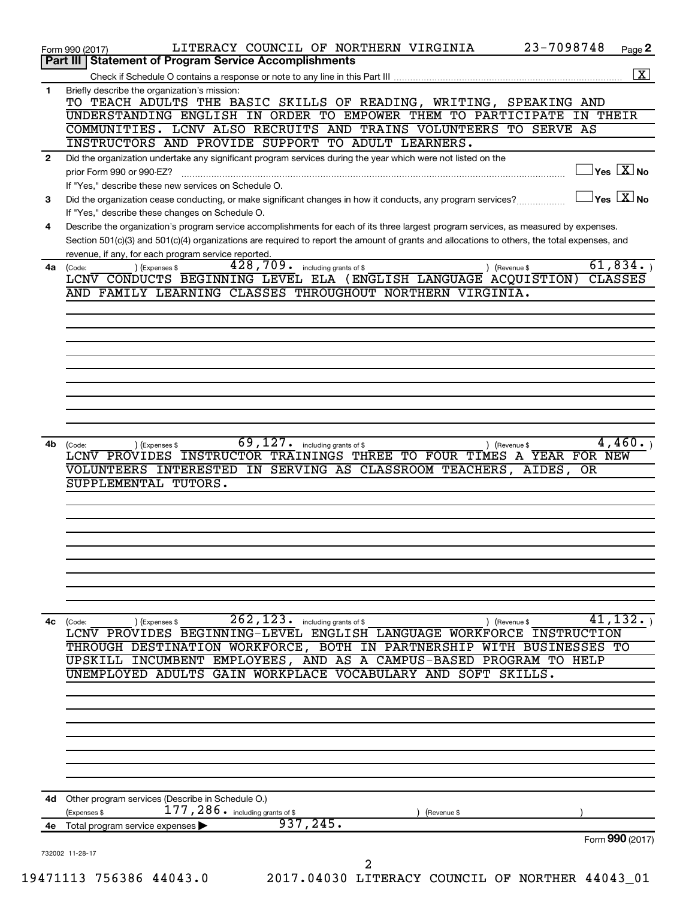|              | LITERACY COUNCIL OF NORTHERN VIRGINIA<br>Form 990 (2017)                                                                                                             | 23-7098748 | Page 2                                  |
|--------------|----------------------------------------------------------------------------------------------------------------------------------------------------------------------|------------|-----------------------------------------|
|              | Part III   Statement of Program Service Accomplishments                                                                                                              |            |                                         |
|              |                                                                                                                                                                      |            | $\boxed{\text{X}}$                      |
| 1.           | Briefly describe the organization's mission:<br>TO TEACH ADULTS THE BASIC SKILLS OF READING, WRITING, SPEAKING AND                                                   |            |                                         |
|              | UNDERSTANDING ENGLISH IN ORDER TO EMPOWER THEM TO PARTICIPATE IN THEIR                                                                                               |            |                                         |
|              | COMMUNITIES. LCNV ALSO RECRUITS AND TRAINS VOLUNTEERS TO SERVE AS                                                                                                    |            |                                         |
|              | INSTRUCTORS AND PROVIDE SUPPORT TO ADULT LEARNERS.                                                                                                                   |            |                                         |
| $\mathbf{2}$ | Did the organization undertake any significant program services during the year which were not listed on the                                                         |            |                                         |
|              | prior Form 990 or 990-EZ?                                                                                                                                            |            | $\Box$ Yes $[\overline{\mathrm{X}}]$ No |
| 3            | If "Yes," describe these new services on Schedule O.<br>Did the organization cease conducting, or make significant changes in how it conducts, any program services? |            | $\Box$ Yes $[\overline{\mathrm{X}}]$ No |
|              | If "Yes," describe these changes on Schedule O.                                                                                                                      |            |                                         |
| 4            | Describe the organization's program service accomplishments for each of its three largest program services, as measured by expenses.                                 |            |                                         |
|              | Section 501(c)(3) and 501(c)(4) organizations are required to report the amount of grants and allocations to others, the total expenses, and                         |            |                                         |
|              | revenue, if any, for each program service reported.                                                                                                                  |            |                                         |
| 4a           | 428,709. including grants of \$<br>) (Expenses \$<br>) (Revenue \$<br>(Code:<br>LCNV CONDUCTS BEGINNING LEVEL ELA (ENGLISH LANGUAGE ACQUISTION)                      |            | 61,834.<br><b>CLASSES</b>               |
|              | AND FAMILY LEARNING CLASSES THROUGHOUT NORTHERN VIRGINIA.                                                                                                            |            |                                         |
|              |                                                                                                                                                                      |            |                                         |
|              |                                                                                                                                                                      |            |                                         |
|              |                                                                                                                                                                      |            |                                         |
|              |                                                                                                                                                                      |            |                                         |
|              |                                                                                                                                                                      |            |                                         |
|              |                                                                                                                                                                      |            |                                         |
|              |                                                                                                                                                                      |            |                                         |
|              |                                                                                                                                                                      |            |                                         |
|              |                                                                                                                                                                      |            |                                         |
| 4b           | $\overline{69}$ , $\overline{127}$ $\cdot$ including grants of \$<br>(Expenses \$<br>) (Revenue \$<br>(Code:                                                         |            | 4,460.                                  |
|              | LCNV PROVIDES INSTRUCTOR TRAININGS THREE TO FOUR TIMES A YEAR FOR NEW                                                                                                |            |                                         |
|              | VOLUNTEERS INTERESTED IN SERVING AS CLASSROOM TEACHERS, AIDES, OR                                                                                                    |            |                                         |
|              | SUPPLEMENTAL TUTORS.                                                                                                                                                 |            |                                         |
|              |                                                                                                                                                                      |            |                                         |
|              |                                                                                                                                                                      |            |                                         |
|              |                                                                                                                                                                      |            |                                         |
|              |                                                                                                                                                                      |            |                                         |
|              |                                                                                                                                                                      |            |                                         |
|              |                                                                                                                                                                      |            |                                         |
|              |                                                                                                                                                                      |            |                                         |
|              |                                                                                                                                                                      |            |                                         |
| 4c           | 262, 123.<br>including grants of \$<br>(Code:<br>) (Expenses \$<br>) (Revenue \$                                                                                     |            | 41,132.                                 |
|              | LCNV PROVIDES BEGINNING-LEVEL ENGLISH LANGUAGE WORKFORCE INSTRUCTION                                                                                                 |            |                                         |
|              | THROUGH DESTINATION WORKFORCE, BOTH IN PARTNERSHIP WITH BUSINESSES TO                                                                                                |            |                                         |
|              | INCUMBENT EMPLOYEES, AND AS A CAMPUS-BASED PROGRAM TO HELP<br>UPSKILL<br>UNEMPLOYED ADULTS GAIN WORKPLACE VOCABULARY AND                                             | SKILLS.    |                                         |
|              | SOFT                                                                                                                                                                 |            |                                         |
|              |                                                                                                                                                                      |            |                                         |
|              |                                                                                                                                                                      |            |                                         |
|              |                                                                                                                                                                      |            |                                         |
|              |                                                                                                                                                                      |            |                                         |
|              |                                                                                                                                                                      |            |                                         |
|              |                                                                                                                                                                      |            |                                         |
|              |                                                                                                                                                                      |            |                                         |
| 4d -         | Other program services (Describe in Schedule O.)                                                                                                                     |            |                                         |
|              | 177, 286. including grants of \$<br>(Expenses \$<br>(Revenue \$                                                                                                      |            |                                         |
| 4e           | 937, 245.<br>Total program service expenses                                                                                                                          |            |                                         |
|              |                                                                                                                                                                      |            | Form 990 (2017)                         |
|              | 732002 11-28-17<br>2                                                                                                                                                 |            |                                         |
|              | 19471113 756386 44043.0<br>2017.04030 LITERACY COUNCIL OF NORTHER 44043_01                                                                                           |            |                                         |
|              |                                                                                                                                                                      |            |                                         |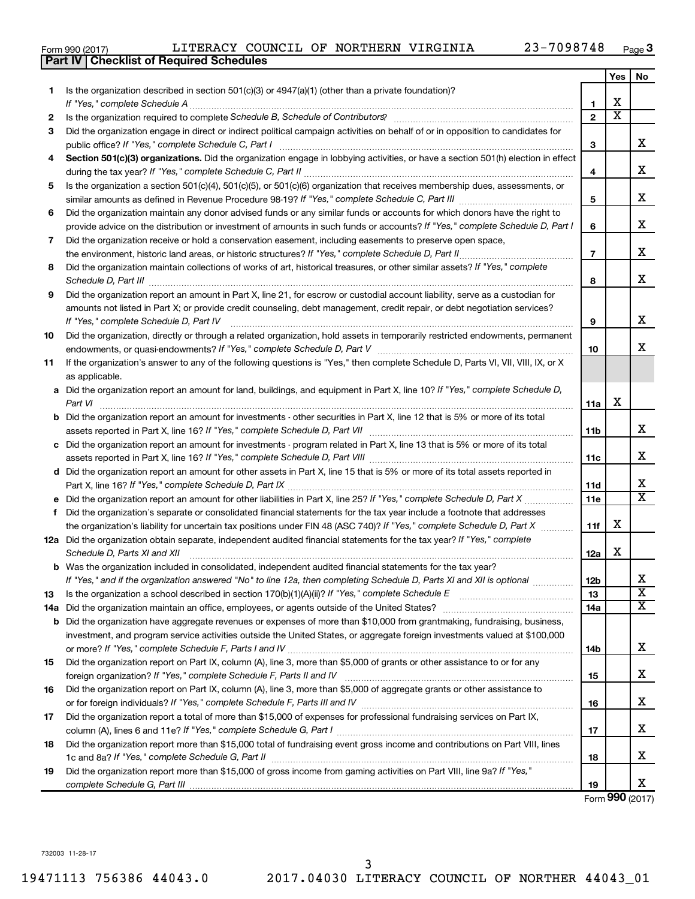|  | Form 990 (2017) |  |
|--|-----------------|--|
|  |                 |  |

|     | <b>Checklist of Required Schedules</b><br><b>Part IV</b>                                                                                                                                                                                    |                 |                         |                              |
|-----|---------------------------------------------------------------------------------------------------------------------------------------------------------------------------------------------------------------------------------------------|-----------------|-------------------------|------------------------------|
|     |                                                                                                                                                                                                                                             |                 | Yes                     | No.                          |
| 1   | Is the organization described in section $501(c)(3)$ or $4947(a)(1)$ (other than a private foundation)?                                                                                                                                     |                 |                         |                              |
|     |                                                                                                                                                                                                                                             | 1               | X                       |                              |
| 2   |                                                                                                                                                                                                                                             | $\mathbf{2}$    | $\overline{\mathbf{X}}$ |                              |
| 3   | Did the organization engage in direct or indirect political campaign activities on behalf of or in opposition to candidates for                                                                                                             |                 |                         |                              |
|     |                                                                                                                                                                                                                                             | 3               |                         | x                            |
| 4   | Section 501(c)(3) organizations. Did the organization engage in lobbying activities, or have a section 501(h) election in effect                                                                                                            |                 |                         |                              |
|     |                                                                                                                                                                                                                                             | 4               |                         | х                            |
| 5   | Is the organization a section 501(c)(4), 501(c)(5), or 501(c)(6) organization that receives membership dues, assessments, or                                                                                                                |                 |                         |                              |
|     |                                                                                                                                                                                                                                             | 5               |                         | х                            |
| 6   | Did the organization maintain any donor advised funds or any similar funds or accounts for which donors have the right to                                                                                                                   |                 |                         |                              |
|     | provide advice on the distribution or investment of amounts in such funds or accounts? If "Yes," complete Schedule D, Part I                                                                                                                | 6               |                         | x                            |
| 7   | Did the organization receive or hold a conservation easement, including easements to preserve open space,                                                                                                                                   |                 |                         |                              |
|     |                                                                                                                                                                                                                                             | $\overline{7}$  |                         | х                            |
| 8   | Did the organization maintain collections of works of art, historical treasures, or other similar assets? If "Yes," complete                                                                                                                |                 |                         |                              |
|     | Schedule D, Part III <b>Process Construction Construction Construction</b> Construction Construction Construction Construction Construction Construction Construction Construction Construction Construction Construction Construct         | 8               |                         | х                            |
| 9   | Did the organization report an amount in Part X, line 21, for escrow or custodial account liability, serve as a custodian for                                                                                                               |                 |                         |                              |
|     | amounts not listed in Part X; or provide credit counseling, debt management, credit repair, or debt negotiation services?                                                                                                                   |                 |                         |                              |
|     | If "Yes." complete Schedule D, Part IV                                                                                                                                                                                                      | 9               |                         | x                            |
| 10  | Did the organization, directly or through a related organization, hold assets in temporarily restricted endowments, permanent                                                                                                               |                 |                         |                              |
|     |                                                                                                                                                                                                                                             | 10              |                         | x                            |
| 11  | If the organization's answer to any of the following questions is "Yes," then complete Schedule D, Parts VI, VII, VIII, IX, or X                                                                                                            |                 |                         |                              |
|     | as applicable.                                                                                                                                                                                                                              |                 |                         |                              |
|     | a Did the organization report an amount for land, buildings, and equipment in Part X, line 10? If "Yes," complete Schedule D,                                                                                                               |                 |                         |                              |
|     |                                                                                                                                                                                                                                             | 11a             | X                       |                              |
|     | <b>b</b> Did the organization report an amount for investments - other securities in Part X, line 12 that is 5% or more of its total                                                                                                        |                 |                         |                              |
|     |                                                                                                                                                                                                                                             | 11b             |                         | х                            |
|     | c Did the organization report an amount for investments - program related in Part X, line 13 that is 5% or more of its total                                                                                                                |                 |                         |                              |
|     |                                                                                                                                                                                                                                             | 11с             |                         | х                            |
|     | d Did the organization report an amount for other assets in Part X, line 15 that is 5% or more of its total assets reported in                                                                                                              |                 |                         |                              |
|     |                                                                                                                                                                                                                                             | 11d             |                         | х<br>$\overline{\texttt{x}}$ |
|     |                                                                                                                                                                                                                                             | 11e             |                         |                              |
|     | f Did the organization's separate or consolidated financial statements for the tax year include a footnote that addresses                                                                                                                   |                 | X                       |                              |
|     | the organization's liability for uncertain tax positions under FIN 48 (ASC 740)? If "Yes," complete Schedule D, Part X                                                                                                                      | 11f             |                         |                              |
|     | 12a Did the organization obtain separate, independent audited financial statements for the tax year? If "Yes," complete                                                                                                                     |                 | х                       |                              |
|     | Schedule D, Parts XI and XII                                                                                                                                                                                                                | 12a             |                         |                              |
|     | <b>b</b> Was the organization included in consolidated, independent audited financial statements for the tax year?<br>If "Yes," and if the organization answered "No" to line 12a, then completing Schedule D, Parts XI and XII is optional | 12 <sub>b</sub> |                         | х                            |
| 13  |                                                                                                                                                                                                                                             | 13              |                         | $\overline{\textbf{x}}$      |
| 14a |                                                                                                                                                                                                                                             | 14a             |                         | $\overline{\text{X}}$        |
| b   | Did the organization have aggregate revenues or expenses of more than \$10,000 from grantmaking, fundraising, business,                                                                                                                     |                 |                         |                              |
|     | investment, and program service activities outside the United States, or aggregate foreign investments valued at \$100,000                                                                                                                  |                 |                         |                              |
|     |                                                                                                                                                                                                                                             | 14b             |                         | х                            |
| 15  | Did the organization report on Part IX, column (A), line 3, more than \$5,000 of grants or other assistance to or for any                                                                                                                   |                 |                         |                              |
|     |                                                                                                                                                                                                                                             | 15              |                         | х                            |
| 16  | Did the organization report on Part IX, column (A), line 3, more than \$5,000 of aggregate grants or other assistance to                                                                                                                    |                 |                         |                              |
|     |                                                                                                                                                                                                                                             | 16              |                         | х                            |
| 17  | Did the organization report a total of more than \$15,000 of expenses for professional fundraising services on Part IX,                                                                                                                     |                 |                         |                              |
|     |                                                                                                                                                                                                                                             | 17              |                         | х                            |
| 18  | Did the organization report more than \$15,000 total of fundraising event gross income and contributions on Part VIII, lines                                                                                                                |                 |                         |                              |
|     |                                                                                                                                                                                                                                             | 18              |                         | х                            |
| 19  | Did the organization report more than \$15,000 of gross income from gaming activities on Part VIII, line 9a? If "Yes,"                                                                                                                      |                 |                         |                              |
|     |                                                                                                                                                                                                                                             | 19              |                         | X                            |

Form (2017) **990**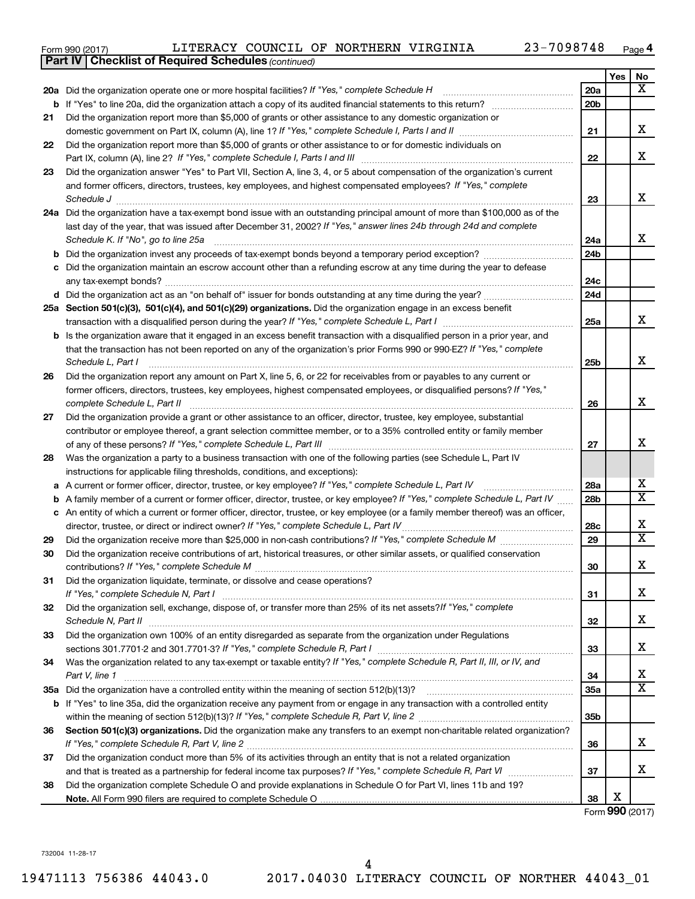| Form 990 (2017) |  | LITERACY COUNCIL OF NORTHERN VIRGINIA |  |  | 23-7098748 | Page |
|-----------------|--|---------------------------------------|--|--|------------|------|
|-----------------|--|---------------------------------------|--|--|------------|------|

|    | <b>Part IV   Checklist of Required Schedules (continued)</b>                                                                      |                 |     |                         |
|----|-----------------------------------------------------------------------------------------------------------------------------------|-----------------|-----|-------------------------|
|    |                                                                                                                                   |                 | Yes | No                      |
|    | 20a Did the organization operate one or more hospital facilities? If "Yes," complete Schedule H                                   | 20a             |     | $\overline{\mathbf{X}}$ |
| b  |                                                                                                                                   | 20 <sub>b</sub> |     |                         |
| 21 | Did the organization report more than \$5,000 of grants or other assistance to any domestic organization or                       |                 |     |                         |
|    |                                                                                                                                   | 21              |     | x                       |
| 22 | Did the organization report more than \$5,000 of grants or other assistance to or for domestic individuals on                     |                 |     |                         |
|    |                                                                                                                                   | 22              |     | x                       |
| 23 | Did the organization answer "Yes" to Part VII, Section A, line 3, 4, or 5 about compensation of the organization's current        |                 |     |                         |
|    | and former officers, directors, trustees, key employees, and highest compensated employees? If "Yes," complete                    |                 |     |                         |
|    | Schedule J                                                                                                                        | 23              |     | x                       |
|    | 24a Did the organization have a tax-exempt bond issue with an outstanding principal amount of more than \$100,000 as of the       |                 |     |                         |
|    | last day of the year, that was issued after December 31, 2002? If "Yes," answer lines 24b through 24d and complete                |                 |     |                         |
|    | Schedule K. If "No", go to line 25a                                                                                               | 24a             |     | x                       |
|    |                                                                                                                                   | 24 <sub>b</sub> |     |                         |
|    | Did the organization maintain an escrow account other than a refunding escrow at any time during the year to defease              |                 |     |                         |
|    |                                                                                                                                   | 24c             |     |                         |
|    |                                                                                                                                   | 24d             |     |                         |
|    | 25a Section 501(c)(3), 501(c)(4), and 501(c)(29) organizations. Did the organization engage in an excess benefit                  |                 |     |                         |
|    |                                                                                                                                   | 25a             |     | x                       |
| b  | Is the organization aware that it engaged in an excess benefit transaction with a disqualified person in a prior year, and        |                 |     |                         |
|    | that the transaction has not been reported on any of the organization's prior Forms 990 or 990-EZ? If "Yes," complete             |                 |     |                         |
|    | Schedule L, Part I                                                                                                                | 25b             |     | x                       |
| 26 | Did the organization report any amount on Part X, line 5, 6, or 22 for receivables from or payables to any current or             |                 |     |                         |
|    | former officers, directors, trustees, key employees, highest compensated employees, or disqualified persons? If "Yes,"            |                 |     |                         |
|    | complete Schedule L, Part II                                                                                                      | 26              |     | x                       |
| 27 | Did the organization provide a grant or other assistance to an officer, director, trustee, key employee, substantial              |                 |     |                         |
|    | contributor or employee thereof, a grant selection committee member, or to a 35% controlled entity or family member               |                 |     |                         |
|    |                                                                                                                                   | 27              |     | x                       |
| 28 | Was the organization a party to a business transaction with one of the following parties (see Schedule L, Part IV                 |                 |     |                         |
|    | instructions for applicable filing thresholds, conditions, and exceptions):                                                       |                 |     |                         |
| а  | A current or former officer, director, trustee, or key employee? If "Yes," complete Schedule L, Part IV                           | 28a             |     | x                       |
| b  | A family member of a current or former officer, director, trustee, or key employee? If "Yes," complete Schedule L, Part IV        | 28 <sub>b</sub> |     | $\overline{\text{X}}$   |
|    | c An entity of which a current or former officer, director, trustee, or key employee (or a family member thereof) was an officer, |                 |     |                         |
|    | director, trustee, or direct or indirect owner? If "Yes," complete Schedule L, Part IV                                            | 28c             |     | x                       |
| 29 |                                                                                                                                   | 29              |     | $\overline{\mathtt{x}}$ |
| 30 | Did the organization receive contributions of art, historical treasures, or other similar assets, or qualified conservation       |                 |     |                         |
|    |                                                                                                                                   | 30              |     | Y<br>4                  |
| 31 | Did the organization liquidate, terminate, or dissolve and cease operations?                                                      |                 |     |                         |
|    |                                                                                                                                   | 31              |     | x                       |
| 32 | Did the organization sell, exchange, dispose of, or transfer more than 25% of its net assets? If "Yes," complete                  |                 |     |                         |
|    | Schedule N, Part II                                                                                                               | 32              |     | x                       |
| 33 | Did the organization own 100% of an entity disregarded as separate from the organization under Regulations                        |                 |     |                         |
|    |                                                                                                                                   | 33              |     | x                       |
| 34 | Was the organization related to any tax-exempt or taxable entity? If "Yes," complete Schedule R, Part II, III, or IV, and         |                 |     |                         |
|    | Part V, line 1                                                                                                                    | 34              |     | x                       |
|    |                                                                                                                                   | 35a             |     | $\overline{\mathtt{x}}$ |
|    | b If "Yes" to line 35a, did the organization receive any payment from or engage in any transaction with a controlled entity       |                 |     |                         |
|    |                                                                                                                                   | 35b             |     |                         |
| 36 | Section 501(c)(3) organizations. Did the organization make any transfers to an exempt non-charitable related organization?        |                 |     |                         |
|    |                                                                                                                                   | 36              |     | x                       |
| 37 | Did the organization conduct more than 5% of its activities through an entity that is not a related organization                  |                 |     |                         |
|    |                                                                                                                                   | 37              |     | x                       |
| 38 | Did the organization complete Schedule O and provide explanations in Schedule O for Part VI, lines 11b and 19?                    |                 |     |                         |
|    |                                                                                                                                   | 38              | X   |                         |

Form (2017) **990**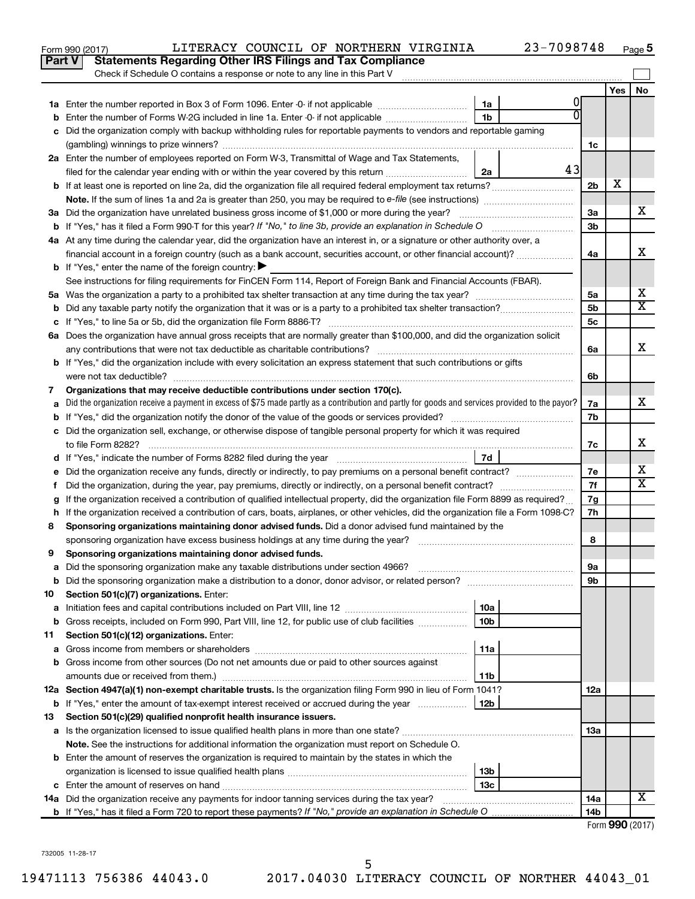|         | Part V<br><b>Statements Regarding Other IRS Filings and Tax Compliance</b><br>Check if Schedule O contains a response or note to any line in this Part V                                                                            |                |                 |           |
|---------|-------------------------------------------------------------------------------------------------------------------------------------------------------------------------------------------------------------------------------------|----------------|-----------------|-----------|
|         |                                                                                                                                                                                                                                     |                | Yes             | <b>No</b> |
|         | 0<br>1a                                                                                                                                                                                                                             |                |                 |           |
|         | $\Omega$<br>1 <sub>b</sub><br>Enter the number of Forms W-2G included in line 1a. Enter -0- if not applicable                                                                                                                       |                |                 |           |
|         | Did the organization comply with backup withholding rules for reportable payments to vendors and reportable gaming                                                                                                                  |                |                 |           |
|         |                                                                                                                                                                                                                                     | 1c             |                 |           |
|         | 2a Enter the number of employees reported on Form W-3, Transmittal of Wage and Tax Statements,                                                                                                                                      |                |                 |           |
|         | 43<br>filed for the calendar year ending with or within the year covered by this return<br>2a                                                                                                                                       |                |                 |           |
|         |                                                                                                                                                                                                                                     | 2 <sub>b</sub> | х               |           |
|         |                                                                                                                                                                                                                                     |                |                 |           |
|         | 3a Did the organization have unrelated business gross income of \$1,000 or more during the year?                                                                                                                                    | За             |                 | х         |
|         |                                                                                                                                                                                                                                     | 3 <sub>b</sub> |                 |           |
|         | 4a At any time during the calendar year, did the organization have an interest in, or a signature or other authority over, a                                                                                                        |                |                 |           |
|         |                                                                                                                                                                                                                                     | 4a             |                 | х         |
|         | <b>b</b> If "Yes," enter the name of the foreign country: $\blacktriangleright$                                                                                                                                                     |                |                 |           |
|         | See instructions for filing requirements for FinCEN Form 114, Report of Foreign Bank and Financial Accounts (FBAR).                                                                                                                 |                |                 |           |
|         |                                                                                                                                                                                                                                     | 5a             |                 | х<br>х    |
| b       |                                                                                                                                                                                                                                     | 5 <sub>b</sub> |                 |           |
|         |                                                                                                                                                                                                                                     | 5c             |                 |           |
|         | 6a Does the organization have annual gross receipts that are normally greater than \$100,000, and did the organization solicit                                                                                                      |                |                 | х         |
|         | <b>b</b> If "Yes," did the organization include with every solicitation an express statement that such contributions or gifts                                                                                                       | 6a             |                 |           |
|         |                                                                                                                                                                                                                                     | 6b             |                 |           |
| 7       | Organizations that may receive deductible contributions under section 170(c).                                                                                                                                                       |                |                 |           |
| a       | Did the organization receive a payment in excess of \$75 made partly as a contribution and partly for goods and services provided to the payor?                                                                                     | 7a             |                 | х         |
|         |                                                                                                                                                                                                                                     | 7b             |                 |           |
|         | c Did the organization sell, exchange, or otherwise dispose of tangible personal property for which it was required                                                                                                                 |                |                 |           |
|         |                                                                                                                                                                                                                                     | 7с             |                 | х         |
|         | 7d<br>d If "Yes," indicate the number of Forms 8282 filed during the year [11] [11] The Sear [11] The Sear [11] The Sear [11] The Sear [11] The Sear [11] The Sear [11] The Sear [11] The Sear [11] The Sear [11] The Sear [11] The |                |                 |           |
|         |                                                                                                                                                                                                                                     | 7е             |                 | х         |
| f.      | Did the organization, during the year, pay premiums, directly or indirectly, on a personal benefit contract?                                                                                                                        | 7f             |                 | x         |
|         | If the organization received a contribution of qualified intellectual property, did the organization file Form 8899 as required?                                                                                                    | 7g             |                 |           |
| h       | If the organization received a contribution of cars, boats, airplanes, or other vehicles, did the organization file a Form 1098-C?                                                                                                  | 7h             |                 |           |
| 8       | Sponsoring organizations maintaining donor advised funds. Did a donor advised fund maintained by the                                                                                                                                |                |                 |           |
|         |                                                                                                                                                                                                                                     | 8              |                 |           |
| 9       | Sponsoring organizations maintaining donor advised funds.                                                                                                                                                                           |                |                 |           |
| а       |                                                                                                                                                                                                                                     | <b>9a</b>      |                 |           |
| b       |                                                                                                                                                                                                                                     | 9b             |                 |           |
| 10      | Section 501(c)(7) organizations. Enter:<br>10a                                                                                                                                                                                      |                |                 |           |
| а       | Gross receipts, included on Form 990, Part VIII, line 12, for public use of club facilities<br>10b                                                                                                                                  |                |                 |           |
| b<br>11 | Section 501(c)(12) organizations. Enter:                                                                                                                                                                                            |                |                 |           |
| а       | 11a                                                                                                                                                                                                                                 |                |                 |           |
| b       | Gross income from other sources (Do not net amounts due or paid to other sources against                                                                                                                                            |                |                 |           |
|         | amounts due or received from them.)<br>11b                                                                                                                                                                                          |                |                 |           |
|         | 12a Section 4947(a)(1) non-exempt charitable trusts. Is the organization filing Form 990 in lieu of Form 1041?                                                                                                                      | 12a            |                 |           |
| b       | If "Yes," enter the amount of tax-exempt interest received or accrued during the year<br>12b                                                                                                                                        |                |                 |           |
| 13      | Section 501(c)(29) qualified nonprofit health insurance issuers.                                                                                                                                                                    |                |                 |           |
| а       | Is the organization licensed to issue qualified health plans in more than one state?                                                                                                                                                | 13a            |                 |           |
|         | Note. See the instructions for additional information the organization must report on Schedule O.                                                                                                                                   |                |                 |           |
|         | <b>b</b> Enter the amount of reserves the organization is required to maintain by the states in which the                                                                                                                           |                |                 |           |
|         | 13 <sub>b</sub>                                                                                                                                                                                                                     |                |                 |           |
|         | 13c                                                                                                                                                                                                                                 |                |                 |           |
|         | 14a Did the organization receive any payments for indoor tanning services during the tax year?                                                                                                                                      | 14a            |                 | х         |
|         |                                                                                                                                                                                                                                     | 14b            |                 |           |
|         |                                                                                                                                                                                                                                     |                | Form 990 (2017) |           |

Form 990 (2017) LITERACY COUNCIL OF NORTHERN VIRGINIA 23-7098748 <sub>Page</sub> 5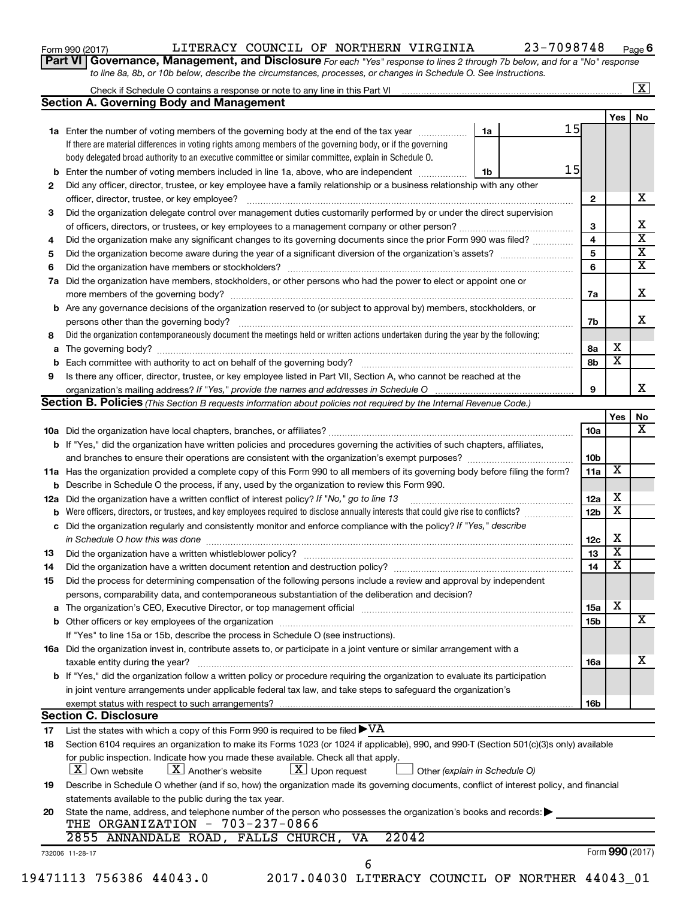| Form 990 (2017) |  |  |
|-----------------|--|--|
|-----------------|--|--|

## Form 990 (2017)  $LITERACY$  COUNCIL OF NORTHERN VIRGINIA  $23-7098748$  Page

**Part VI** Governance, Management, and Disclosure For each "Yes" response to lines 2 through 7b below, and for a "No" response *to line 8a, 8b, or 10b below, describe the circumstances, processes, or changes in Schedule O. See instructions.*

|     | Check if Schedule O contains a response or note to any line in this Part VI [11] [12] [12] Check if Schedule O contains a response or note to any line in this Part VI                                                         |                               |                 |                         | $\mathbf{X}$            |
|-----|--------------------------------------------------------------------------------------------------------------------------------------------------------------------------------------------------------------------------------|-------------------------------|-----------------|-------------------------|-------------------------|
|     | <b>Section A. Governing Body and Management</b>                                                                                                                                                                                |                               |                 |                         |                         |
|     |                                                                                                                                                                                                                                |                               |                 | Yes                     | No                      |
|     | 1a Enter the number of voting members of the governing body at the end of the tax year                                                                                                                                         | 15<br>1a                      |                 |                         |                         |
|     | If there are material differences in voting rights among members of the governing body, or if the governing                                                                                                                    |                               |                 |                         |                         |
|     | body delegated broad authority to an executive committee or similar committee, explain in Schedule O.                                                                                                                          |                               |                 |                         |                         |
| b   | Enter the number of voting members included in line 1a, above, who are independent                                                                                                                                             | 15<br>1b                      |                 |                         |                         |
| 2   | Did any officer, director, trustee, or key employee have a family relationship or a business relationship with any other                                                                                                       |                               |                 |                         |                         |
|     | officer, director, trustee, or key employee?                                                                                                                                                                                   |                               | $\mathbf{2}$    |                         | х                       |
| 3   | Did the organization delegate control over management duties customarily performed by or under the direct supervision                                                                                                          |                               |                 |                         |                         |
|     |                                                                                                                                                                                                                                |                               | 3               |                         | х                       |
| 4   | Did the organization make any significant changes to its governing documents since the prior Form 990 was filed?                                                                                                               |                               | 4               |                         | $\overline{\mathbf{x}}$ |
| 5   |                                                                                                                                                                                                                                |                               | 5               |                         | $\overline{\mathbf{x}}$ |
| 6   |                                                                                                                                                                                                                                |                               | 6               |                         | $\overline{\mathbf{x}}$ |
| 7a  | Did the organization have members, stockholders, or other persons who had the power to elect or appoint one or                                                                                                                 |                               |                 |                         |                         |
|     |                                                                                                                                                                                                                                |                               | 7a              |                         | X                       |
| b   | Are any governance decisions of the organization reserved to (or subject to approval by) members, stockholders, or                                                                                                             |                               |                 |                         |                         |
|     |                                                                                                                                                                                                                                |                               | 7b              |                         | x                       |
| 8   | Did the organization contemporaneously document the meetings held or written actions undertaken during the year by the following:                                                                                              |                               |                 |                         |                         |
| а   |                                                                                                                                                                                                                                |                               | 8a              | х                       |                         |
|     |                                                                                                                                                                                                                                |                               | 8b              | $\overline{\mathbf{x}}$ |                         |
| 9   | Is there any officer, director, trustee, or key employee listed in Part VII, Section A, who cannot be reached at the                                                                                                           |                               |                 |                         |                         |
|     |                                                                                                                                                                                                                                |                               | 9               |                         | х                       |
|     | Section B. Policies (This Section B requests information about policies not required by the Internal Revenue Code.)                                                                                                            |                               |                 |                         |                         |
|     |                                                                                                                                                                                                                                |                               |                 | Yes                     | No                      |
|     |                                                                                                                                                                                                                                |                               | 10a             |                         | х                       |
|     | <b>b</b> If "Yes," did the organization have written policies and procedures governing the activities of such chapters, affiliates,                                                                                            |                               |                 |                         |                         |
|     |                                                                                                                                                                                                                                |                               | 10b             |                         |                         |
|     |                                                                                                                                                                                                                                |                               | 11a             | X                       |                         |
|     | 11a Has the organization provided a complete copy of this Form 990 to all members of its governing body before filing the form?                                                                                                |                               |                 |                         |                         |
|     | Describe in Schedule O the process, if any, used by the organization to review this Form 990.                                                                                                                                  |                               |                 | х                       |                         |
| 12a | Did the organization have a written conflict of interest policy? If "No," go to line 13                                                                                                                                        |                               | 12a             | X                       |                         |
|     | Were officers, directors, or trustees, and key employees required to disclose annually interests that could give rise to conflicts?                                                                                            |                               | 12 <sub>b</sub> |                         |                         |
| с   | Did the organization regularly and consistently monitor and enforce compliance with the policy? If "Yes," describe                                                                                                             |                               |                 | X                       |                         |
|     | in Schedule O how this was done manufactured and continuum and contact the was done manufactured and contact t                                                                                                                 |                               | 12c             | $\overline{\mathbf{x}}$ |                         |
| 13  |                                                                                                                                                                                                                                |                               | 13              |                         |                         |
| 14  |                                                                                                                                                                                                                                |                               | 14              | X                       |                         |
| 15  | Did the process for determining compensation of the following persons include a review and approval by independent                                                                                                             |                               |                 |                         |                         |
|     | persons, comparability data, and contemporaneous substantiation of the deliberation and decision?                                                                                                                              |                               |                 |                         |                         |
| а   | The organization's CEO, Executive Director, or top management official [111] [12] manument content or organization's CEO, Executive Director, or top management official [11] manument content or or or or or or or or or or o |                               | 15a             | х                       |                         |
|     |                                                                                                                                                                                                                                |                               | 15b             |                         | х                       |
|     | If "Yes" to line 15a or 15b, describe the process in Schedule O (see instructions).                                                                                                                                            |                               |                 |                         |                         |
|     | 16a Did the organization invest in, contribute assets to, or participate in a joint venture or similar arrangement with a                                                                                                      |                               |                 |                         |                         |
|     | taxable entity during the year?                                                                                                                                                                                                |                               | 16a             |                         | x                       |
|     | b If "Yes," did the organization follow a written policy or procedure requiring the organization to evaluate its participation                                                                                                 |                               |                 |                         |                         |
|     | in joint venture arrangements under applicable federal tax law, and take steps to safeguard the organization's                                                                                                                 |                               |                 |                         |                         |
|     | exempt status with respect to such arrangements?                                                                                                                                                                               |                               | 16b             |                         |                         |
|     | <b>Section C. Disclosure</b>                                                                                                                                                                                                   |                               |                 |                         |                         |
| 17  | List the states with which a copy of this Form 990 is required to be filed $\blacktriangleright\mathrm{VA}$                                                                                                                    |                               |                 |                         |                         |
| 18  | Section 6104 requires an organization to make its Forms 1023 (or 1024 if applicable), 990, and 990-T (Section 501(c)(3)s only) available                                                                                       |                               |                 |                         |                         |
|     | for public inspection. Indicate how you made these available. Check all that apply.<br>$\lfloor x \rfloor$ Another's website<br>$\lfloor x \rfloor$ Upon request<br>  X   Own website                                          | Other (explain in Schedule O) |                 |                         |                         |
| 19  | Describe in Schedule O whether (and if so, how) the organization made its governing documents, conflict of interest policy, and financial                                                                                      |                               |                 |                         |                         |
|     | statements available to the public during the tax year.                                                                                                                                                                        |                               |                 |                         |                         |
| 20  | State the name, address, and telephone number of the person who possesses the organization's books and records:                                                                                                                |                               |                 |                         |                         |
|     | THE ORGANIZATION - 703-237-0866                                                                                                                                                                                                |                               |                 |                         |                         |
|     | 22042<br>2855 ANNANDALE ROAD, FALLS CHURCH, VA                                                                                                                                                                                 |                               |                 |                         |                         |
|     | 732006 11-28-17                                                                                                                                                                                                                |                               |                 | Form 990 (2017)         |                         |
|     | 6<br>19471113 756386 44043.0<br>2017.04030 LITERACY COUNCIL OF NORTHER 44043_01                                                                                                                                                |                               |                 |                         |                         |
|     |                                                                                                                                                                                                                                |                               |                 |                         |                         |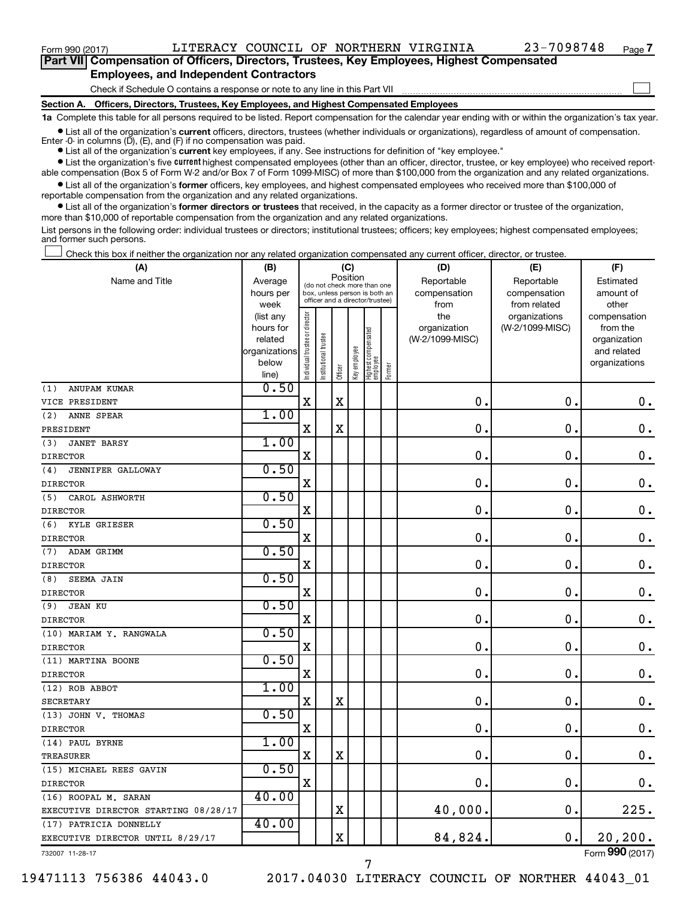$\Box$ 

| Part VII Compensation of Officers, Directors, Trustees, Key Employees, Highest Compensated |  |
|--------------------------------------------------------------------------------------------|--|
| <b>Employees, and Independent Contractors</b>                                              |  |

#### Check if Schedule O contains a response or note to any line in this Part VII

**Section A. Officers, Directors, Trustees, Key Employees, and Highest Compensated Employees**

**1a**  Complete this table for all persons required to be listed. Report compensation for the calendar year ending with or within the organization's tax year.

**•** List all of the organization's current officers, directors, trustees (whether individuals or organizations), regardless of amount of compensation.

**•** List all of the organization's **current** key employees, if any. See instructions for definition of "key employee." Enter -0- in columns  $(D)$ ,  $(E)$ , and  $(F)$  if no compensation was paid.

**•** List the organization's five current highest compensated employees (other than an officer, director, trustee, or key employee) who received report-

**•** List all of the organization's former officers, key employees, and highest compensated employees who received more than \$100,000 of able compensation (Box 5 of Form W-2 and/or Box 7 of Form 1099-MISC) of more than \$100,000 from the organization and any related organizations. reportable compensation from the organization and any related organizations.

**•** List all of the organization's former directors or trustees that received, in the capacity as a former director or trustee of the organization, more than \$10,000 of reportable compensation from the organization and any related organizations.

List persons in the following order: individual trustees or directors; institutional trustees; officers; key employees; highest compensated employees; and former such persons.

Check this box if neither the organization nor any related organization compensated any current officer, director, or trustee.  $\Box$ 

| (A)                                  | (B)                    |                                         |                                                                  | (C)         |              |                                 |        | (D)                             | (E)                              | (F)                      |
|--------------------------------------|------------------------|-----------------------------------------|------------------------------------------------------------------|-------------|--------------|---------------------------------|--------|---------------------------------|----------------------------------|--------------------------|
| Name and Title                       | Average                | Position<br>(do not check more than one |                                                                  |             |              |                                 |        | Reportable                      | Reportable                       | Estimated                |
|                                      | hours per              |                                         | box, unless person is both an<br>officer and a director/trustee) |             |              |                                 |        | compensation                    | compensation                     | amount of                |
|                                      | week                   |                                         |                                                                  |             |              |                                 |        | from                            | from related                     | other                    |
|                                      | (list any<br>hours for | ndividual trustee or director           |                                                                  |             |              |                                 |        | the                             | organizations<br>(W-2/1099-MISC) | compensation<br>from the |
|                                      | related                |                                         |                                                                  |             |              |                                 |        | organization<br>(W-2/1099-MISC) |                                  | organization             |
|                                      | organizations          |                                         |                                                                  |             |              |                                 |        |                                 |                                  | and related              |
|                                      | below                  |                                         | nstitutional trustee                                             |             | Key employee |                                 |        |                                 |                                  | organizations            |
|                                      | line)                  |                                         |                                                                  | Officer     |              | Highest compensated<br>employee | Former |                                 |                                  |                          |
| ANUPAM KUMAR<br>(1)                  | 0.50                   |                                         |                                                                  |             |              |                                 |        |                                 |                                  |                          |
| VICE PRESIDENT                       |                        | $\mathbf X$                             |                                                                  | $\mathbf X$ |              |                                 |        | $\mathbf 0$ .                   | $\mathbf 0$ .                    | $\mathbf 0$ .            |
| (2)<br>ANNE SPEAR                    | 1.00                   |                                         |                                                                  |             |              |                                 |        |                                 |                                  |                          |
| PRESIDENT                            |                        | X                                       |                                                                  | $\mathbf X$ |              |                                 |        | $\mathbf 0$ .                   | $\mathbf 0$ .                    | $\mathbf 0$ .            |
| <b>JANET BARSY</b><br>(3)            | 1.00                   |                                         |                                                                  |             |              |                                 |        |                                 |                                  |                          |
| <b>DIRECTOR</b>                      |                        | X                                       |                                                                  |             |              |                                 |        | $\mathbf 0$ .                   | $\mathbf 0$ .                    | $\mathbf 0$ .            |
| (4)<br>JENNIFER GALLOWAY             | 0.50                   |                                         |                                                                  |             |              |                                 |        |                                 |                                  |                          |
| <b>DIRECTOR</b>                      |                        | $\mathbf X$                             |                                                                  |             |              |                                 |        | $\mathbf 0$ .                   | $\mathbf 0$ .                    | $\mathbf 0$ .            |
| (5)<br>CAROL ASHWORTH                | 0.50                   |                                         |                                                                  |             |              |                                 |        |                                 |                                  |                          |
| <b>DIRECTOR</b>                      |                        | $\mathbf X$                             |                                                                  |             |              |                                 |        | 0                               | 0.                               | $\mathbf 0$ .            |
| KYLE GRIESER<br>(6)                  | 0.50                   |                                         |                                                                  |             |              |                                 |        |                                 |                                  |                          |
| <b>DIRECTOR</b>                      |                        | $\mathbf X$                             |                                                                  |             |              |                                 |        | $\mathbf 0$                     | $\mathbf 0$ .                    | $\mathbf 0$ .            |
| (7)<br>ADAM GRIMM                    | 0.50                   |                                         |                                                                  |             |              |                                 |        |                                 |                                  |                          |
| <b>DIRECTOR</b>                      |                        | $\mathbf X$                             |                                                                  |             |              |                                 |        | $\mathbf 0$ .                   | $\mathbf 0$ .                    | $\mathbf 0$ .            |
| SEEMA JAIN<br>(8)                    | 0.50                   |                                         |                                                                  |             |              |                                 |        |                                 |                                  |                          |
| <b>DIRECTOR</b>                      |                        | X                                       |                                                                  |             |              |                                 |        | $\mathbf 0$ .                   | $\mathbf 0$ .                    | 0.                       |
| (9)<br><b>JEAN KU</b>                | 0.50                   |                                         |                                                                  |             |              |                                 |        |                                 |                                  |                          |
| <b>DIRECTOR</b>                      |                        | X                                       |                                                                  |             |              |                                 |        | $\mathbf 0$ .                   | $\mathbf 0$ .                    | $\mathbf 0$ .            |
| (10) MARIAM Y. RANGWALA              | 0.50                   |                                         |                                                                  |             |              |                                 |        |                                 |                                  |                          |
| <b>DIRECTOR</b>                      |                        | X                                       |                                                                  |             |              |                                 |        | 0                               | 0.                               | $\mathbf 0$ .            |
| (11) MARTINA BOONE                   | 0.50                   |                                         |                                                                  |             |              |                                 |        |                                 |                                  |                          |
| <b>DIRECTOR</b>                      |                        | X                                       |                                                                  |             |              |                                 |        | $\mathbf 0$ .                   | $\mathbf 0$                      | $\mathbf 0$ .            |
| (12) ROB ABBOT                       | 1.00                   |                                         |                                                                  |             |              |                                 |        |                                 |                                  |                          |
| <b>SECRETARY</b>                     |                        | X                                       |                                                                  | $\mathbf X$ |              |                                 |        | 0                               | $\mathbf 0$ .                    | $\mathbf 0$ .            |
| (13) JOHN V. THOMAS                  | 0.50                   |                                         |                                                                  |             |              |                                 |        |                                 |                                  |                          |
| <b>DIRECTOR</b>                      |                        | $\mathbf X$                             |                                                                  |             |              |                                 |        | $\mathbf 0$ .                   | $\mathbf 0$ .                    | $\mathbf 0$ .            |
| (14) PAUL BYRNE                      | 1.00                   |                                         |                                                                  |             |              |                                 |        |                                 |                                  |                          |
| <b>TREASURER</b>                     |                        | $\mathbf X$                             |                                                                  | $\mathbf X$ |              |                                 |        | $\mathbf 0$ .                   | $\mathbf 0$ .                    | 0.                       |
| (15) MICHAEL REES GAVIN              | 0.50                   |                                         |                                                                  |             |              |                                 |        |                                 |                                  |                          |
| <b>DIRECTOR</b>                      |                        | X                                       |                                                                  |             |              |                                 |        | $\mathbf 0$                     | $\mathbf 0$ .                    | $\mathbf 0$ .            |
| (16) ROOPAL M. SARAN                 | 40.00                  |                                         |                                                                  |             |              |                                 |        |                                 |                                  |                          |
| EXECUTIVE DIRECTOR STARTING 08/28/17 |                        |                                         |                                                                  | $\mathbf X$ |              |                                 |        | 40,000.                         | $\mathbf 0$                      | 225.                     |
| (17) PATRICIA DONNELLY               | 40.00                  |                                         |                                                                  |             |              |                                 |        |                                 |                                  |                          |
| EXECUTIVE DIRECTOR UNTIL 8/29/17     |                        |                                         |                                                                  | $\mathbf X$ |              |                                 |        | 84,824.                         | 0.                               | 20, 200.                 |
| 732007 11-28-17                      |                        |                                         |                                                                  |             |              |                                 |        |                                 |                                  | Form 990 (2017)          |

7

19471113 756386 44043.0 2017.04030 LITERACY COUNCIL OF NORTHER 44043\_01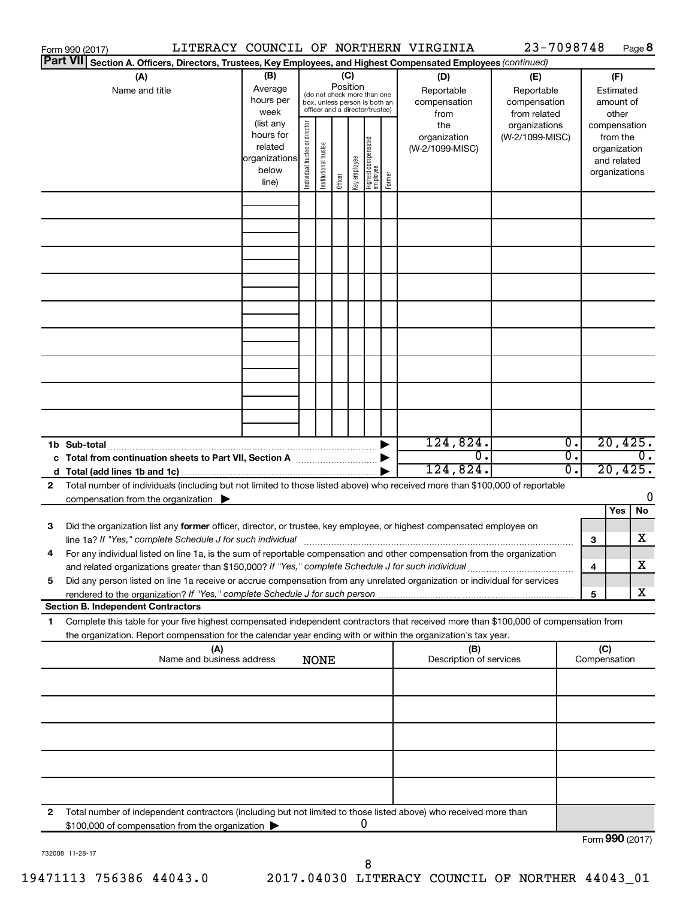|   | Form 990 (2017)                                                                                                                                                                                                                                        |                                                                                                        |                                                                                           |                                |                       |                 |              |                                                                                                 |        | LITERACY COUNCIL OF NORTHERN VIRGINIA                                               | 23-7098748                                                                            |          |     |                                                                                    | Page 8           |
|---|--------------------------------------------------------------------------------------------------------------------------------------------------------------------------------------------------------------------------------------------------------|--------------------------------------------------------------------------------------------------------|-------------------------------------------------------------------------------------------|--------------------------------|-----------------------|-----------------|--------------|-------------------------------------------------------------------------------------------------|--------|-------------------------------------------------------------------------------------|---------------------------------------------------------------------------------------|----------|-----|------------------------------------------------------------------------------------|------------------|
|   | <b>Part VII</b>                                                                                                                                                                                                                                        | Section A. Officers, Directors, Trustees, Key Employees, and Highest Compensated Employees (continued) |                                                                                           |                                |                       |                 |              |                                                                                                 |        |                                                                                     |                                                                                       |          |     |                                                                                    |                  |
|   | (A)<br>Name and title                                                                                                                                                                                                                                  |                                                                                                        | (B)<br>Average<br>hours per<br>week<br>(list any<br>hours for<br>related<br>organizations | Individual trustee or director |                       | (C)<br>Position |              | (do not check more than one<br>box, unless person is both an<br>officer and a director/trustee) |        | (D)<br>Reportable<br>compensation<br>from<br>the<br>organization<br>(W-2/1099-MISC) | (E)<br>Reportable<br>compensation<br>from related<br>organizations<br>(W-2/1099-MISC) |          |     | (F)<br>Estimated<br>amount of<br>other<br>compensation<br>from the<br>organization |                  |
|   |                                                                                                                                                                                                                                                        |                                                                                                        | below<br>line)                                                                            |                                | Institutional trustee | Officer         | Key employee | Highest compensated<br>  employee                                                               | Former |                                                                                     |                                                                                       |          |     | and related<br>organizations                                                       |                  |
|   |                                                                                                                                                                                                                                                        |                                                                                                        |                                                                                           |                                |                       |                 |              |                                                                                                 |        |                                                                                     |                                                                                       |          |     |                                                                                    |                  |
|   |                                                                                                                                                                                                                                                        |                                                                                                        |                                                                                           |                                |                       |                 |              |                                                                                                 |        |                                                                                     |                                                                                       |          |     |                                                                                    |                  |
|   |                                                                                                                                                                                                                                                        |                                                                                                        |                                                                                           |                                |                       |                 |              |                                                                                                 |        |                                                                                     |                                                                                       |          |     |                                                                                    |                  |
|   | 1b Sub-total<br>c Total from continuation sheets to Part VII, Section A manuscreen continuum                                                                                                                                                           |                                                                                                        |                                                                                           |                                |                       |                 |              |                                                                                                 |        | 124,824.<br>$\overline{0}$ .                                                        |                                                                                       | 0.<br>σ. |     | 20,425.                                                                            | $\overline{0}$ . |
|   |                                                                                                                                                                                                                                                        |                                                                                                        |                                                                                           |                                |                       |                 |              |                                                                                                 |        | 124,824.                                                                            |                                                                                       | σ.       |     | 20,425.                                                                            |                  |
| 2 | Total number of individuals (including but not limited to those listed above) who received more than \$100,000 of reportable                                                                                                                           |                                                                                                        |                                                                                           |                                |                       |                 |              |                                                                                                 |        |                                                                                     |                                                                                       |          |     |                                                                                    | 0                |
|   | compensation from the organization                                                                                                                                                                                                                     |                                                                                                        |                                                                                           |                                |                       |                 |              |                                                                                                 |        |                                                                                     |                                                                                       |          |     | Yes                                                                                | No               |
| 3 | Did the organization list any former officer, director, or trustee, key employee, or highest compensated employee on                                                                                                                                   |                                                                                                        |                                                                                           |                                |                       |                 |              |                                                                                                 |        |                                                                                     |                                                                                       |          | 3   |                                                                                    | x                |
|   | For any individual listed on line 1a, is the sum of reportable compensation and other compensation from the organization<br>and related organizations greater than \$150,000? If "Yes," complete Schedule J for such individual                        |                                                                                                        |                                                                                           |                                |                       |                 |              |                                                                                                 |        |                                                                                     |                                                                                       |          | 4   |                                                                                    | X                |
| 5 | Did any person listed on line 1a receive or accrue compensation from any unrelated organization or individual for services<br>rendered to the organization? If "Yes," complete Schedule J for such person                                              |                                                                                                        |                                                                                           |                                |                       |                 |              |                                                                                                 |        |                                                                                     |                                                                                       |          |     |                                                                                    | X                |
|   | <b>Section B. Independent Contractors</b>                                                                                                                                                                                                              |                                                                                                        |                                                                                           |                                |                       |                 |              |                                                                                                 |        |                                                                                     |                                                                                       |          | 5   |                                                                                    |                  |
| 1 | Complete this table for your five highest compensated independent contractors that received more than \$100,000 of compensation from<br>the organization. Report compensation for the calendar year ending with or within the organization's tax year. |                                                                                                        |                                                                                           |                                |                       |                 |              |                                                                                                 |        |                                                                                     |                                                                                       |          |     |                                                                                    |                  |
|   |                                                                                                                                                                                                                                                        | (A)<br>Name and business address                                                                       |                                                                                           |                                | <b>NONE</b>           |                 |              |                                                                                                 |        | (B)<br>Description of services                                                      |                                                                                       |          | (C) | Compensation                                                                       |                  |
|   |                                                                                                                                                                                                                                                        |                                                                                                        |                                                                                           |                                |                       |                 |              |                                                                                                 |        |                                                                                     |                                                                                       |          |     |                                                                                    |                  |
|   |                                                                                                                                                                                                                                                        |                                                                                                        |                                                                                           |                                |                       |                 |              |                                                                                                 |        |                                                                                     |                                                                                       |          |     |                                                                                    |                  |
|   |                                                                                                                                                                                                                                                        |                                                                                                        |                                                                                           |                                |                       |                 |              |                                                                                                 |        |                                                                                     |                                                                                       |          |     |                                                                                    |                  |
| 2 | Total number of independent contractors (including but not limited to those listed above) who received more than                                                                                                                                       |                                                                                                        |                                                                                           |                                |                       |                 |              |                                                                                                 |        |                                                                                     |                                                                                       |          |     |                                                                                    |                  |
|   | \$100,000 of compensation from the organization                                                                                                                                                                                                        |                                                                                                        |                                                                                           |                                |                       |                 |              | 0                                                                                               |        |                                                                                     |                                                                                       |          |     | $F_{\text{sum}}$ 000 (2017)                                                        |                  |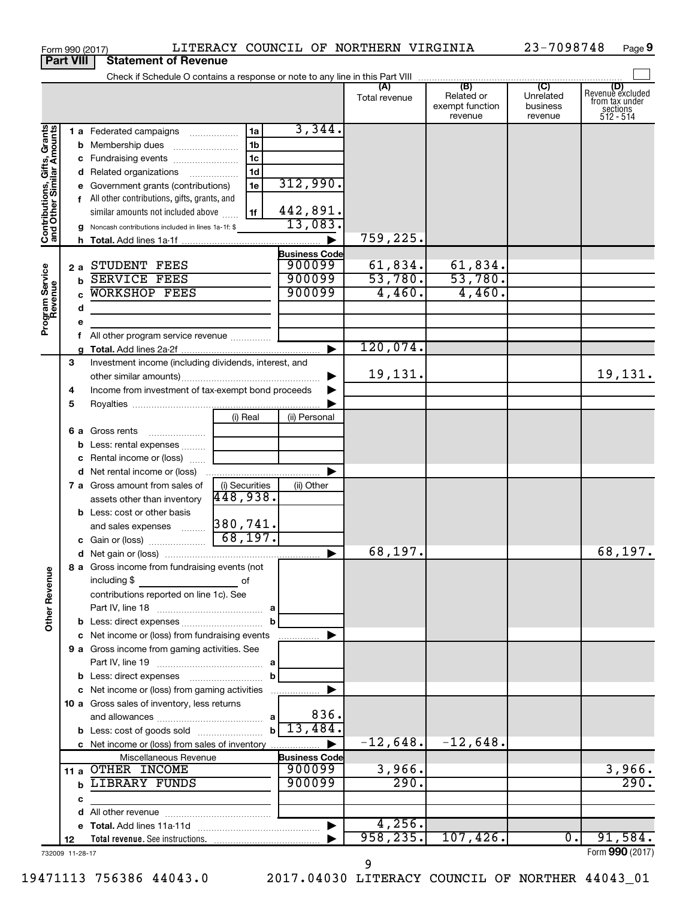|                                                           | <b>Part VIII</b> |   | <b>Statement of Revenue</b>                             |                                            |                      |               |                                          |                                  |                                                                    |
|-----------------------------------------------------------|------------------|---|---------------------------------------------------------|--------------------------------------------|----------------------|---------------|------------------------------------------|----------------------------------|--------------------------------------------------------------------|
|                                                           |                  |   |                                                         |                                            |                      | Total revenue | Related or<br>exempt function<br>revenue | Unrelated<br>business<br>revenue | (D)<br>Revenue excluded<br>from tax under<br>sections<br>512 - 514 |
| Contributions, Gifts, Grants<br>and Other Similar Amounts |                  |   | 1 a Federated campaigns                                 | 1a                                         | 3,344.               |               |                                          |                                  |                                                                    |
|                                                           |                  |   | <b>b</b> Membership dues                                | 1b                                         |                      |               |                                          |                                  |                                                                    |
|                                                           |                  |   | c Fundraising events                                    | 1 <sub>c</sub>                             |                      |               |                                          |                                  |                                                                    |
|                                                           |                  |   | d Related organizations                                 | 1 <sub>d</sub><br>$\overline{\phantom{a}}$ | 312,990.             |               |                                          |                                  |                                                                    |
|                                                           |                  |   | e Government grants (contributions)                     | 1e                                         |                      |               |                                          |                                  |                                                                    |
|                                                           |                  |   | f All other contributions, gifts, grants, and           |                                            | 442,891.             |               |                                          |                                  |                                                                    |
|                                                           |                  |   | similar amounts not included above                      | 1f                                         | 13,083.              |               |                                          |                                  |                                                                    |
|                                                           |                  |   | g Noncash contributions included in lines 1a-1f: \$     |                                            |                      | 759,225.      |                                          |                                  |                                                                    |
|                                                           |                  |   |                                                         |                                            | <b>Business Code</b> |               |                                          |                                  |                                                                    |
|                                                           | 2a               |   | STUDENT FEES                                            |                                            | 900099               | 61,834.       |                                          |                                  |                                                                    |
|                                                           |                  | b | <b>SERVICE FEES</b>                                     |                                            | 900099               | 53,780.       | $\frac{61,834}{53,780}$                  |                                  |                                                                    |
|                                                           |                  |   | <b>WORKSHOP FEES</b>                                    |                                            | 900099               | 4,460.        | 4,460.                                   |                                  |                                                                    |
| Program Service<br>Revenue                                |                  | d |                                                         |                                            |                      |               |                                          |                                  |                                                                    |
|                                                           |                  | е |                                                         |                                            |                      |               |                                          |                                  |                                                                    |
|                                                           |                  | f | All other program service revenue                       |                                            |                      |               |                                          |                                  |                                                                    |
|                                                           |                  |   |                                                         |                                            |                      | 120,074.      |                                          |                                  |                                                                    |
|                                                           | 3                |   | Investment income (including dividends, interest, and   |                                            |                      |               |                                          |                                  |                                                                    |
|                                                           |                  |   |                                                         |                                            |                      | 19,131.       |                                          |                                  | 19,131.                                                            |
|                                                           | 4                |   | Income from investment of tax-exempt bond proceeds      |                                            |                      |               |                                          |                                  |                                                                    |
|                                                           | 5                |   |                                                         |                                            |                      |               |                                          |                                  |                                                                    |
|                                                           |                  |   |                                                         | (i) Real                                   | (ii) Personal        |               |                                          |                                  |                                                                    |
|                                                           |                  |   | 6 a Gross rents<br>$\ldots \ldots \ldots \ldots \ldots$ |                                            |                      |               |                                          |                                  |                                                                    |
|                                                           |                  | b | Less: rental expenses                                   |                                            |                      |               |                                          |                                  |                                                                    |
|                                                           |                  |   | c Rental income or (loss)                               |                                            |                      |               |                                          |                                  |                                                                    |
|                                                           |                  |   | d Net rental income or (loss)                           |                                            |                      |               |                                          |                                  |                                                                    |
|                                                           |                  |   | 7 a Gross amount from sales of                          | (i) Securities                             | (ii) Other           |               |                                          |                                  |                                                                    |
|                                                           |                  |   | assets other than inventory                             | 448,938.                                   |                      |               |                                          |                                  |                                                                    |
|                                                           |                  |   | <b>b</b> Less: cost or other basis                      |                                            |                      |               |                                          |                                  |                                                                    |
|                                                           |                  |   | and sales expenses                                      | 380,741.<br>68, 197.                       |                      |               |                                          |                                  |                                                                    |
|                                                           |                  |   |                                                         |                                            |                      |               |                                          |                                  |                                                                    |
|                                                           |                  |   |                                                         |                                            | ▶                    | 68,197.       |                                          |                                  | 68,197.                                                            |
|                                                           |                  |   | 8 a Gross income from fundraising events (not           |                                            |                      |               |                                          |                                  |                                                                    |
|                                                           |                  |   | including \$<br>contributions reported on line 1c). See | of                                         |                      |               |                                          |                                  |                                                                    |
|                                                           |                  |   |                                                         |                                            |                      |               |                                          |                                  |                                                                    |
| <b>Other Revenue</b>                                      |                  |   |                                                         | b                                          |                      |               |                                          |                                  |                                                                    |
|                                                           |                  |   | c Net income or (loss) from fundraising events          |                                            | .                    |               |                                          |                                  |                                                                    |
|                                                           |                  |   | 9 a Gross income from gaming activities. See            |                                            |                      |               |                                          |                                  |                                                                    |
|                                                           |                  |   |                                                         |                                            |                      |               |                                          |                                  |                                                                    |
|                                                           |                  |   |                                                         | b                                          |                      |               |                                          |                                  |                                                                    |
|                                                           |                  |   | c Net income or (loss) from gaming activities           |                                            |                      |               |                                          |                                  |                                                                    |
|                                                           |                  |   | 10 a Gross sales of inventory, less returns             |                                            |                      |               |                                          |                                  |                                                                    |
|                                                           |                  |   |                                                         |                                            | 836.                 |               |                                          |                                  |                                                                    |
|                                                           |                  |   | <b>b</b> Less: cost of goods sold                       | $\mathbf{b}$                               | 13,484.              |               |                                          |                                  |                                                                    |
|                                                           |                  |   | c Net income or (loss) from sales of inventory          |                                            |                      | $-12,648.$    | $-12,648.$                               |                                  |                                                                    |
|                                                           |                  |   | Miscellaneous Revenue                                   |                                            | <b>Business Code</b> |               |                                          |                                  |                                                                    |
|                                                           |                  |   | 11 a OTHER INCOME                                       |                                            | 900099               | 3,966.        |                                          |                                  | 3,966.                                                             |
|                                                           |                  | b | LIBRARY FUNDS                                           |                                            | 900099               | 290.          |                                          |                                  | 290.                                                               |
|                                                           |                  | с |                                                         |                                            |                      |               |                                          |                                  |                                                                    |
|                                                           |                  | d |                                                         |                                            |                      |               |                                          |                                  |                                                                    |
|                                                           |                  |   |                                                         |                                            |                      | 4,256.        |                                          |                                  |                                                                    |
|                                                           | 12               |   |                                                         |                                            |                      | 958, 235.     | 107,426.                                 | 0.                               | 91,584.                                                            |
| 732009 11-28-17                                           |                  |   |                                                         |                                            |                      | 9             |                                          |                                  | Form 990 (2017)                                                    |

Form 990 (2017) LITERACY COUNCIL OF NORTHERN VIRGINIA 23-7098748 Page

23-7098748 Page 9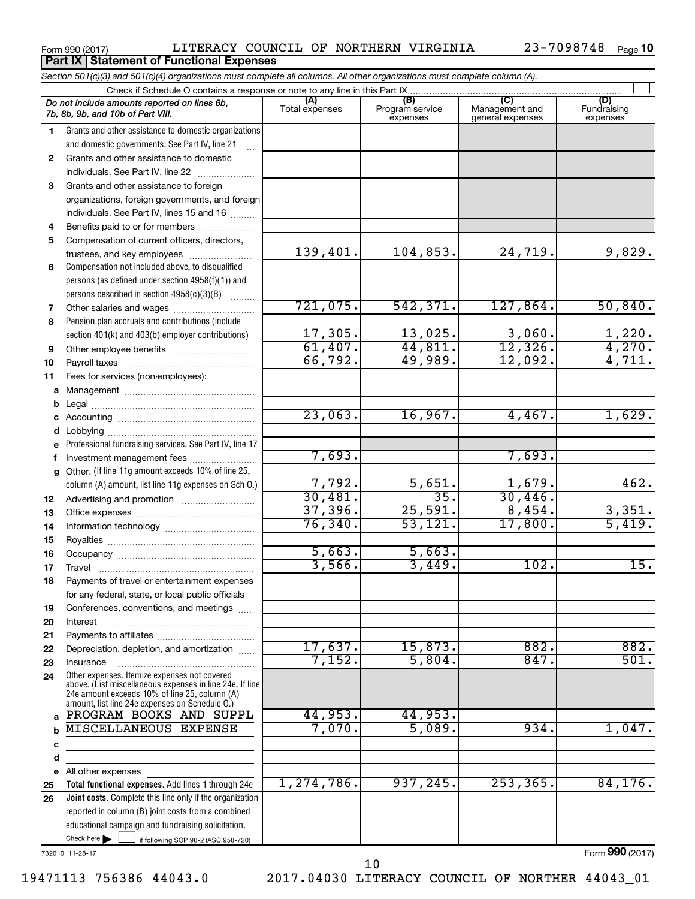**Part IX | Statement of Functional Expenses** 

Form 990 (2017) LITERACY COUNCIL OF NORTHERN VIRGINIA 23-7098748 Page

|        | Section 501(c)(3) and 501(c)(4) organizations must complete all columns. All other organizations must complete column (A).                                                                                  |                                                                                           |                             |                                    |                         |
|--------|-------------------------------------------------------------------------------------------------------------------------------------------------------------------------------------------------------------|-------------------------------------------------------------------------------------------|-----------------------------|------------------------------------|-------------------------|
|        |                                                                                                                                                                                                             | Check if Schedule O contains a response or note to any line in this Part IX<br>(A)<br>(B) |                             | (C)                                | (D)                     |
|        | Do not include amounts reported on lines 6b,<br>7b, 8b, 9b, and 10b of Part VIII.                                                                                                                           | Total expenses                                                                            | Program service<br>expenses | Management and<br>general expenses | Fundraising<br>expenses |
| 1      | Grants and other assistance to domestic organizations                                                                                                                                                       |                                                                                           |                             |                                    |                         |
|        | and domestic governments. See Part IV, line 21<br>$\ddotsc$                                                                                                                                                 |                                                                                           |                             |                                    |                         |
| 2      | Grants and other assistance to domestic                                                                                                                                                                     |                                                                                           |                             |                                    |                         |
|        | individuals. See Part IV, line 22                                                                                                                                                                           |                                                                                           |                             |                                    |                         |
| 3      | Grants and other assistance to foreign                                                                                                                                                                      |                                                                                           |                             |                                    |                         |
|        | organizations, foreign governments, and foreign                                                                                                                                                             |                                                                                           |                             |                                    |                         |
|        | individuals. See Part IV, lines 15 and 16                                                                                                                                                                   |                                                                                           |                             |                                    |                         |
| 4      | Benefits paid to or for members                                                                                                                                                                             |                                                                                           |                             |                                    |                         |
| 5      | Compensation of current officers, directors,                                                                                                                                                                |                                                                                           |                             |                                    |                         |
|        | trustees, and key employees                                                                                                                                                                                 | 139,401.                                                                                  | 104,853.                    | 24,719.                            | 9,829.                  |
| 6      | Compensation not included above, to disqualified                                                                                                                                                            |                                                                                           |                             |                                    |                         |
|        | persons (as defined under section 4958(f)(1)) and                                                                                                                                                           |                                                                                           |                             |                                    |                         |
|        | persons described in section 4958(c)(3)(B)<br>1.1.1.1.1.1.1                                                                                                                                                 | 721,075.                                                                                  | 542, 371.                   | 127,864.                           | 50,840.                 |
| 7      |                                                                                                                                                                                                             |                                                                                           |                             |                                    |                         |
| 8      | Pension plan accruals and contributions (include                                                                                                                                                            | 17,305.                                                                                   | 13,025.                     | 3,060.                             |                         |
|        | section 401(k) and 403(b) employer contributions)                                                                                                                                                           | 61,407.                                                                                   | 44,811.                     | 12,326.                            | $\frac{1,220}{4,270}$   |
| 9      |                                                                                                                                                                                                             | 66,792.                                                                                   | 49,989.                     | 12,092.                            | 4,711.                  |
| 10     | Fees for services (non-employees):                                                                                                                                                                          |                                                                                           |                             |                                    |                         |
| 11     |                                                                                                                                                                                                             |                                                                                           |                             |                                    |                         |
|        |                                                                                                                                                                                                             |                                                                                           |                             |                                    |                         |
| b      |                                                                                                                                                                                                             | 23,063.                                                                                   | 16,967.                     | 4,467.                             | 1,629.                  |
| с<br>d |                                                                                                                                                                                                             |                                                                                           |                             |                                    |                         |
| е      | Professional fundraising services. See Part IV, line 17                                                                                                                                                     |                                                                                           |                             |                                    |                         |
| f.     | Investment management fees                                                                                                                                                                                  | 7,693.                                                                                    |                             | 7,693.                             |                         |
| g      | Other. (If line 11g amount exceeds 10% of line 25,                                                                                                                                                          |                                                                                           |                             |                                    |                         |
|        | column (A) amount, list line 11g expenses on Sch O.)                                                                                                                                                        | 7,792.                                                                                    |                             | 1,679.                             | 462.                    |
| 12     |                                                                                                                                                                                                             | 30,481.                                                                                   | $\frac{5,651}{35}$          | 30,446.                            |                         |
| 13     |                                                                                                                                                                                                             | 37,396.                                                                                   | 25,591.                     | 8,454.                             | 3,351.                  |
| 14     |                                                                                                                                                                                                             | 76, 340.                                                                                  | 53, 121.                    | 17,800.                            | 5,419.                  |
| 15     |                                                                                                                                                                                                             |                                                                                           |                             |                                    |                         |
| 16     |                                                                                                                                                                                                             | 5,663.                                                                                    | 5,663.                      |                                    |                         |
| 17     |                                                                                                                                                                                                             | 3,566.                                                                                    | 3,449.                      | 102.                               | 15.                     |
| 18     | Payments of travel or entertainment expenses                                                                                                                                                                |                                                                                           |                             |                                    |                         |
|        | for any federal, state, or local public officials                                                                                                                                                           |                                                                                           |                             |                                    |                         |
| 19     | Conferences, conventions, and meetings                                                                                                                                                                      |                                                                                           |                             |                                    |                         |
| 20     | Interest                                                                                                                                                                                                    |                                                                                           |                             |                                    |                         |
| 21     |                                                                                                                                                                                                             |                                                                                           |                             |                                    |                         |
| 22     | Depreciation, depletion, and amortization                                                                                                                                                                   | 17,637.                                                                                   | 15,873.                     | 882.                               | 882.                    |
| 23     | Insurance                                                                                                                                                                                                   | 7,152.                                                                                    | 5,804.                      | 847.                               | 501.                    |
| 24     | Other expenses. Itemize expenses not covered<br>above. (List miscellaneous expenses in line 24e. If line<br>24e amount exceeds 10% of line 25, column (A)<br>amount, list line 24e expenses on Schedule O.) |                                                                                           |                             |                                    |                         |
|        | PROGRAM BOOKS AND SUPPL                                                                                                                                                                                     | 44,953.                                                                                   | 44,953.                     |                                    |                         |
| b      | <b>MISCELLANEOUS EXPENSE</b>                                                                                                                                                                                | 7,070.                                                                                    | 5,089.                      | 934.                               | 1,047.                  |
| с      |                                                                                                                                                                                                             |                                                                                           |                             |                                    |                         |
| d      |                                                                                                                                                                                                             |                                                                                           |                             |                                    |                         |
| е      | All other expenses                                                                                                                                                                                          |                                                                                           |                             |                                    |                         |
| 25     | Total functional expenses. Add lines 1 through 24e                                                                                                                                                          | 1,274,786.                                                                                | 937, 245.                   | 253, 365.                          | 84, 176.                |
| 26     | Joint costs. Complete this line only if the organization                                                                                                                                                    |                                                                                           |                             |                                    |                         |
|        | reported in column (B) joint costs from a combined                                                                                                                                                          |                                                                                           |                             |                                    |                         |
|        | educational campaign and fundraising solicitation.                                                                                                                                                          |                                                                                           |                             |                                    |                         |
|        | Check here $\blacktriangleright$<br>if following SOP 98-2 (ASC 958-720)                                                                                                                                     |                                                                                           |                             |                                    |                         |

732010 11-28-17

Form (2017) **990**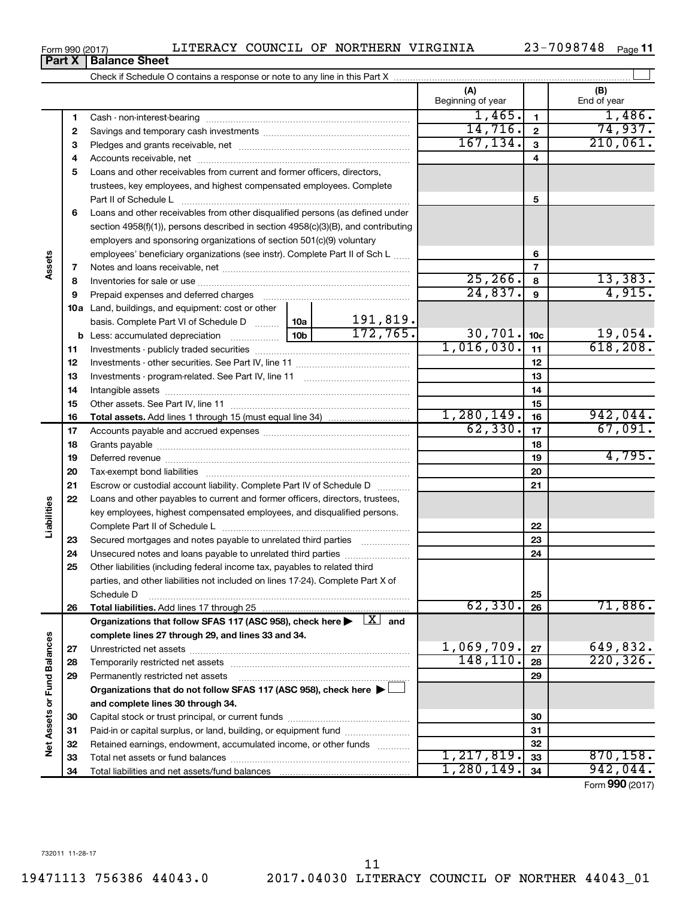**34**

**34**

1,280,149. 942,044.

Form (2017) **990**

| Form 990 (2017) |  | LITERACY COUNCIL OF NORTHERN VIRGINIA |  | 23-7098748 | Page 11 |
|-----------------|--|---------------------------------------|--|------------|---------|
|-----------------|--|---------------------------------------|--|------------|---------|

|                             |          |                                                                                                                              |            |            | (A)<br>Beginning of year |                 | (B)<br>End of year |
|-----------------------------|----------|------------------------------------------------------------------------------------------------------------------------------|------------|------------|--------------------------|-----------------|--------------------|
|                             | 1        |                                                                                                                              |            |            | 1,465.                   | 1               | 1,486.             |
|                             | 2        |                                                                                                                              |            |            | 14,716.                  | $\mathbf{2}$    | 74,937.            |
|                             | з        |                                                                                                                              | 167, 134.  | 3          | 210,061.                 |                 |                    |
|                             | 4        |                                                                                                                              |            |            |                          | 4               |                    |
|                             | 5        | Loans and other receivables from current and former officers, directors,                                                     |            |            |                          |                 |                    |
|                             |          | trustees, key employees, and highest compensated employees. Complete                                                         |            |            |                          |                 |                    |
|                             |          | Part II of Schedule L                                                                                                        |            |            |                          | 5               |                    |
|                             | 6        | Loans and other receivables from other disqualified persons (as defined under                                                |            |            |                          |                 |                    |
|                             |          | section $4958(f)(1)$ , persons described in section $4958(c)(3)(B)$ , and contributing                                       |            |            |                          |                 |                    |
|                             |          | employers and sponsoring organizations of section 501(c)(9) voluntary                                                        |            |            |                          |                 |                    |
| Assets                      |          | employees' beneficiary organizations (see instr). Complete Part II of Sch L                                                  |            |            |                          | 6               |                    |
|                             | 7        |                                                                                                                              |            |            | 25, 266.                 | $\overline{7}$  | 13,383.            |
|                             | 8<br>9   |                                                                                                                              |            |            | 24,837.                  | 8<br>9          | 4,915.             |
|                             |          |                                                                                                                              |            |            |                          |                 |                    |
|                             |          | <b>10a</b> Land, buildings, and equipment: cost or other<br>basis. Complete Part VI of Schedule D  10a                       |            | 191,819.   |                          |                 |                    |
|                             |          |                                                                                                                              |            | 172,765.   | 30,701.                  | 10 <sub>c</sub> | 19,054.            |
|                             | 11       |                                                                                                                              |            |            | 1,016,030.               | 11              | 618, 208.          |
|                             | 12       |                                                                                                                              |            |            |                          | 12              |                    |
|                             | 13       |                                                                                                                              |            |            |                          | 13              |                    |
|                             | 14       |                                                                                                                              |            | 14         |                          |                 |                    |
|                             | 15       |                                                                                                                              |            | 15         |                          |                 |                    |
|                             | 16       |                                                                                                                              | 1,280,149. | 16         | 942,044.                 |                 |                    |
|                             | 17       |                                                                                                                              | 62,330.    | 17         | 67,091.                  |                 |                    |
|                             | 18       |                                                                                                                              |            |            |                          | 18              |                    |
|                             | 19       |                                                                                                                              |            |            |                          | 19              | 4,795.             |
|                             | 20       |                                                                                                                              |            |            |                          | 20              |                    |
|                             | 21       | Escrow or custodial account liability. Complete Part IV of Schedule D                                                        |            |            |                          | 21              |                    |
|                             | 22       | Loans and other payables to current and former officers, directors, trustees,                                                |            |            |                          |                 |                    |
| Liabilities                 |          | key employees, highest compensated employees, and disqualified persons.                                                      |            |            |                          |                 |                    |
|                             |          |                                                                                                                              |            |            |                          | 22              |                    |
|                             | 23       | Secured mortgages and notes payable to unrelated third parties                                                               |            |            |                          | 23              |                    |
|                             | 24       | Unsecured notes and loans payable to unrelated third parties                                                                 |            |            |                          | 24              |                    |
|                             | 25       | Other liabilities (including federal income tax, payables to related third                                                   |            |            |                          |                 |                    |
|                             |          | parties, and other liabilities not included on lines 17-24). Complete Part X of                                              |            |            |                          |                 |                    |
|                             |          | Schedule D                                                                                                                   |            |            |                          | 25              |                    |
|                             | 26       | Total liabilities. Add lines 17 through 25                                                                                   |            |            | 62,330.                  | 26              | 71,886.            |
|                             |          | Organizations that follow SFAS 117 (ASC 958), check here $\blacktriangleright \begin{array}{c} \boxed{X} \\ \end{array}$ and |            |            |                          |                 |                    |
|                             |          | complete lines 27 through 29, and lines 33 and 34.                                                                           |            |            |                          |                 |                    |
|                             | 27       |                                                                                                                              |            | 1,069,709. | 27                       | 649,832.        |                    |
|                             | 28       |                                                                                                                              |            |            | 148, 110.                | 28              | 220, 326.          |
|                             | 29       | Permanently restricted net assets                                                                                            |            |            |                          | 29              |                    |
|                             |          | Organizations that do not follow SFAS 117 (ASC 958), check here ▶                                                            |            |            |                          |                 |                    |
|                             |          | and complete lines 30 through 34.                                                                                            |            |            |                          |                 |                    |
|                             | 30       |                                                                                                                              |            |            |                          | 30              |                    |
|                             | 31       | Paid-in or capital surplus, or land, building, or equipment fund                                                             |            |            |                          | 31              |                    |
| Net Assets or Fund Balances | 32<br>33 | Retained earnings, endowment, accumulated income, or other funds<br>Total net assets or fund balances                        |            |            | 1, 217, 819.             | 32<br>33        | 870, 158.          |
|                             |          |                                                                                                                              |            |            |                          |                 |                    |

Total liabilities and net assets/fund balances

**Part X** | Balance Sheet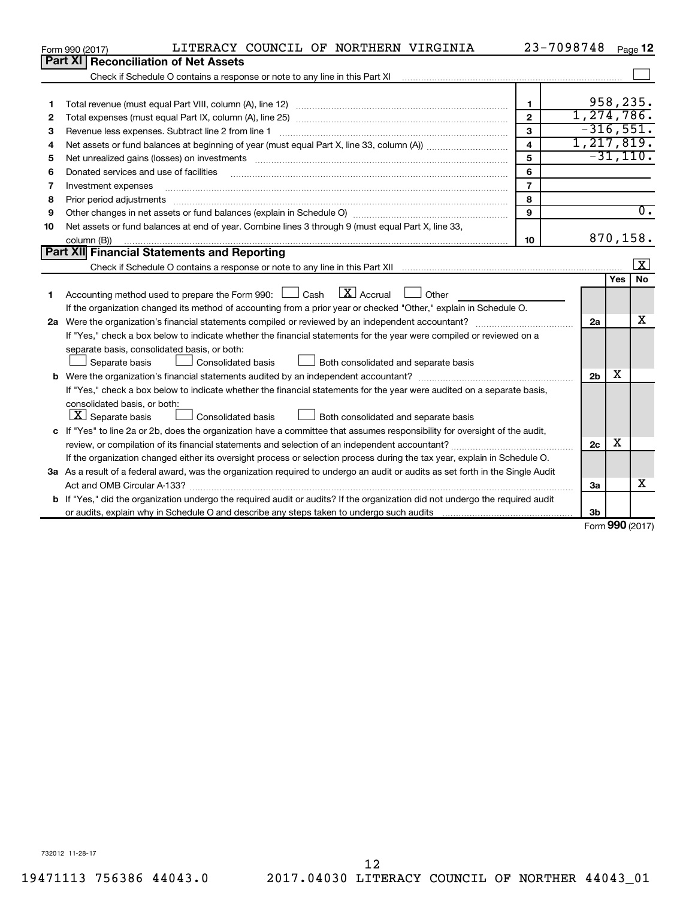|    | LITERACY COUNCIL OF NORTHERN VIRGINIA<br>Form 990 (2017)                                                                                                                                                                      |                         | 23-7098748     |                     | Page 12                 |
|----|-------------------------------------------------------------------------------------------------------------------------------------------------------------------------------------------------------------------------------|-------------------------|----------------|---------------------|-------------------------|
|    | Part XI   Reconciliation of Net Assets                                                                                                                                                                                        |                         |                |                     |                         |
|    |                                                                                                                                                                                                                               |                         |                |                     |                         |
|    |                                                                                                                                                                                                                               |                         |                |                     |                         |
| 1  |                                                                                                                                                                                                                               | $\mathbf{1}$            |                |                     | 958,235.                |
| 2  |                                                                                                                                                                                                                               | $\overline{2}$          | 1,274,786.     |                     |                         |
| З  | Revenue less expenses. Subtract line 2 from line 1                                                                                                                                                                            | 3                       | $-316,551.$    |                     |                         |
| 4  |                                                                                                                                                                                                                               | $\overline{\mathbf{4}}$ | 1, 217, 819.   |                     |                         |
| 5  | Net unrealized gains (losses) on investments [11] matter in the content of the state of the state of the state of the state of the state of the state of the state of the state of the state of the state of the state of the | 5                       |                |                     | $-31,110.$              |
| 6  | Donated services and use of facilities                                                                                                                                                                                        | 6                       |                |                     |                         |
| 7  | Investment expenses                                                                                                                                                                                                           | $\overline{7}$          |                |                     |                         |
| 8  |                                                                                                                                                                                                                               | 8                       |                |                     |                         |
| 9  |                                                                                                                                                                                                                               | 9                       |                |                     | $\overline{0}$ .        |
| 10 | Net assets or fund balances at end of year. Combine lines 3 through 9 (must equal Part X, line 33,                                                                                                                            |                         |                |                     |                         |
|    | column (B))                                                                                                                                                                                                                   | 10                      |                |                     | 870,158.                |
|    | Part XII Financial Statements and Reporting                                                                                                                                                                                   |                         |                |                     |                         |
|    |                                                                                                                                                                                                                               |                         |                |                     | $\overline{\mathbf{x}}$ |
|    |                                                                                                                                                                                                                               |                         |                | Yes                 | <b>No</b>               |
| 1  | Accounting method used to prepare the Form 990: $\Box$ Cash $\Box X$ Accrual<br>$\Box$ Other                                                                                                                                  |                         |                |                     |                         |
|    | If the organization changed its method of accounting from a prior year or checked "Other," explain in Schedule O.                                                                                                             |                         |                |                     |                         |
|    |                                                                                                                                                                                                                               |                         | 2a             |                     | x                       |
|    | If "Yes," check a box below to indicate whether the financial statements for the year were compiled or reviewed on a                                                                                                          |                         |                |                     |                         |
|    | separate basis, consolidated basis, or both:                                                                                                                                                                                  |                         |                |                     |                         |
|    | Both consolidated and separate basis<br>Separate basis<br>Consolidated basis                                                                                                                                                  |                         |                |                     |                         |
|    |                                                                                                                                                                                                                               |                         | 2 <sub>b</sub> | x                   |                         |
|    | If "Yes," check a box below to indicate whether the financial statements for the year were audited on a separate basis,                                                                                                       |                         |                |                     |                         |
|    | consolidated basis, or both:                                                                                                                                                                                                  |                         |                |                     |                         |
|    | $ \mathbf{X} $ Separate basis<br>Consolidated basis<br>Both consolidated and separate basis                                                                                                                                   |                         |                |                     |                         |
|    | c If "Yes" to line 2a or 2b, does the organization have a committee that assumes responsibility for oversight of the audit,                                                                                                   |                         |                |                     |                         |
|    | review, or compilation of its financial statements and selection of an independent accountant?                                                                                                                                |                         | 2c             | х                   |                         |
|    | If the organization changed either its oversight process or selection process during the tax year, explain in Schedule O.                                                                                                     |                         |                |                     |                         |
|    | 3a As a result of a federal award, was the organization required to undergo an audit or audits as set forth in the Single Audit                                                                                               |                         |                |                     |                         |
|    |                                                                                                                                                                                                                               |                         | За             |                     | x                       |
|    | b If "Yes," did the organization undergo the required audit or audits? If the organization did not undergo the required audit                                                                                                 |                         |                |                     |                         |
|    |                                                                                                                                                                                                                               |                         | 3b             | $000 \, \text{GeV}$ |                         |

Form (2017) **990**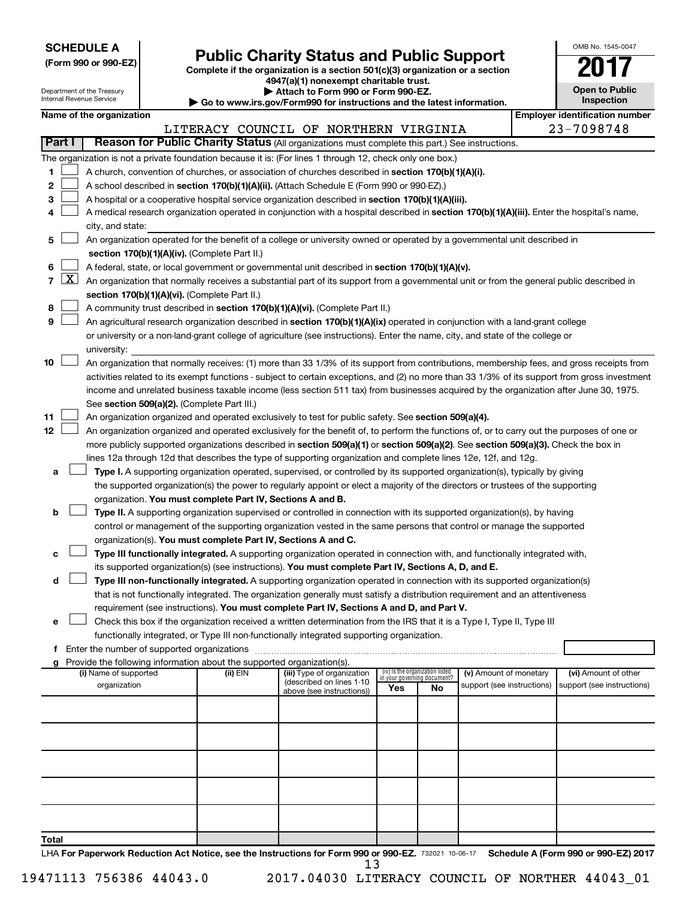| <b>SCHEDULE A</b> |  |
|-------------------|--|
|-------------------|--|

Department of the Treasury

| (Form 990 or 990-EZ) |  |  |
|----------------------|--|--|
|                      |  |  |

Form 990 or 990-EZ)<br>
Complete if the organization is a section 501(c)(3) organization or a section<br> **Public Charity Status and Public Support 4947(a)(1) nonexempt charitable trust.**

**| Attach to Form 990 or Form 990-EZ.** 

| OMB No 1545-0047                    |
|-------------------------------------|
|                                     |
| <b>Open to Public</b><br>Inspection |

|                | Internal Revenue Service<br>Inspection<br>Go to www.irs.gov/Form990 for instructions and the latest information. |                                       |                                               |  |          |                                                                                                                                                                                       |     |                                   |                                                      |                                       |
|----------------|------------------------------------------------------------------------------------------------------------------|---------------------------------------|-----------------------------------------------|--|----------|---------------------------------------------------------------------------------------------------------------------------------------------------------------------------------------|-----|-----------------------------------|------------------------------------------------------|---------------------------------------|
|                |                                                                                                                  | Name of the organization              |                                               |  |          |                                                                                                                                                                                       |     |                                   |                                                      | <b>Employer identification number</b> |
|                |                                                                                                                  |                                       |                                               |  |          | LITERACY COUNCIL OF NORTHERN VIRGINIA                                                                                                                                                 |     |                                   |                                                      | 23-7098748                            |
|                | <b>Part I</b>                                                                                                    |                                       |                                               |  |          | Reason for Public Charity Status (All organizations must complete this part.) See instructions.                                                                                       |     |                                   |                                                      |                                       |
|                |                                                                                                                  |                                       |                                               |  |          | The organization is not a private foundation because it is: (For lines 1 through 12, check only one box.)                                                                             |     |                                   |                                                      |                                       |
| 1              |                                                                                                                  |                                       |                                               |  |          | A church, convention of churches, or association of churches described in section 170(b)(1)(A)(i).                                                                                    |     |                                   |                                                      |                                       |
| 2              |                                                                                                                  |                                       |                                               |  |          | A school described in section 170(b)(1)(A)(ii). (Attach Schedule E (Form 990 or 990-EZ).)                                                                                             |     |                                   |                                                      |                                       |
| з              |                                                                                                                  |                                       |                                               |  |          | A hospital or a cooperative hospital service organization described in section 170(b)(1)(A)(iii).                                                                                     |     |                                   |                                                      |                                       |
| 4              |                                                                                                                  | city, and state:                      |                                               |  |          | A medical research organization operated in conjunction with a hospital described in section 170(b)(1)(A)(iii). Enter the hospital's name,                                            |     |                                   |                                                      |                                       |
| 5              |                                                                                                                  |                                       |                                               |  |          | An organization operated for the benefit of a college or university owned or operated by a governmental unit described in                                                             |     |                                   |                                                      |                                       |
|                |                                                                                                                  |                                       | section 170(b)(1)(A)(iv). (Complete Part II.) |  |          |                                                                                                                                                                                       |     |                                   |                                                      |                                       |
| 6              |                                                                                                                  |                                       |                                               |  |          | A federal, state, or local government or governmental unit described in section 170(b)(1)(A)(v).                                                                                      |     |                                   |                                                      |                                       |
| $\overline{7}$ | $\lfloor x \rfloor$                                                                                              |                                       |                                               |  |          | An organization that normally receives a substantial part of its support from a governmental unit or from the general public described in                                             |     |                                   |                                                      |                                       |
|                |                                                                                                                  |                                       | section 170(b)(1)(A)(vi). (Complete Part II.) |  |          |                                                                                                                                                                                       |     |                                   |                                                      |                                       |
| 8              |                                                                                                                  |                                       |                                               |  |          | A community trust described in section 170(b)(1)(A)(vi). (Complete Part II.)                                                                                                          |     |                                   |                                                      |                                       |
| 9              |                                                                                                                  |                                       |                                               |  |          | An agricultural research organization described in section 170(b)(1)(A)(ix) operated in conjunction with a land-grant college                                                         |     |                                   |                                                      |                                       |
|                |                                                                                                                  |                                       |                                               |  |          | or university or a non-land-grant college of agriculture (see instructions). Enter the name, city, and state of the college or                                                        |     |                                   |                                                      |                                       |
|                |                                                                                                                  | university:                           |                                               |  |          |                                                                                                                                                                                       |     |                                   |                                                      |                                       |
| 10             |                                                                                                                  |                                       |                                               |  |          | An organization that normally receives: (1) more than 33 1/3% of its support from contributions, membership fees, and gross receipts from                                             |     |                                   |                                                      |                                       |
|                |                                                                                                                  |                                       |                                               |  |          | activities related to its exempt functions - subject to certain exceptions, and (2) no more than 33 1/3% of its support from gross investment                                         |     |                                   |                                                      |                                       |
|                |                                                                                                                  |                                       |                                               |  |          | income and unrelated business taxable income (less section 511 tax) from businesses acquired by the organization after June 30, 1975.                                                 |     |                                   |                                                      |                                       |
|                |                                                                                                                  |                                       | See section 509(a)(2). (Complete Part III.)   |  |          |                                                                                                                                                                                       |     |                                   |                                                      |                                       |
| 11             |                                                                                                                  |                                       |                                               |  |          | An organization organized and operated exclusively to test for public safety. See section 509(a)(4).                                                                                  |     |                                   |                                                      |                                       |
| 12             |                                                                                                                  |                                       |                                               |  |          | An organization organized and operated exclusively for the benefit of, to perform the functions of, or to carry out the purposes of one or                                            |     |                                   |                                                      |                                       |
|                |                                                                                                                  |                                       |                                               |  |          | more publicly supported organizations described in section 509(a)(1) or section 509(a)(2). See section 509(a)(3). Check the box in                                                    |     |                                   |                                                      |                                       |
|                |                                                                                                                  |                                       |                                               |  |          | lines 12a through 12d that describes the type of supporting organization and complete lines 12e, 12f, and 12g.                                                                        |     |                                   |                                                      |                                       |
| а              |                                                                                                                  |                                       |                                               |  |          | Type I. A supporting organization operated, supervised, or controlled by its supported organization(s), typically by giving                                                           |     |                                   |                                                      |                                       |
|                |                                                                                                                  |                                       |                                               |  |          | the supported organization(s) the power to regularly appoint or elect a majority of the directors or trustees of the supporting                                                       |     |                                   |                                                      |                                       |
| b              |                                                                                                                  |                                       |                                               |  |          | organization. You must complete Part IV, Sections A and B.<br>Type II. A supporting organization supervised or controlled in connection with its supported organization(s), by having |     |                                   |                                                      |                                       |
|                |                                                                                                                  |                                       |                                               |  |          | control or management of the supporting organization vested in the same persons that control or manage the supported                                                                  |     |                                   |                                                      |                                       |
|                |                                                                                                                  |                                       |                                               |  |          | organization(s). You must complete Part IV, Sections A and C.                                                                                                                         |     |                                   |                                                      |                                       |
| с              |                                                                                                                  |                                       |                                               |  |          | Type III functionally integrated. A supporting organization operated in connection with, and functionally integrated with,                                                            |     |                                   |                                                      |                                       |
|                |                                                                                                                  |                                       |                                               |  |          | its supported organization(s) (see instructions). You must complete Part IV, Sections A, D, and E.                                                                                    |     |                                   |                                                      |                                       |
| d              |                                                                                                                  |                                       |                                               |  |          | Type III non-functionally integrated. A supporting organization operated in connection with its supported organization(s)                                                             |     |                                   |                                                      |                                       |
|                |                                                                                                                  |                                       |                                               |  |          | that is not functionally integrated. The organization generally must satisfy a distribution requirement and an attentiveness                                                          |     |                                   |                                                      |                                       |
|                |                                                                                                                  |                                       |                                               |  |          | requirement (see instructions). You must complete Part IV, Sections A and D, and Part V.                                                                                              |     |                                   |                                                      |                                       |
| e              |                                                                                                                  |                                       |                                               |  |          | Check this box if the organization received a written determination from the IRS that it is a Type I, Type II, Type III                                                               |     |                                   |                                                      |                                       |
|                |                                                                                                                  |                                       |                                               |  |          | functionally integrated, or Type III non-functionally integrated supporting organization.                                                                                             |     |                                   |                                                      |                                       |
|                |                                                                                                                  |                                       |                                               |  |          |                                                                                                                                                                                       |     |                                   |                                                      |                                       |
| g              |                                                                                                                  |                                       |                                               |  |          | Provide the following information about the supported organization(s).                                                                                                                |     | (iv) Is the organization listed   |                                                      | (vi) Amount of other                  |
|                |                                                                                                                  | (i) Name of supported<br>organization |                                               |  | (ii) EIN | (iii) Type of organization<br>(described on lines 1-10                                                                                                                                |     | in your governing document?<br>No | (v) Amount of monetary<br>support (see instructions) | support (see instructions)            |
|                |                                                                                                                  |                                       |                                               |  |          | above (see instructions))                                                                                                                                                             | Yes |                                   |                                                      |                                       |
|                |                                                                                                                  |                                       |                                               |  |          |                                                                                                                                                                                       |     |                                   |                                                      |                                       |
|                |                                                                                                                  |                                       |                                               |  |          |                                                                                                                                                                                       |     |                                   |                                                      |                                       |
|                |                                                                                                                  |                                       |                                               |  |          |                                                                                                                                                                                       |     |                                   |                                                      |                                       |
|                |                                                                                                                  |                                       |                                               |  |          |                                                                                                                                                                                       |     |                                   |                                                      |                                       |
|                |                                                                                                                  |                                       |                                               |  |          |                                                                                                                                                                                       |     |                                   |                                                      |                                       |
|                |                                                                                                                  |                                       |                                               |  |          |                                                                                                                                                                                       |     |                                   |                                                      |                                       |
|                |                                                                                                                  |                                       |                                               |  |          |                                                                                                                                                                                       |     |                                   |                                                      |                                       |
|                |                                                                                                                  |                                       |                                               |  |          |                                                                                                                                                                                       |     |                                   |                                                      |                                       |
| Total          |                                                                                                                  |                                       |                                               |  |          |                                                                                                                                                                                       |     |                                   |                                                      |                                       |

LHA For Paperwork Reduction Act Notice, see the Instructions for Form 990 or 990-EZ. 732021 10-06-17 Schedule A (Form 990 or 990-EZ) 2017 13

19471113 756386 44043.0 2017.04030 LITERACY COUNCIL OF NORTHER 44043\_01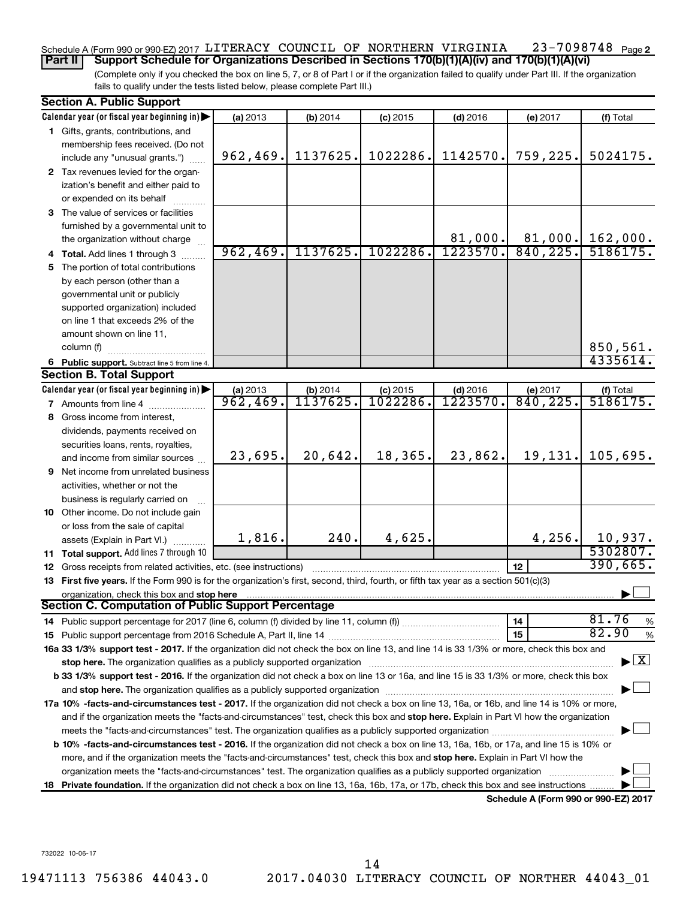#### 23-7098748 Page 2 Schedule A (Form 990 or 990-EZ) 2017 LITERACY COUNCIL OF NORTHERN VIRGINIA 23-7098748 Page **Part II Support Schedule for Organizations Described in Sections 170(b)(1)(A)(iv) and 170(b)(1)(A)(vi)**

(Complete only if you checked the box on line 5, 7, or 8 of Part I or if the organization failed to qualify under Part III. If the organization fails to qualify under the tests listed below, please complete Part III.)

|    | <b>Section A. Public Support</b>                                                                                                                                                                                              |          |          |            |                            |                                      |                                |
|----|-------------------------------------------------------------------------------------------------------------------------------------------------------------------------------------------------------------------------------|----------|----------|------------|----------------------------|--------------------------------------|--------------------------------|
|    | Calendar year (or fiscal year beginning in)                                                                                                                                                                                   | (a) 2013 | (b) 2014 | $(c)$ 2015 | $(d)$ 2016                 | (e) 2017                             | (f) Total                      |
|    | 1 Gifts, grants, contributions, and                                                                                                                                                                                           |          |          |            |                            |                                      |                                |
|    | membership fees received. (Do not                                                                                                                                                                                             |          |          |            |                            |                                      |                                |
|    | include any "unusual grants.")                                                                                                                                                                                                | 962,469. | 1137625. | 1022286.   | 1142570.                   | 759,225.                             | 5024175.                       |
|    | 2 Tax revenues levied for the organ-                                                                                                                                                                                          |          |          |            |                            |                                      |                                |
|    | ization's benefit and either paid to                                                                                                                                                                                          |          |          |            |                            |                                      |                                |
|    | or expended on its behalf                                                                                                                                                                                                     |          |          |            |                            |                                      |                                |
|    | 3 The value of services or facilities                                                                                                                                                                                         |          |          |            |                            |                                      |                                |
|    | furnished by a governmental unit to                                                                                                                                                                                           |          |          |            |                            |                                      |                                |
|    | the organization without charge                                                                                                                                                                                               |          |          |            | 81,000.                    |                                      | $81,000.$ 162,000.             |
|    | 4 Total. Add lines 1 through 3                                                                                                                                                                                                | 962,469. | 1137625. | 1022286.   | 1223570.                   | 840, 225.                            | 5186175.                       |
| 5. | The portion of total contributions                                                                                                                                                                                            |          |          |            |                            |                                      |                                |
|    | by each person (other than a                                                                                                                                                                                                  |          |          |            |                            |                                      |                                |
|    | governmental unit or publicly                                                                                                                                                                                                 |          |          |            |                            |                                      |                                |
|    | supported organization) included                                                                                                                                                                                              |          |          |            |                            |                                      |                                |
|    | on line 1 that exceeds 2% of the                                                                                                                                                                                              |          |          |            |                            |                                      |                                |
|    | amount shown on line 11,                                                                                                                                                                                                      |          |          |            |                            |                                      |                                |
|    | column (f)                                                                                                                                                                                                                    |          |          |            |                            |                                      | 850,561.                       |
|    | 6 Public support. Subtract line 5 from line 4.                                                                                                                                                                                |          |          |            |                            |                                      | 4335614.                       |
|    | <b>Section B. Total Support</b>                                                                                                                                                                                               |          |          |            |                            |                                      |                                |
|    | Calendar year (or fiscal year beginning in)                                                                                                                                                                                   | (a) 2013 | (b) 2014 | $(c)$ 2015 | $\frac{(d) 2016}{1223570}$ | (e) 2017                             | $(t)$ Total<br>5186175.        |
|    | 7 Amounts from line 4                                                                                                                                                                                                         | 962,469. | 1137625. | 1022286.   |                            | 840, 225.                            |                                |
|    | 8 Gross income from interest,                                                                                                                                                                                                 |          |          |            |                            |                                      |                                |
|    | dividends, payments received on                                                                                                                                                                                               |          |          |            |                            |                                      |                                |
|    | securities loans, rents, royalties,                                                                                                                                                                                           |          |          |            |                            |                                      |                                |
|    | and income from similar sources                                                                                                                                                                                               | 23,695.  | 20,642.  | 18,365.    | 23,862.                    | 19,131.                              | 105,695.                       |
|    | <b>9</b> Net income from unrelated business                                                                                                                                                                                   |          |          |            |                            |                                      |                                |
|    | activities, whether or not the                                                                                                                                                                                                |          |          |            |                            |                                      |                                |
|    | business is regularly carried on                                                                                                                                                                                              |          |          |            |                            |                                      |                                |
|    | 10 Other income. Do not include gain                                                                                                                                                                                          |          |          |            |                            |                                      |                                |
|    | or loss from the sale of capital                                                                                                                                                                                              |          |          |            |                            |                                      |                                |
|    | assets (Explain in Part VI.).                                                                                                                                                                                                 | 1,816.   | 240.     | 4,625.     |                            | 4,256.                               | 10,937.                        |
|    | <b>11 Total support.</b> Add lines 7 through 10                                                                                                                                                                               |          |          |            |                            |                                      | 5302807.                       |
|    | 12 Gross receipts from related activities, etc. (see instructions)                                                                                                                                                            |          |          |            |                            | 12                                   | 390,665.                       |
|    | 13 First five years. If the Form 990 is for the organization's first, second, third, fourth, or fifth tax year as a section 501(c)(3)                                                                                         |          |          |            |                            |                                      |                                |
|    | organization, check this box and stop here                                                                                                                                                                                    |          |          |            |                            |                                      |                                |
|    | Section C. Computation of Public Support Percentage                                                                                                                                                                           |          |          |            |                            |                                      |                                |
|    | 14 Public support percentage for 2017 (line 6, column (f) divided by line 11, column (f) <i>mummumumum</i>                                                                                                                    |          |          |            |                            | 14                                   | 81.76<br>%                     |
|    |                                                                                                                                                                                                                               |          |          |            |                            | 15                                   | 82.90<br>$\%$                  |
|    | 16a 33 1/3% support test - 2017. If the organization did not check the box on line 13, and line 14 is 33 1/3% or more, check this box and                                                                                     |          |          |            |                            |                                      |                                |
|    | stop here. The organization qualifies as a publicly supported organization manufaction manufacture or the organization manufacture or the organization manufacture or the organization of the state of the state of the state |          |          |            |                            |                                      | $\blacktriangleright$ $\mid$ X |
|    | b 33 1/3% support test - 2016. If the organization did not check a box on line 13 or 16a, and line 15 is 33 1/3% or more, check this box                                                                                      |          |          |            |                            |                                      |                                |
|    |                                                                                                                                                                                                                               |          |          |            |                            |                                      |                                |
|    | 17a 10% -facts-and-circumstances test - 2017. If the organization did not check a box on line 13, 16a, or 16b, and line 14 is 10% or more,                                                                                    |          |          |            |                            |                                      |                                |
|    | and if the organization meets the "facts-and-circumstances" test, check this box and stop here. Explain in Part VI how the organization                                                                                       |          |          |            |                            |                                      |                                |
|    |                                                                                                                                                                                                                               |          |          |            |                            |                                      |                                |
|    | b 10% -facts-and-circumstances test - 2016. If the organization did not check a box on line 13, 16a, 16b, or 17a, and line 15 is 10% or                                                                                       |          |          |            |                            |                                      |                                |
|    | more, and if the organization meets the "facts-and-circumstances" test, check this box and stop here. Explain in Part VI how the                                                                                              |          |          |            |                            |                                      |                                |
|    | organization meets the "facts-and-circumstances" test. The organization qualifies as a publicly supported organization                                                                                                        |          |          |            |                            |                                      |                                |
| 18 | Private foundation. If the organization did not check a box on line 13, 16a, 16b, 17a, or 17b, check this box and see instructions                                                                                            |          |          |            |                            |                                      |                                |
|    |                                                                                                                                                                                                                               |          |          |            |                            | Schedule A (Form 990 or 990-EZ) 2017 |                                |

732022 10-06-17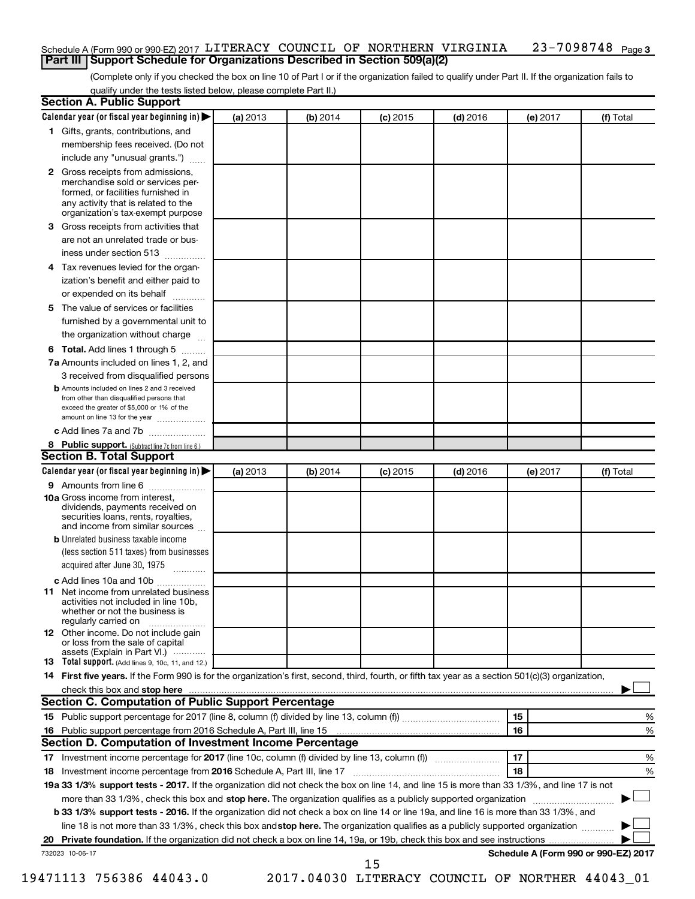#### 23-7098748 Page 3 Schedule A (Form 990 or 990-EZ) 2017 LITERACY COUNCIL OF NORTHERN VIRGINIA 23-7098748 Page **Part III Support Schedule for Organizations Described in Section 509(a)(2)**

(Complete only if you checked the box on line 10 of Part I or if the organization failed to qualify under Part II. If the organization fails to qualify under the tests listed below, please complete Part II.)

| <b>Section A. Public Support</b>                                                                                                                                                                                               |          |          |            |            |          |                                      |
|--------------------------------------------------------------------------------------------------------------------------------------------------------------------------------------------------------------------------------|----------|----------|------------|------------|----------|--------------------------------------|
| Calendar year (or fiscal year beginning in)                                                                                                                                                                                    | (a) 2013 | (b) 2014 | $(c)$ 2015 | $(d)$ 2016 | (e) 2017 | (f) Total                            |
| 1 Gifts, grants, contributions, and                                                                                                                                                                                            |          |          |            |            |          |                                      |
| membership fees received. (Do not                                                                                                                                                                                              |          |          |            |            |          |                                      |
| include any "unusual grants.")                                                                                                                                                                                                 |          |          |            |            |          |                                      |
| 2 Gross receipts from admissions,<br>merchandise sold or services per-<br>formed, or facilities furnished in<br>any activity that is related to the<br>organization's tax-exempt purpose                                       |          |          |            |            |          |                                      |
| 3 Gross receipts from activities that                                                                                                                                                                                          |          |          |            |            |          |                                      |
| are not an unrelated trade or bus-                                                                                                                                                                                             |          |          |            |            |          |                                      |
| iness under section 513                                                                                                                                                                                                        |          |          |            |            |          |                                      |
| 4 Tax revenues levied for the organ-                                                                                                                                                                                           |          |          |            |            |          |                                      |
| ization's benefit and either paid to                                                                                                                                                                                           |          |          |            |            |          |                                      |
| or expended on its behalf<br>.                                                                                                                                                                                                 |          |          |            |            |          |                                      |
| 5 The value of services or facilities                                                                                                                                                                                          |          |          |            |            |          |                                      |
| furnished by a governmental unit to                                                                                                                                                                                            |          |          |            |            |          |                                      |
| the organization without charge                                                                                                                                                                                                |          |          |            |            |          |                                      |
| 6 Total. Add lines 1 through 5                                                                                                                                                                                                 |          |          |            |            |          |                                      |
| 7a Amounts included on lines 1, 2, and                                                                                                                                                                                         |          |          |            |            |          |                                      |
| 3 received from disqualified persons                                                                                                                                                                                           |          |          |            |            |          |                                      |
| <b>b</b> Amounts included on lines 2 and 3 received<br>from other than disqualified persons that<br>exceed the greater of \$5,000 or 1% of the<br>amount on line 13 for the year                                               |          |          |            |            |          |                                      |
| c Add lines 7a and 7b                                                                                                                                                                                                          |          |          |            |            |          |                                      |
| 8 Public support. (Subtract line 7c from line 6.)                                                                                                                                                                              |          |          |            |            |          |                                      |
| <b>Section B. Total Support</b>                                                                                                                                                                                                |          |          |            |            |          |                                      |
| Calendar year (or fiscal year beginning in)                                                                                                                                                                                    | (a) 2013 | (b) 2014 | $(c)$ 2015 | $(d)$ 2016 | (e) 2017 | (f) Total                            |
| <b>9</b> Amounts from line 6                                                                                                                                                                                                   |          |          |            |            |          |                                      |
| <b>10a</b> Gross income from interest,<br>dividends, payments received on<br>securities loans, rents, royalties,<br>and income from similar sources                                                                            |          |          |            |            |          |                                      |
| <b>b</b> Unrelated business taxable income                                                                                                                                                                                     |          |          |            |            |          |                                      |
| (less section 511 taxes) from businesses<br>acquired after June 30, 1975                                                                                                                                                       |          |          |            |            |          |                                      |
| c Add lines 10a and 10b                                                                                                                                                                                                        |          |          |            |            |          |                                      |
| 11 Net income from unrelated business<br>activities not included in line 10b.<br>whether or not the business is<br>regularly carried on                                                                                        |          |          |            |            |          |                                      |
| <b>12</b> Other income. Do not include gain<br>or loss from the sale of capital<br>assets (Explain in Part VI.)                                                                                                                |          |          |            |            |          |                                      |
| <b>13</b> Total support. (Add lines 9, 10c, 11, and 12.)                                                                                                                                                                       |          |          |            |            |          |                                      |
| 14 First five years. If the Form 990 is for the organization's first, second, third, fourth, or fifth tax year as a section 501(c)(3) organization,                                                                            |          |          |            |            |          |                                      |
| check this box and stop here manufactured and stop here and stop here are manufactured and stop here and stop here and stop here and stop here and stop here and stop here and stop here are all the stop of the stop of the s |          |          |            |            |          |                                      |
| Section C. Computation of Public Support Percentage                                                                                                                                                                            |          |          |            |            |          |                                      |
|                                                                                                                                                                                                                                |          |          |            |            | 15       | ℅                                    |
| 16 Public support percentage from 2016 Schedule A, Part III, line 15                                                                                                                                                           |          |          |            |            | 16       | %                                    |
| Section D. Computation of Investment Income Percentage                                                                                                                                                                         |          |          |            |            |          |                                      |
|                                                                                                                                                                                                                                |          |          |            |            | 17       | %                                    |
| 18 Investment income percentage from 2016 Schedule A, Part III, line 17                                                                                                                                                        |          |          |            |            | 18       | %                                    |
| 19a 33 1/3% support tests - 2017. If the organization did not check the box on line 14, and line 15 is more than 33 1/3%, and line 17 is not                                                                                   |          |          |            |            |          |                                      |
| more than 33 1/3%, check this box and stop here. The organization qualifies as a publicly supported organization                                                                                                               |          |          |            |            |          |                                      |
| b 33 1/3% support tests - 2016. If the organization did not check a box on line 14 or line 19a, and line 16 is more than 33 1/3%, and                                                                                          |          |          |            |            |          |                                      |
| line 18 is not more than 33 1/3%, check this box and stop here. The organization qualifies as a publicly supported organization                                                                                                |          |          |            |            |          |                                      |
|                                                                                                                                                                                                                                |          |          |            |            |          |                                      |
| 732023 10-06-17                                                                                                                                                                                                                |          |          | 15         |            |          | Schedule A (Form 990 or 990-EZ) 2017 |

19471113 756386 44043.0 2017.04030 LITERACY COUNCIL OF NORTHER 44043\_01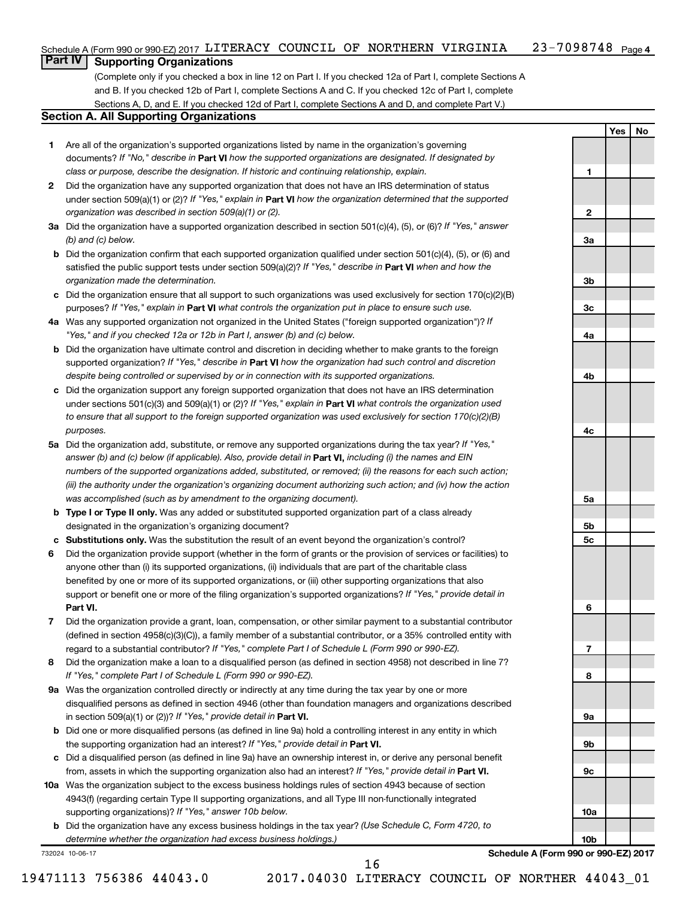## **Part IV Supporting Organizations**

(Complete only if you checked a box in line 12 on Part I. If you checked 12a of Part I, complete Sections A and B. If you checked 12b of Part I, complete Sections A and C. If you checked 12c of Part I, complete Sections A, D, and E. If you checked 12d of Part I, complete Sections A and D, and complete Part V.)

### **Section A. All Supporting Organizations**

- **1** Are all of the organization's supported organizations listed by name in the organization's governing documents? If "No," describe in Part VI how the supported organizations are designated. If designated by *class or purpose, describe the designation. If historic and continuing relationship, explain.*
- **2** Did the organization have any supported organization that does not have an IRS determination of status under section 509(a)(1) or (2)? If "Yes," explain in Part **VI** how the organization determined that the supported *organization was described in section 509(a)(1) or (2).*
- **3a** Did the organization have a supported organization described in section 501(c)(4), (5), or (6)? If "Yes," answer *(b) and (c) below.*
- **b** Did the organization confirm that each supported organization qualified under section 501(c)(4), (5), or (6) and satisfied the public support tests under section 509(a)(2)? If "Yes," describe in Part VI when and how the *organization made the determination.*
- **c** Did the organization ensure that all support to such organizations was used exclusively for section 170(c)(2)(B) purposes? If "Yes," explain in Part VI what controls the organization put in place to ensure such use.
- **4 a** *If* Was any supported organization not organized in the United States ("foreign supported organization")? *"Yes," and if you checked 12a or 12b in Part I, answer (b) and (c) below.*
- **b** Did the organization have ultimate control and discretion in deciding whether to make grants to the foreign supported organization? If "Yes," describe in Part VI how the organization had such control and discretion *despite being controlled or supervised by or in connection with its supported organizations.*
- **c** Did the organization support any foreign supported organization that does not have an IRS determination under sections 501(c)(3) and 509(a)(1) or (2)? If "Yes," explain in Part VI what controls the organization used *to ensure that all support to the foreign supported organization was used exclusively for section 170(c)(2)(B) purposes.*
- **5a** Did the organization add, substitute, or remove any supported organizations during the tax year? If "Yes," answer (b) and (c) below (if applicable). Also, provide detail in **Part VI,** including (i) the names and EIN *numbers of the supported organizations added, substituted, or removed; (ii) the reasons for each such action; (iii) the authority under the organization's organizing document authorizing such action; and (iv) how the action was accomplished (such as by amendment to the organizing document).*
- **b** Type I or Type II only. Was any added or substituted supported organization part of a class already designated in the organization's organizing document?
- **c Substitutions only.**  Was the substitution the result of an event beyond the organization's control?
- **6** Did the organization provide support (whether in the form of grants or the provision of services or facilities) to **Part VI.** support or benefit one or more of the filing organization's supported organizations? If "Yes," provide detail in anyone other than (i) its supported organizations, (ii) individuals that are part of the charitable class benefited by one or more of its supported organizations, or (iii) other supporting organizations that also
- **7** Did the organization provide a grant, loan, compensation, or other similar payment to a substantial contributor regard to a substantial contributor? If "Yes," complete Part I of Schedule L (Form 990 or 990-EZ). (defined in section 4958(c)(3)(C)), a family member of a substantial contributor, or a 35% controlled entity with
- **8** Did the organization make a loan to a disqualified person (as defined in section 4958) not described in line 7? *If "Yes," complete Part I of Schedule L (Form 990 or 990-EZ).*
- **9 a** Was the organization controlled directly or indirectly at any time during the tax year by one or more in section 509(a)(1) or (2))? If "Yes," provide detail in **Part VI.** disqualified persons as defined in section 4946 (other than foundation managers and organizations described
- **b** Did one or more disqualified persons (as defined in line 9a) hold a controlling interest in any entity in which the supporting organization had an interest? If "Yes," provide detail in Part VI.
- **c** Did a disqualified person (as defined in line 9a) have an ownership interest in, or derive any personal benefit from, assets in which the supporting organization also had an interest? If "Yes," provide detail in Part VI.
- **10 a** Was the organization subject to the excess business holdings rules of section 4943 because of section supporting organizations)? If "Yes," answer 10b below. 4943(f) (regarding certain Type II supporting organizations, and all Type III non-functionally integrated
	- **b** Did the organization have any excess business holdings in the tax year? (Use Schedule C, Form 4720, to *determine whether the organization had excess business holdings.)*

732024 10-06-17

**Schedule A (Form 990 or 990-EZ) 2017**

**Yes No**

**1**

**2**

**3a**

**3b**

**3c**

**4a**

**4b**

**4c**

**5a**

**5b 5c**

**6**

**7**

**8**

**9a**

**9b**

**9c**

**10a**

**10b**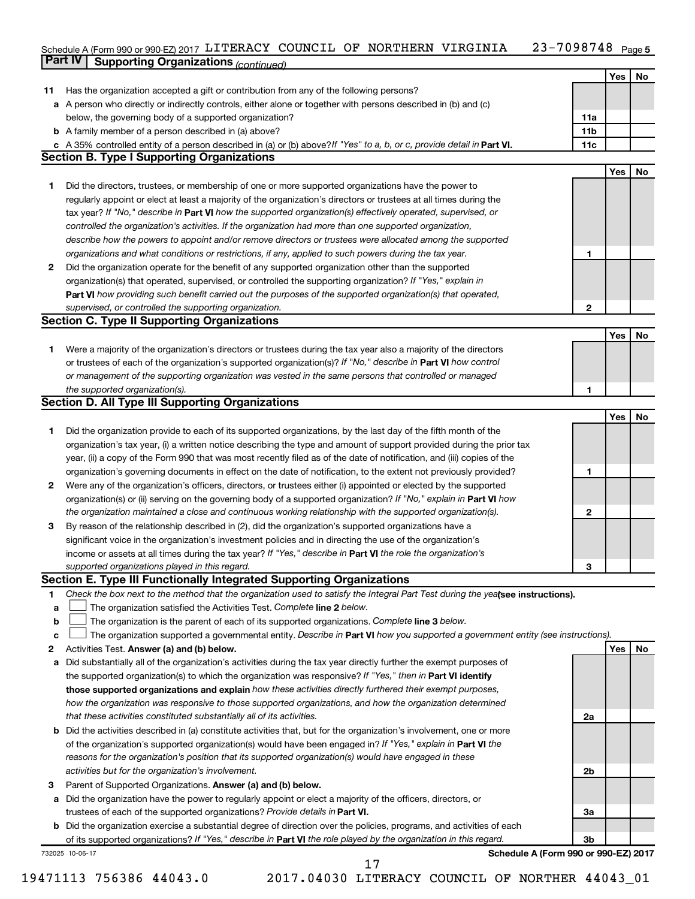#### 23-7098748 Page 5 Schedule A (Form 990 or 990-EZ) 2017 LITERACY COUNCIL OF NORTHERN VIRGINIA 23-1098148 Page **Part IV Supporting Organizations** *(continued)* LITERACY COUNCIL OF NORTHERN VIRGINIA 23-7098748

|              | <i>continued) component of the biggs of gamzations (continued)</i>                                                              |     |     |    |
|--------------|---------------------------------------------------------------------------------------------------------------------------------|-----|-----|----|
|              |                                                                                                                                 |     | Yes | No |
| 11           | Has the organization accepted a gift or contribution from any of the following persons?                                         |     |     |    |
|              | a A person who directly or indirectly controls, either alone or together with persons described in (b) and (c)                  |     |     |    |
|              | below, the governing body of a supported organization?                                                                          | 11a |     |    |
|              | <b>b</b> A family member of a person described in (a) above?                                                                    | 11b |     |    |
|              | c A 35% controlled entity of a person described in (a) or (b) above? If "Yes" to a, b, or c, provide detail in Part VI.         | 11c |     |    |
|              | <b>Section B. Type I Supporting Organizations</b>                                                                               |     |     |    |
|              |                                                                                                                                 |     | Yes | No |
| 1.           | Did the directors, trustees, or membership of one or more supported organizations have the power to                             |     |     |    |
|              | regularly appoint or elect at least a majority of the organization's directors or trustees at all times during the              |     |     |    |
|              | tax year? If "No," describe in Part VI how the supported organization(s) effectively operated, supervised, or                   |     |     |    |
|              | controlled the organization's activities. If the organization had more than one supported organization,                         |     |     |    |
|              | describe how the powers to appoint and/or remove directors or trustees were allocated among the supported                       |     |     |    |
|              | organizations and what conditions or restrictions, if any, applied to such powers during the tax year.                          | 1   |     |    |
|              |                                                                                                                                 |     |     |    |
| $\mathbf{2}$ | Did the organization operate for the benefit of any supported organization other than the supported                             |     |     |    |
|              | organization(s) that operated, supervised, or controlled the supporting organization? If "Yes," explain in                      |     |     |    |
|              | Part VI how providing such benefit carried out the purposes of the supported organization(s) that operated,                     |     |     |    |
|              | supervised, or controlled the supporting organization.                                                                          | 2   |     |    |
|              | <b>Section C. Type II Supporting Organizations</b>                                                                              |     |     |    |
|              |                                                                                                                                 |     | Yes | No |
| 1.           | Were a majority of the organization's directors or trustees during the tax year also a majority of the directors                |     |     |    |
|              | or trustees of each of the organization's supported organization(s)? If "No," describe in Part VI how control                   |     |     |    |
|              | or management of the supporting organization was vested in the same persons that controlled or managed                          |     |     |    |
|              | the supported organization(s).                                                                                                  | 1   |     |    |
|              | <b>Section D. All Type III Supporting Organizations</b>                                                                         |     |     |    |
|              |                                                                                                                                 |     | Yes | No |
| 1.           | Did the organization provide to each of its supported organizations, by the last day of the fifth month of the                  |     |     |    |
|              | organization's tax year, (i) a written notice describing the type and amount of support provided during the prior tax           |     |     |    |
|              | year, (ii) a copy of the Form 990 that was most recently filed as of the date of notification, and (iii) copies of the          |     |     |    |
|              | organization's governing documents in effect on the date of notification, to the extent not previously provided?                | 1   |     |    |
| $\mathbf{2}$ | Were any of the organization's officers, directors, or trustees either (i) appointed or elected by the supported                |     |     |    |
|              | organization(s) or (ii) serving on the governing body of a supported organization? If "No," explain in Part VI how              |     |     |    |
|              | the organization maintained a close and continuous working relationship with the supported organization(s).                     | 2   |     |    |
| 3            | By reason of the relationship described in (2), did the organization's supported organizations have a                           |     |     |    |
|              | significant voice in the organization's investment policies and in directing the use of the organization's                      |     |     |    |
|              | income or assets at all times during the tax year? If "Yes," describe in Part VI the role the organization's                    |     |     |    |
|              | supported organizations played in this regard.                                                                                  | 3   |     |    |
|              | Section E. Type III Functionally Integrated Supporting Organizations                                                            |     |     |    |
| 1            | Check the box next to the method that the organization used to satisfy the Integral Part Test during the yealsee instructions). |     |     |    |
| a            | The organization satisfied the Activities Test. Complete line 2 below.                                                          |     |     |    |
| b            | The organization is the parent of each of its supported organizations. Complete line 3 below.                                   |     |     |    |
| c            | The organization supported a governmental entity. Describe in Part VI how you supported a government entity (see instructions). |     |     |    |
| 2            | Activities Test. Answer (a) and (b) below.                                                                                      |     | Yes | No |
|              | Did substantially all of the organization's activities during the tax year directly further the exempt purposes of              |     |     |    |
| а            |                                                                                                                                 |     |     |    |
|              | the supported organization(s) to which the organization was responsive? If "Yes," then in Part VI identify                      |     |     |    |
|              | those supported organizations and explain how these activities directly furthered their exempt purposes,                        |     |     |    |
|              | how the organization was responsive to those supported organizations, and how the organization determined                       |     |     |    |
|              | that these activities constituted substantially all of its activities.                                                          | 2a  |     |    |
| b            | Did the activities described in (a) constitute activities that, but for the organization's involvement, one or more             |     |     |    |
|              | of the organization's supported organization(s) would have been engaged in? If "Yes," explain in Part VI the                    |     |     |    |
|              | reasons for the organization's position that its supported organization(s) would have engaged in these                          |     |     |    |
|              | activities but for the organization's involvement.                                                                              | 2b  |     |    |
| з            | Parent of Supported Organizations. Answer (a) and (b) below.                                                                    |     |     |    |
| а            | Did the organization have the power to regularly appoint or elect a majority of the officers, directors, or                     |     |     |    |
|              | trustees of each of the supported organizations? Provide details in Part VI.                                                    | За  |     |    |
| b            | Did the organization exercise a substantial degree of direction over the policies, programs, and activities of each             |     |     |    |
|              | of its supported organizations? If "Yes," describe in Part VI the role played by the organization in this regard.               | 3b  |     |    |
|              | Schedule A (Form 990 or 990-EZ) 2017<br>732025 10-06-17                                                                         |     |     |    |
|              | 17                                                                                                                              |     |     |    |

<sup>19471113 756386 44043.0 2017.04030</sup> LITERACY COUNCIL OF NORTHER 44043\_01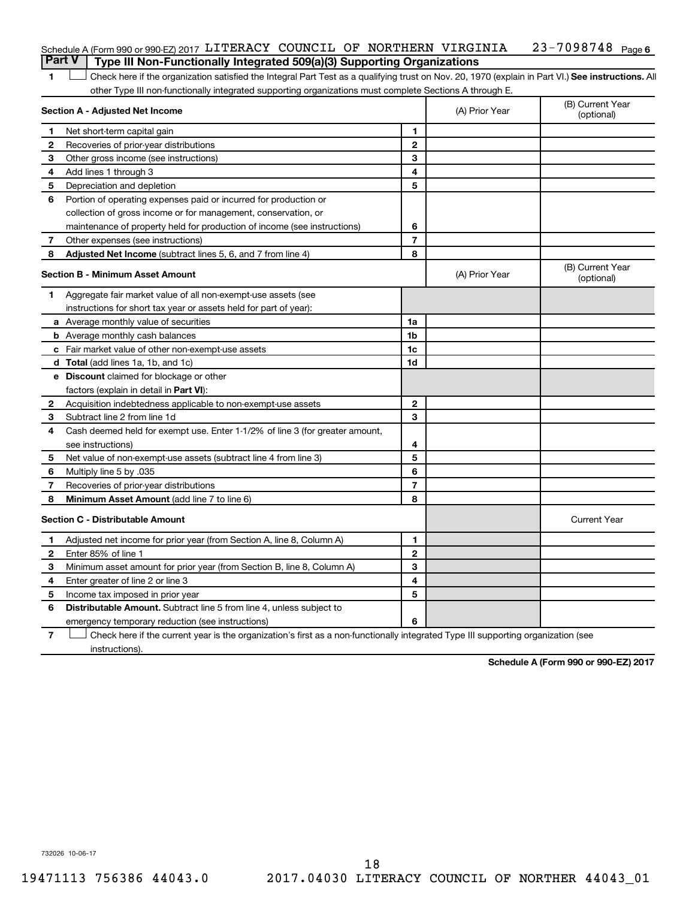| Schedule A (Form 990 or 990-EZ) 2017 LITERACY COUNCIL OF NORTHERN VIRGINIA<br><b>Part V</b> Type III Non-Functionally Integrated 509(a)(3) Supporting Organizations |  |  | 23-7098748 <sub>Page 6</sub> |  |
|---------------------------------------------------------------------------------------------------------------------------------------------------------------------|--|--|------------------------------|--|
|                                                                                                                                                                     |  |  |                              |  |

1 **Letter See instructions.** All Check here if the organization satisfied the Integral Part Test as a qualifying trust on Nov. 20, 1970 (explain in Part VI.) See instructions. All other Type III non-functionally integrated supporting organizations must complete Sections A through E.

|              | Section A - Adjusted Net Income                                              |                | (A) Prior Year | (B) Current Year<br>(optional) |
|--------------|------------------------------------------------------------------------------|----------------|----------------|--------------------------------|
| 1            | Net short-term capital gain                                                  | 1              |                |                                |
| 2            | Recoveries of prior-year distributions                                       | $\mathbf{2}$   |                |                                |
| З            | Other gross income (see instructions)                                        | 3              |                |                                |
| 4            | Add lines 1 through 3                                                        | 4              |                |                                |
| 5            | Depreciation and depletion                                                   | 5              |                |                                |
| 6            | Portion of operating expenses paid or incurred for production or             |                |                |                                |
|              | collection of gross income or for management, conservation, or               |                |                |                                |
|              | maintenance of property held for production of income (see instructions)     | 6              |                |                                |
| 7            | Other expenses (see instructions)                                            | $\overline{7}$ |                |                                |
| 8            | Adjusted Net Income (subtract lines 5, 6, and 7 from line 4)                 | 8              |                |                                |
|              | <b>Section B - Minimum Asset Amount</b>                                      |                | (A) Prior Year | (B) Current Year<br>(optional) |
| 1            | Aggregate fair market value of all non-exempt-use assets (see                |                |                |                                |
|              | instructions for short tax year or assets held for part of year):            |                |                |                                |
|              | <b>a</b> Average monthly value of securities                                 | 1a             |                |                                |
|              | <b>b</b> Average monthly cash balances                                       | 1 <sub>b</sub> |                |                                |
|              | c Fair market value of other non-exempt-use assets                           | 1c             |                |                                |
|              | d Total (add lines 1a, 1b, and 1c)                                           | 1d             |                |                                |
|              | e Discount claimed for blockage or other                                     |                |                |                                |
|              | factors (explain in detail in <b>Part VI</b> ):                              |                |                |                                |
| $\mathbf{2}$ | Acquisition indebtedness applicable to non-exempt-use assets                 | $\mathbf{2}$   |                |                                |
| 3            | Subtract line 2 from line 1d                                                 | 3              |                |                                |
| 4            | Cash deemed held for exempt use. Enter 1-1/2% of line 3 (for greater amount, |                |                |                                |
|              | see instructions)                                                            | 4              |                |                                |
| 5            | Net value of non-exempt-use assets (subtract line 4 from line 3)             | 5              |                |                                |
| 6            | Multiply line 5 by .035                                                      | 6              |                |                                |
| 7            | Recoveries of prior-year distributions                                       | $\overline{7}$ |                |                                |
| 8            | Minimum Asset Amount (add line 7 to line 6)                                  | 8              |                |                                |
|              | <b>Section C - Distributable Amount</b>                                      |                |                | <b>Current Year</b>            |
| 1            | Adjusted net income for prior year (from Section A, line 8, Column A)        | 1              |                |                                |
| 2            | Enter 85% of line 1                                                          | $\mathbf{2}$   |                |                                |
| 3            | Minimum asset amount for prior year (from Section B, line 8, Column A)       | 3              |                |                                |
| 4            | Enter greater of line 2 or line 3                                            | 4              |                |                                |
| 5            | Income tax imposed in prior year                                             | 5              |                |                                |
| 6            | <b>Distributable Amount.</b> Subtract line 5 from line 4, unless subject to  |                |                |                                |
|              | emergency temporary reduction (see instructions)                             | 6              |                |                                |
|              |                                                                              |                |                |                                |

**7** Check here if the current year is the organization's first as a non-functionally integrated Type III supporting organization (see † instructions).

**Schedule A (Form 990 or 990-EZ) 2017**

732026 10-06-17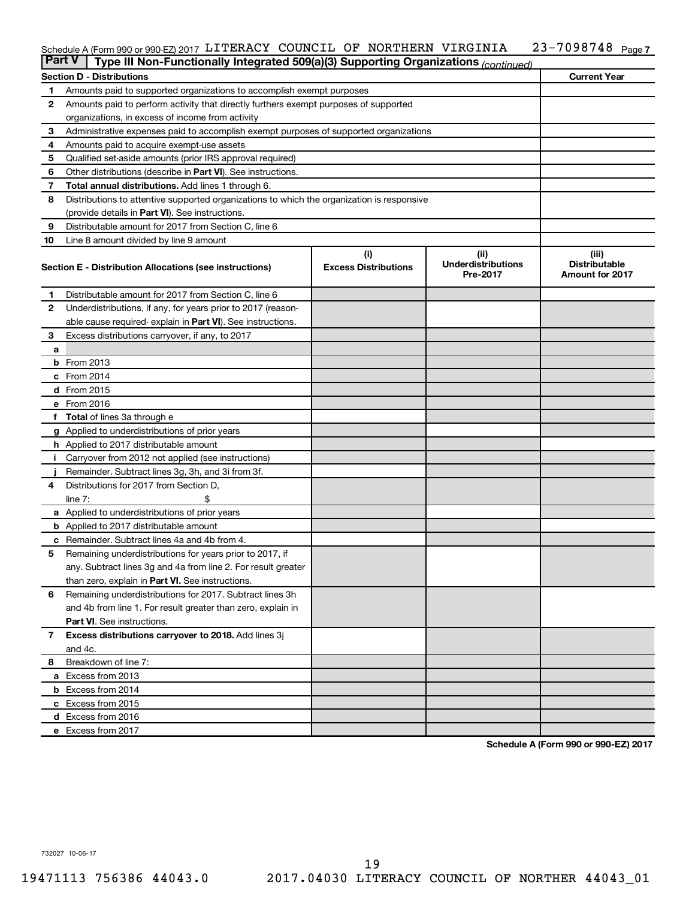#### 23-7098748 Page 7 Schedule A (Form 990 or 990-EZ) 2017 LITERACY COUNCIL OF NORTHERN VIRGINIA 23-1098148 Page LITERACY COUNCIL OF NORTHERN VIRGINIA 23-7098748

| <b>Part V</b> | Type III Non-Functionally Integrated 509(a)(3) Supporting Organizations (continued)        |                                    |                                               |                                                         |
|---------------|--------------------------------------------------------------------------------------------|------------------------------------|-----------------------------------------------|---------------------------------------------------------|
|               | <b>Section D - Distributions</b>                                                           |                                    |                                               | <b>Current Year</b>                                     |
| 1             | Amounts paid to supported organizations to accomplish exempt purposes                      |                                    |                                               |                                                         |
| 2             | Amounts paid to perform activity that directly furthers exempt purposes of supported       |                                    |                                               |                                                         |
|               | organizations, in excess of income from activity                                           |                                    |                                               |                                                         |
| 3             | Administrative expenses paid to accomplish exempt purposes of supported organizations      |                                    |                                               |                                                         |
| 4             | Amounts paid to acquire exempt-use assets                                                  |                                    |                                               |                                                         |
| 5             | Qualified set-aside amounts (prior IRS approval required)                                  |                                    |                                               |                                                         |
| 6             | Other distributions (describe in Part VI). See instructions.                               |                                    |                                               |                                                         |
| 7             | Total annual distributions. Add lines 1 through 6.                                         |                                    |                                               |                                                         |
| 8             | Distributions to attentive supported organizations to which the organization is responsive |                                    |                                               |                                                         |
|               | (provide details in Part VI). See instructions.                                            |                                    |                                               |                                                         |
| 9             | Distributable amount for 2017 from Section C, line 6                                       |                                    |                                               |                                                         |
| 10            | Line 8 amount divided by line 9 amount                                                     |                                    |                                               |                                                         |
|               | Section E - Distribution Allocations (see instructions)                                    | (i)<br><b>Excess Distributions</b> | (ii)<br><b>Underdistributions</b><br>Pre-2017 | (iii)<br><b>Distributable</b><br><b>Amount for 2017</b> |
| 1.            | Distributable amount for 2017 from Section C, line 6                                       |                                    |                                               |                                                         |
| $\mathbf{2}$  | Underdistributions, if any, for years prior to 2017 (reason-                               |                                    |                                               |                                                         |
|               | able cause required- explain in Part VI). See instructions.                                |                                    |                                               |                                                         |
| 3             | Excess distributions carryover, if any, to 2017                                            |                                    |                                               |                                                         |
| a             |                                                                                            |                                    |                                               |                                                         |
|               | <b>b</b> From 2013                                                                         |                                    |                                               |                                                         |
|               | c From 2014                                                                                |                                    |                                               |                                                         |
|               | d From 2015                                                                                |                                    |                                               |                                                         |
|               | e From 2016                                                                                |                                    |                                               |                                                         |
|               | f Total of lines 3a through e                                                              |                                    |                                               |                                                         |
|               | <b>g</b> Applied to underdistributions of prior years                                      |                                    |                                               |                                                         |
|               | <b>h</b> Applied to 2017 distributable amount                                              |                                    |                                               |                                                         |
|               | Carryover from 2012 not applied (see instructions)                                         |                                    |                                               |                                                         |
|               | Remainder. Subtract lines 3g, 3h, and 3i from 3f.                                          |                                    |                                               |                                                         |
| 4             | Distributions for 2017 from Section D,                                                     |                                    |                                               |                                                         |
|               | line $7:$                                                                                  |                                    |                                               |                                                         |
|               | <b>a</b> Applied to underdistributions of prior years                                      |                                    |                                               |                                                         |
|               | <b>b</b> Applied to 2017 distributable amount                                              |                                    |                                               |                                                         |
| с             | Remainder. Subtract lines 4a and 4b from 4.                                                |                                    |                                               |                                                         |
| 5             | Remaining underdistributions for years prior to 2017, if                                   |                                    |                                               |                                                         |
|               | any. Subtract lines 3g and 4a from line 2. For result greater                              |                                    |                                               |                                                         |
|               | than zero, explain in Part VI. See instructions.                                           |                                    |                                               |                                                         |
| 6             | Remaining underdistributions for 2017. Subtract lines 3h                                   |                                    |                                               |                                                         |
|               | and 4b from line 1. For result greater than zero, explain in                               |                                    |                                               |                                                         |
|               | <b>Part VI.</b> See instructions.                                                          |                                    |                                               |                                                         |
| $\mathbf{7}$  | Excess distributions carryover to 2018. Add lines 3j                                       |                                    |                                               |                                                         |
|               | and 4c.                                                                                    |                                    |                                               |                                                         |
| 8             | Breakdown of line 7:                                                                       |                                    |                                               |                                                         |
|               | a Excess from 2013                                                                         |                                    |                                               |                                                         |
|               | <b>b</b> Excess from 2014                                                                  |                                    |                                               |                                                         |
|               | c Excess from 2015                                                                         |                                    |                                               |                                                         |
|               | d Excess from 2016                                                                         |                                    |                                               |                                                         |
|               | e Excess from 2017                                                                         |                                    |                                               |                                                         |

**Schedule A (Form 990 or 990-EZ) 2017**

732027 10-06-17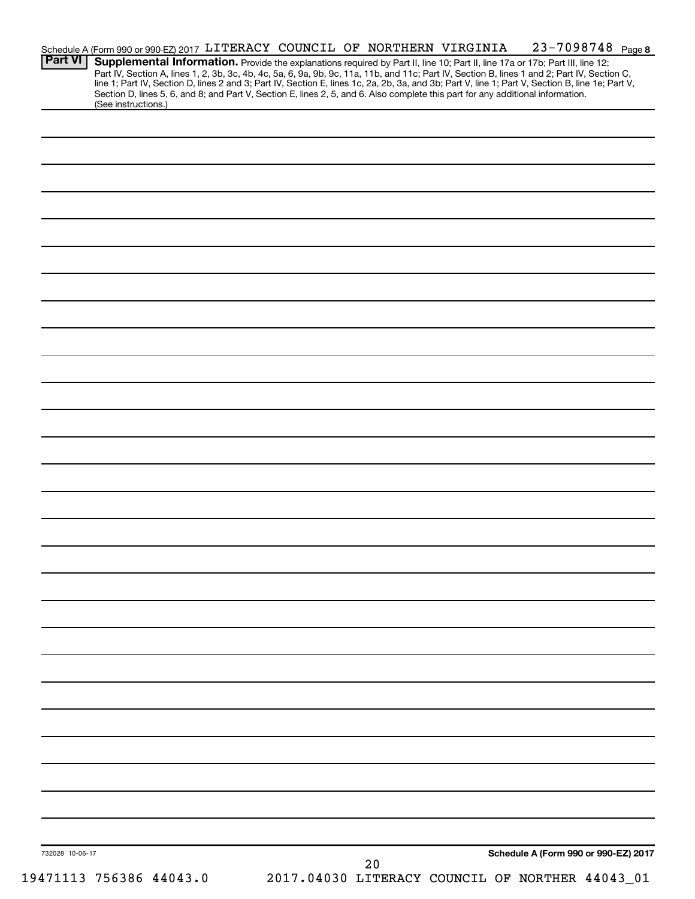|                 | Schedule A (Form 990 or 990-EZ) 2017 LITERACY COUNCIL OF NORTHERN VIRGINIA                                                      |  |    | 23-7098748 Page 8                                                                                                                                                                                                                                                                                                                                                                                                                 |
|-----------------|---------------------------------------------------------------------------------------------------------------------------------|--|----|-----------------------------------------------------------------------------------------------------------------------------------------------------------------------------------------------------------------------------------------------------------------------------------------------------------------------------------------------------------------------------------------------------------------------------------|
| <b>Part VI</b>  | Section D, lines 5, 6, and 8; and Part V, Section E, lines 2, 5, and 6. Also complete this part for any additional information. |  |    | Supplemental Information. Provide the explanations required by Part II, line 10; Part II, line 17a or 17b; Part III, line 12;<br>Part IV, Section A, lines 1, 2, 3b, 3c, 4b, 4c, 5a, 6, 9a, 9b, 9c, 11a, 11b, and 11c; Part IV, Section B, lines 1 and 2; Part IV, Section C,<br>line 1; Part IV, Section D, lines 2 and 3; Part IV, Section E, lines 1c, 2a, 2b, 3a, and 3b; Part V, line 1; Part V, Section B, line 1e; Part V, |
|                 | (See instructions.)                                                                                                             |  |    |                                                                                                                                                                                                                                                                                                                                                                                                                                   |
|                 |                                                                                                                                 |  |    |                                                                                                                                                                                                                                                                                                                                                                                                                                   |
|                 |                                                                                                                                 |  |    |                                                                                                                                                                                                                                                                                                                                                                                                                                   |
|                 |                                                                                                                                 |  |    |                                                                                                                                                                                                                                                                                                                                                                                                                                   |
|                 |                                                                                                                                 |  |    |                                                                                                                                                                                                                                                                                                                                                                                                                                   |
|                 |                                                                                                                                 |  |    |                                                                                                                                                                                                                                                                                                                                                                                                                                   |
|                 |                                                                                                                                 |  |    |                                                                                                                                                                                                                                                                                                                                                                                                                                   |
|                 |                                                                                                                                 |  |    |                                                                                                                                                                                                                                                                                                                                                                                                                                   |
|                 |                                                                                                                                 |  |    |                                                                                                                                                                                                                                                                                                                                                                                                                                   |
|                 |                                                                                                                                 |  |    |                                                                                                                                                                                                                                                                                                                                                                                                                                   |
|                 |                                                                                                                                 |  |    |                                                                                                                                                                                                                                                                                                                                                                                                                                   |
|                 |                                                                                                                                 |  |    |                                                                                                                                                                                                                                                                                                                                                                                                                                   |
|                 |                                                                                                                                 |  |    |                                                                                                                                                                                                                                                                                                                                                                                                                                   |
|                 |                                                                                                                                 |  |    |                                                                                                                                                                                                                                                                                                                                                                                                                                   |
|                 |                                                                                                                                 |  |    |                                                                                                                                                                                                                                                                                                                                                                                                                                   |
|                 |                                                                                                                                 |  |    |                                                                                                                                                                                                                                                                                                                                                                                                                                   |
|                 |                                                                                                                                 |  |    |                                                                                                                                                                                                                                                                                                                                                                                                                                   |
|                 |                                                                                                                                 |  |    |                                                                                                                                                                                                                                                                                                                                                                                                                                   |
|                 |                                                                                                                                 |  |    |                                                                                                                                                                                                                                                                                                                                                                                                                                   |
|                 |                                                                                                                                 |  |    |                                                                                                                                                                                                                                                                                                                                                                                                                                   |
|                 |                                                                                                                                 |  |    |                                                                                                                                                                                                                                                                                                                                                                                                                                   |
|                 |                                                                                                                                 |  |    |                                                                                                                                                                                                                                                                                                                                                                                                                                   |
|                 |                                                                                                                                 |  |    |                                                                                                                                                                                                                                                                                                                                                                                                                                   |
|                 |                                                                                                                                 |  |    |                                                                                                                                                                                                                                                                                                                                                                                                                                   |
|                 |                                                                                                                                 |  |    |                                                                                                                                                                                                                                                                                                                                                                                                                                   |
|                 |                                                                                                                                 |  |    |                                                                                                                                                                                                                                                                                                                                                                                                                                   |
|                 |                                                                                                                                 |  |    |                                                                                                                                                                                                                                                                                                                                                                                                                                   |
|                 |                                                                                                                                 |  |    |                                                                                                                                                                                                                                                                                                                                                                                                                                   |
|                 |                                                                                                                                 |  |    |                                                                                                                                                                                                                                                                                                                                                                                                                                   |
|                 |                                                                                                                                 |  |    |                                                                                                                                                                                                                                                                                                                                                                                                                                   |
|                 |                                                                                                                                 |  |    |                                                                                                                                                                                                                                                                                                                                                                                                                                   |
|                 |                                                                                                                                 |  |    |                                                                                                                                                                                                                                                                                                                                                                                                                                   |
|                 |                                                                                                                                 |  |    |                                                                                                                                                                                                                                                                                                                                                                                                                                   |
|                 |                                                                                                                                 |  |    |                                                                                                                                                                                                                                                                                                                                                                                                                                   |
|                 |                                                                                                                                 |  |    |                                                                                                                                                                                                                                                                                                                                                                                                                                   |
|                 |                                                                                                                                 |  |    |                                                                                                                                                                                                                                                                                                                                                                                                                                   |
|                 |                                                                                                                                 |  |    |                                                                                                                                                                                                                                                                                                                                                                                                                                   |
|                 |                                                                                                                                 |  |    |                                                                                                                                                                                                                                                                                                                                                                                                                                   |
|                 |                                                                                                                                 |  |    |                                                                                                                                                                                                                                                                                                                                                                                                                                   |
|                 |                                                                                                                                 |  |    |                                                                                                                                                                                                                                                                                                                                                                                                                                   |
| 732028 10-06-17 |                                                                                                                                 |  |    | Schedule A (Form 990 or 990-EZ) 2017                                                                                                                                                                                                                                                                                                                                                                                              |
|                 |                                                                                                                                 |  | 20 |                                                                                                                                                                                                                                                                                                                                                                                                                                   |
|                 | 19471113 756386 44043.0                                                                                                         |  |    | 2017.04030 LITERACY COUNCIL OF NORTHER 44043_01                                                                                                                                                                                                                                                                                                                                                                                   |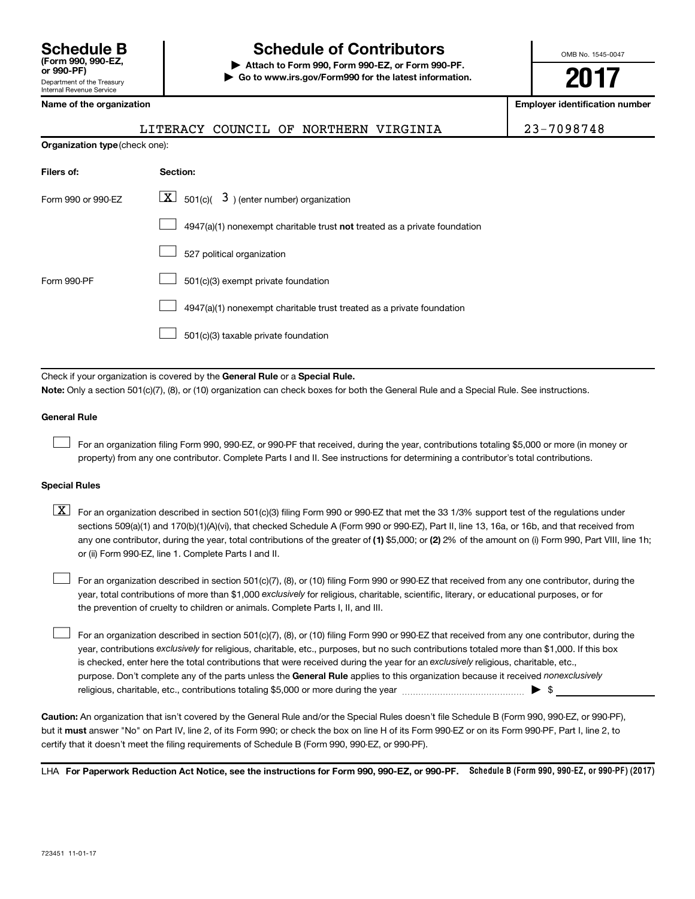# **Schedule B Schedule of Contributors**

**or 990-PF) | Attach to Form 990, Form 990-EZ, or Form 990-PF. | Go to www.irs.gov/Form990 for the latest information.** OMB No. 1545-0047

**2017**

**Employer identification number** 

LITERACY COUNCIL OF NORTHERN VIRGINIA | 23-7098748

| <b>Organization type (check one):</b> |                                                                           |  |  |  |  |
|---------------------------------------|---------------------------------------------------------------------------|--|--|--|--|
| Filers of:                            | Section:                                                                  |  |  |  |  |
| Form 990 or 990-EZ                    | $\lfloor x \rfloor$ 501(c)( 3) (enter number) organization                |  |  |  |  |
|                                       | 4947(a)(1) nonexempt charitable trust not treated as a private foundation |  |  |  |  |
|                                       | 527 political organization                                                |  |  |  |  |
| Form 990-PF                           | 501(c)(3) exempt private foundation                                       |  |  |  |  |
|                                       | 4947(a)(1) nonexempt charitable trust treated as a private foundation     |  |  |  |  |
|                                       | 501(c)(3) taxable private foundation                                      |  |  |  |  |

Check if your organization is covered by the General Rule or a Special Rule.

**Note:**  Only a section 501(c)(7), (8), or (10) organization can check boxes for both the General Rule and a Special Rule. See instructions.

#### **General Rule**

 $\Box$ 

For an organization filing Form 990, 990-EZ, or 990-PF that received, during the year, contributions totaling \$5,000 or more (in money or property) from any one contributor. Complete Parts I and II. See instructions for determining a contributor's total contributions.

#### **Special Rules**

any one contributor, during the year, total contributions of the greater of (1) \$5,000; or (2) 2% of the amount on (i) Form 990, Part VIII, line 1h;  $\boxed{\text{X}}$  For an organization described in section 501(c)(3) filing Form 990 or 990-EZ that met the 33 1/3% support test of the regulations under sections 509(a)(1) and 170(b)(1)(A)(vi), that checked Schedule A (Form 990 or 990-EZ), Part II, line 13, 16a, or 16b, and that received from or (ii) Form 990-EZ, line 1. Complete Parts I and II.

year, total contributions of more than \$1,000 *exclusively* for religious, charitable, scientific, literary, or educational purposes, or for For an organization described in section 501(c)(7), (8), or (10) filing Form 990 or 990-EZ that received from any one contributor, during the the prevention of cruelty to children or animals. Complete Parts I, II, and III.  $\Box$ 

purpose. Don't complete any of the parts unless the General Rule applies to this organization because it received nonexclusively year, contributions exclusively for religious, charitable, etc., purposes, but no such contributions totaled more than \$1,000. If this box is checked, enter here the total contributions that were received during the year for an exclusively religious, charitable, etc., For an organization described in section 501(c)(7), (8), or (10) filing Form 990 or 990-EZ that received from any one contributor, during the religious, charitable, etc., contributions totaling \$5,000 or more during the year  $\ldots$  $\ldots$  $\ldots$  $\ldots$  $\ldots$  $\ldots$  $\Box$ 

**Caution:**  An organization that isn't covered by the General Rule and/or the Special Rules doesn't file Schedule B (Form 990, 990-EZ, or 990-PF),  **must** but it answer "No" on Part IV, line 2, of its Form 990; or check the box on line H of its Form 990-EZ or on its Form 990-PF, Part I, line 2, to certify that it doesn't meet the filing requirements of Schedule B (Form 990, 990-EZ, or 990-PF).

LHA For Paperwork Reduction Act Notice, see the instructions for Form 990, 990-EZ, or 990-PF. Schedule B (Form 990, 990-EZ, or 990-PF) (2017)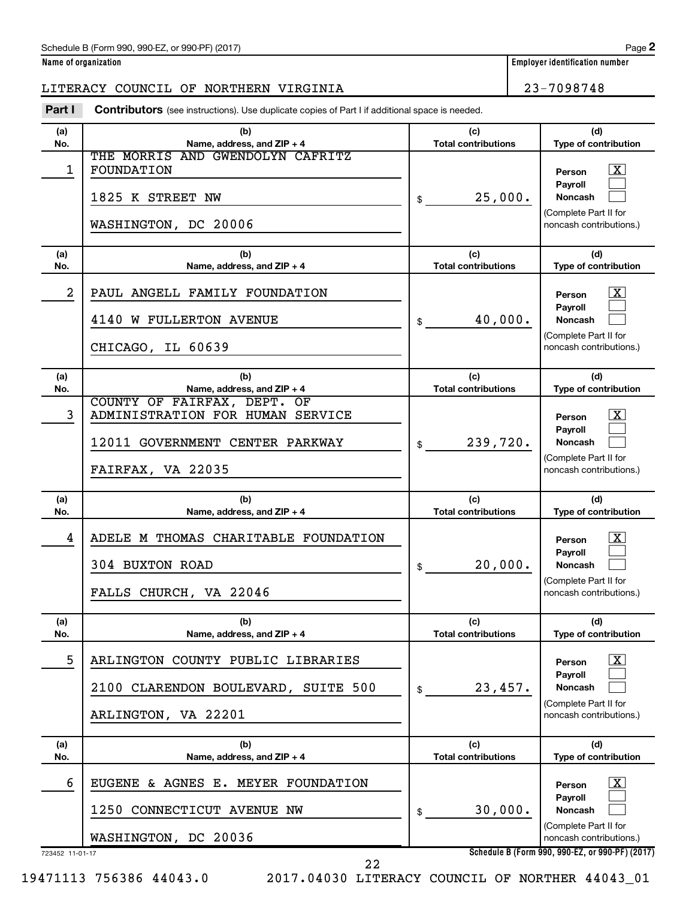### Schedule B (Form 990, 990-EZ, or 990-PF) (2017)

**Name of organization Employer identification number**

## LITERACY COUNCIL OF NORTHERN VIRGINIA 23-7098748

**Part I** Contributors (see instructions). Use duplicate copies of Part I if additional space is needed.

| (a)             | (b)                                                                                                                     | (c)                               | (d)                                                                                                                   |
|-----------------|-------------------------------------------------------------------------------------------------------------------------|-----------------------------------|-----------------------------------------------------------------------------------------------------------------------|
| No.             | Name, address, and ZIP + 4                                                                                              | <b>Total contributions</b>        | Type of contribution                                                                                                  |
| 1               | THE MORRIS AND GWENDOLYN CAFRITZ<br>FOUNDATION<br>1825 K STREET NW<br>WASHINGTON, DC 20006                              | 25,000.<br>\$                     | x<br>Person<br>Payroll<br>Noncash<br>(Complete Part II for<br>noncash contributions.)                                 |
| (a)             | (b)                                                                                                                     | (c)                               | (d)                                                                                                                   |
| No.             | Name, address, and ZIP + 4                                                                                              | <b>Total contributions</b>        | Type of contribution                                                                                                  |
| 2               | PAUL ANGELL FAMILY FOUNDATION<br>4140 W FULLERTON AVENUE<br>CHICAGO, IL 60639                                           | 40,000.<br>\$                     | x<br>Person<br>Payroll<br>Noncash<br>(Complete Part II for<br>noncash contributions.)                                 |
| (a)             | (b)                                                                                                                     | (c)                               | (d)                                                                                                                   |
| No.             | Name, address, and ZIP + 4                                                                                              | <b>Total contributions</b>        | Type of contribution                                                                                                  |
| 3               | COUNTY OF FAIRFAX, DEPT. OF<br>ADMINISTRATION FOR HUMAN SERVICE<br>12011 GOVERNMENT CENTER PARKWAY<br>FAIRFAX, VA 22035 | 239,720.<br>\$                    | x<br>Person<br>Payroll<br><b>Noncash</b><br>(Complete Part II for<br>noncash contributions.)                          |
|                 |                                                                                                                         |                                   |                                                                                                                       |
| (a)             | (b)                                                                                                                     | (c)                               | (d)                                                                                                                   |
| No.             | Name, address, and ZIP + 4                                                                                              | <b>Total contributions</b>        | Type of contribution                                                                                                  |
| 4               | ADELE M THOMAS CHARITABLE FOUNDATION<br>304 BUXTON ROAD<br>FALLS CHURCH, VA 22046                                       | 20,000.<br>\$                     | x<br>Person<br>Payroll<br><b>Noncash</b><br>(Complete Part II for<br>noncash contributions.)                          |
| (a)<br>No.      | (b)<br>Name, address, and ZIP + 4                                                                                       | (c)<br><b>Total contributions</b> | (d)<br><b>Type of contribution</b>                                                                                    |
| 5               | ARLINGTON COUNTY PUBLIC LIBRARIES<br>2100 CLARENDON BOULEVARD, SUITE 500<br>ARLINGTON, VA 22201                         | 23,457.<br>\$                     | $\lfloor x \rfloor$<br>Person<br>Pavroll<br><b>Noncash</b><br>(Complete Part II for<br>noncash contributions.)        |
| (a)<br>No.      | (b)<br>Name, address, and ZIP + 4                                                                                       | (c)<br><b>Total contributions</b> | (d)<br>Type of contribution                                                                                           |
| 6               | EUGENE & AGNES E. MEYER FOUNDATION                                                                                      |                                   | $\lfloor \texttt{X} \rfloor$<br>Person<br>Payroll                                                                     |
| 723452 11-01-17 | 1250 CONNECTICUT AVENUE NW<br>WASHINGTON, DC 20036                                                                      | 30,000.<br>\$                     | <b>Noncash</b><br>(Complete Part II for<br>noncash contributions.)<br>Schedule B (Form 990, 990-EZ, or 990-PF) (2017) |

22

19471113 756386 44043.0 2017.04030 LITERACY COUNCIL OF NORTHER 44043\_01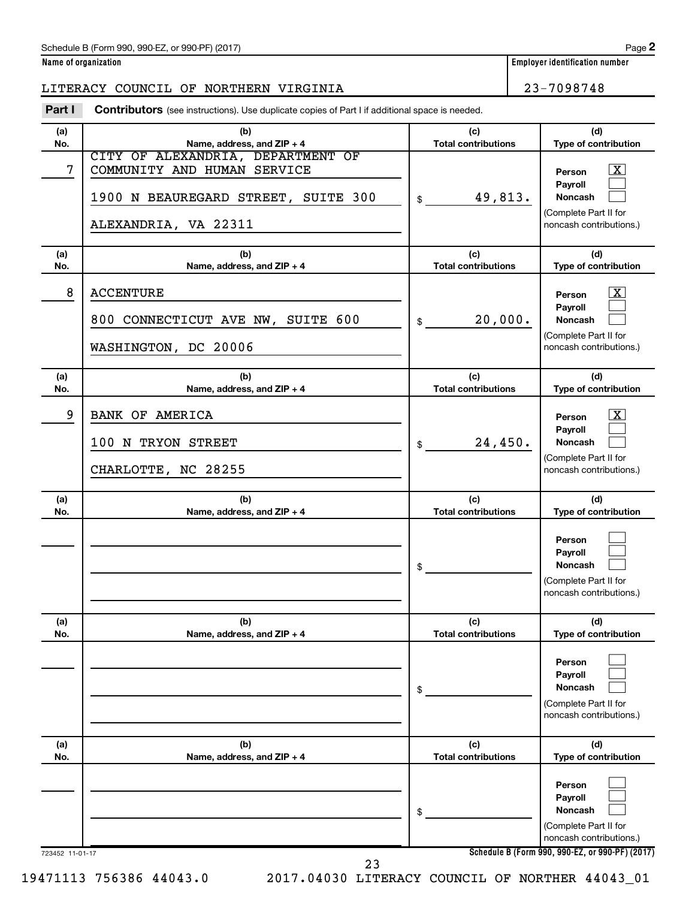**Name of organization Employer identification number**

## LITERACY COUNCIL OF NORTHERN VIRGINIA 23-7098748

|            | <b>Contributors</b> (see instructions). Use duplicate copies of Part I if additional space is needed.                                                         |                                             |                                                                                                                                  |  |  |  |
|------------|---------------------------------------------------------------------------------------------------------------------------------------------------------------|---------------------------------------------|----------------------------------------------------------------------------------------------------------------------------------|--|--|--|
| (a)        | (b)                                                                                                                                                           | (c)                                         | (d)                                                                                                                              |  |  |  |
| No.<br>7   | Name, address, and ZIP + 4<br>CITY OF ALEXANDRIA, DEPARTMENT OF<br>COMMUNITY AND HUMAN SERVICE<br>1900 N BEAUREGARD STREET, SUITE 300<br>ALEXANDRIA, VA 22311 | <b>Total contributions</b><br>49,813.<br>\$ | Type of contribution<br>$\boxed{\mathbf{X}}$<br>Person<br>Payroll<br>Noncash<br>(Complete Part II for<br>noncash contributions.) |  |  |  |
| (a)<br>No. | (b)<br>Name, address, and ZIP + 4                                                                                                                             | (c)<br><b>Total contributions</b>           | (d)<br>Type of contribution                                                                                                      |  |  |  |
| 8          | <b>ACCENTURE</b><br>800 CONNECTICUT AVE NW, SUITE 600<br>WASHINGTON, DC 20006                                                                                 | 20,000.<br>\$                               | $\boxed{\textbf{X}}$<br>Person<br>Payroll<br>Noncash<br>(Complete Part II for<br>noncash contributions.)                         |  |  |  |
| (a)<br>No. | (b)<br>Name, address, and ZIP + 4                                                                                                                             | (c)<br><b>Total contributions</b>           | (d)<br>Type of contribution                                                                                                      |  |  |  |
| 9          | BANK OF AMERICA<br>100 N TRYON STREET<br>CHARLOTTE, NC 28255                                                                                                  | 24,450.<br>\$                               | $\boxed{\textbf{X}}$<br>Person<br>Payroll<br>Noncash<br>(Complete Part II for<br>noncash contributions.)                         |  |  |  |
| (a)<br>No. | (b)<br>Name, address, and ZIP + 4                                                                                                                             | (c)<br><b>Total contributions</b>           | (d)<br>Type of contribution                                                                                                      |  |  |  |
|            |                                                                                                                                                               | \$                                          | Person<br>Payroll<br>Noncash<br>(Complete Part II for<br>noncash contributions.)                                                 |  |  |  |
| (a)<br>No. | (b)<br>Name, address, and ZIP + 4                                                                                                                             | (c)<br><b>Total contributions</b>           | (d)<br>Type of contribution                                                                                                      |  |  |  |
|            |                                                                                                                                                               | \$                                          | Person<br>Payroll<br><b>Noncash</b><br>(Complete Part II for<br>noncash contributions.)                                          |  |  |  |
| (a)<br>No. | (b)<br>Name, address, and ZIP + 4                                                                                                                             | (c)<br><b>Total contributions</b>           | (d)<br>Type of contribution                                                                                                      |  |  |  |
|            |                                                                                                                                                               | \$                                          | Person<br>Payroll<br><b>Noncash</b><br>(Complete Part II for<br>noncash contributions.)                                          |  |  |  |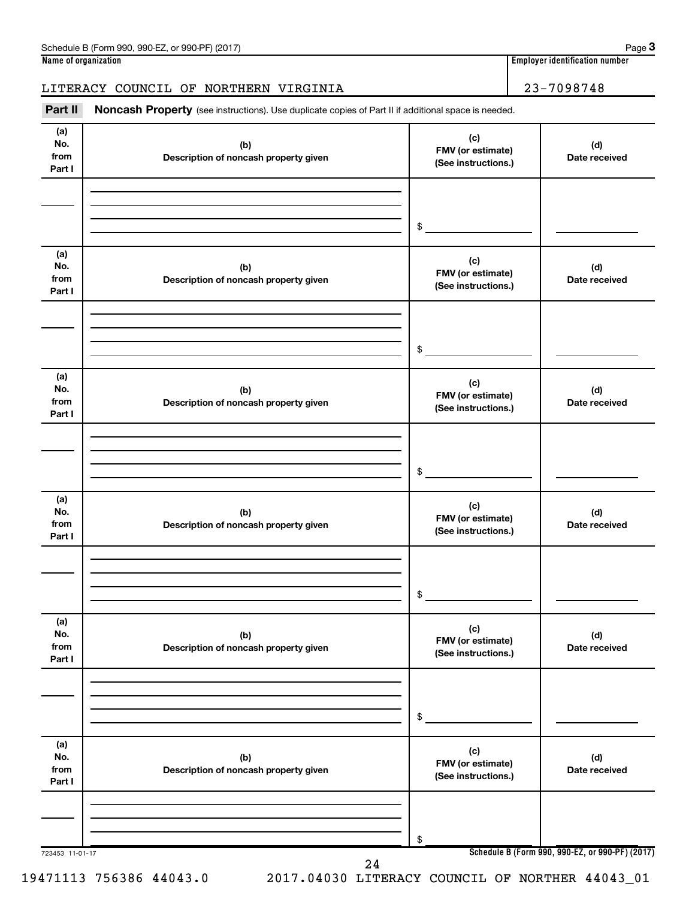## LITERACY COUNCIL OF NORTHERN VIRGINIA  $\vert$  23-7098748

Part II Noncash Property (see instructions). Use duplicate copies of Part II if additional space is needed.

| (a)<br>No.<br>from<br>Part I | (b)<br>Description of noncash property given | (c)<br>FMV (or estimate)<br>(See instructions.) | (d)<br>Date received |
|------------------------------|----------------------------------------------|-------------------------------------------------|----------------------|
|                              |                                              | $\,$                                            |                      |
| (a)<br>No.<br>from<br>Part I | (b)<br>Description of noncash property given | (c)<br>FMV (or estimate)<br>(See instructions.) | (d)<br>Date received |
|                              |                                              | \$                                              |                      |
| (a)<br>No.<br>from<br>Part I | (b)<br>Description of noncash property given | (c)<br>FMV (or estimate)<br>(See instructions.) | (d)<br>Date received |
|                              |                                              | \$                                              |                      |
| (a)<br>No.<br>from<br>Part I | (b)<br>Description of noncash property given | (c)<br>FMV (or estimate)<br>(See instructions.) | (d)<br>Date received |
|                              |                                              | $\$$                                            |                      |
| (a)<br>No.<br>from<br>Part I | (b)<br>Description of noncash property given | (c)<br>FMV (or estimate)<br>(See instructions.) | (d)<br>Date received |
|                              |                                              | $\$$                                            |                      |
| (a)<br>No.<br>from<br>Part I | (b)<br>Description of noncash property given | (c)<br>FMV (or estimate)<br>(See instructions.) | (d)<br>Date received |
|                              |                                              | \$                                              |                      |

19471113 756386 44043.0 2017.04030 LITERACY COUNCIL OF NORTHER 44043\_01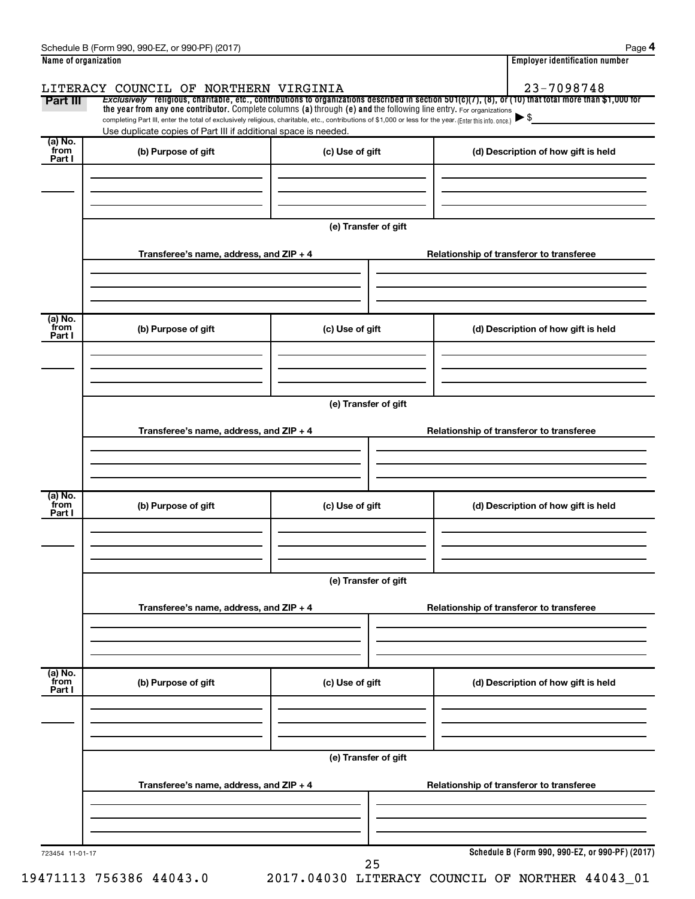| Name of organization |                                                                                                                                                          |                      | <b>Employer identification number</b>                                                                                                                    |
|----------------------|----------------------------------------------------------------------------------------------------------------------------------------------------------|----------------------|----------------------------------------------------------------------------------------------------------------------------------------------------------|
|                      | LITERACY COUNCIL OF NORTHERN VIRGINIA                                                                                                                    |                      | 23-7098748                                                                                                                                               |
| Part III             | the year from any one contributor. Complete columns (a) through (e) and the following line entry. For organizations                                      |                      | Exclusively religious, charitable, etc., contributions to organizations described in section $501(c)(7)$ , (8), or (10) that total more than \$1,000 for |
|                      | completing Part III, enter the total of exclusively religious, charitable, etc., contributions of \$1,000 or less for the year. (Enter this info. once.) |                      |                                                                                                                                                          |
| (a) No.              | Use duplicate copies of Part III if additional space is needed.                                                                                          |                      |                                                                                                                                                          |
| from<br>Part I       | (b) Purpose of gift                                                                                                                                      | (c) Use of gift      | (d) Description of how gift is held                                                                                                                      |
|                      |                                                                                                                                                          |                      |                                                                                                                                                          |
|                      |                                                                                                                                                          |                      |                                                                                                                                                          |
|                      |                                                                                                                                                          |                      |                                                                                                                                                          |
|                      |                                                                                                                                                          | (e) Transfer of gift |                                                                                                                                                          |
|                      |                                                                                                                                                          |                      |                                                                                                                                                          |
|                      | Transferee's name, address, and ZIP + 4                                                                                                                  |                      | Relationship of transferor to transferee                                                                                                                 |
|                      |                                                                                                                                                          |                      |                                                                                                                                                          |
|                      |                                                                                                                                                          |                      |                                                                                                                                                          |
| (a) No.              |                                                                                                                                                          |                      |                                                                                                                                                          |
| from<br>Part I       | (b) Purpose of gift                                                                                                                                      | (c) Use of gift      | (d) Description of how gift is held                                                                                                                      |
|                      |                                                                                                                                                          |                      |                                                                                                                                                          |
|                      |                                                                                                                                                          |                      |                                                                                                                                                          |
|                      |                                                                                                                                                          |                      |                                                                                                                                                          |
|                      |                                                                                                                                                          | (e) Transfer of gift |                                                                                                                                                          |
|                      |                                                                                                                                                          |                      |                                                                                                                                                          |
|                      | Transferee's name, address, and ZIP + 4                                                                                                                  |                      | Relationship of transferor to transferee                                                                                                                 |
|                      |                                                                                                                                                          |                      |                                                                                                                                                          |
|                      |                                                                                                                                                          |                      |                                                                                                                                                          |
| (a) No.<br>from      |                                                                                                                                                          |                      |                                                                                                                                                          |
| Part I               | (b) Purpose of gift                                                                                                                                      | (c) Use of gift      | (d) Description of how gift is held                                                                                                                      |
|                      |                                                                                                                                                          |                      |                                                                                                                                                          |
|                      |                                                                                                                                                          |                      |                                                                                                                                                          |
|                      |                                                                                                                                                          |                      |                                                                                                                                                          |
|                      |                                                                                                                                                          | (e) Transfer of gift |                                                                                                                                                          |
|                      | Transferee's name, address, and ZIP + 4                                                                                                                  |                      | Relationship of transferor to transferee                                                                                                                 |
|                      |                                                                                                                                                          |                      |                                                                                                                                                          |
|                      |                                                                                                                                                          |                      |                                                                                                                                                          |
|                      |                                                                                                                                                          |                      |                                                                                                                                                          |
| (a) No.<br>from      | (b) Purpose of gift                                                                                                                                      | (c) Use of gift      | (d) Description of how gift is held                                                                                                                      |
| Part I               |                                                                                                                                                          |                      |                                                                                                                                                          |
|                      |                                                                                                                                                          |                      |                                                                                                                                                          |
|                      |                                                                                                                                                          |                      |                                                                                                                                                          |
|                      |                                                                                                                                                          |                      |                                                                                                                                                          |
|                      |                                                                                                                                                          | (e) Transfer of gift |                                                                                                                                                          |
|                      | Transferee's name, address, and ZIP + 4                                                                                                                  |                      | Relationship of transferor to transferee                                                                                                                 |
|                      |                                                                                                                                                          |                      |                                                                                                                                                          |
|                      |                                                                                                                                                          |                      |                                                                                                                                                          |
|                      |                                                                                                                                                          |                      |                                                                                                                                                          |
|                      |                                                                                                                                                          |                      | Schedule B (Form 990, 990-EZ, or 990-PF) (2017)                                                                                                          |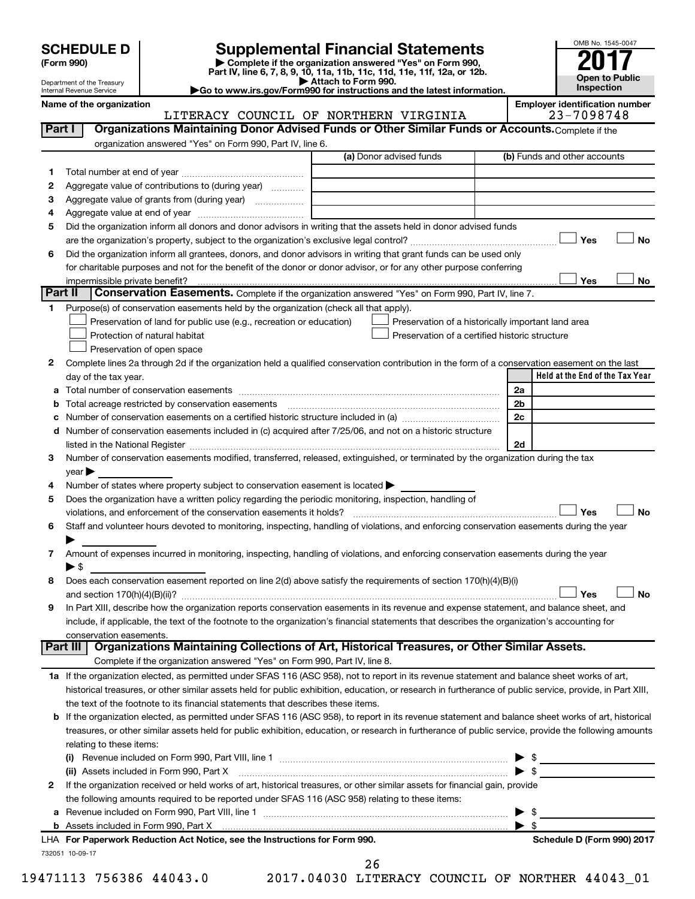Department of the Treasury

| (Form 990) |  |
|------------|--|
|------------|--|

# **SCHEDULE D Supplemental Financial Statements**<br> **Form 990 2017**<br> **Part IV** line 6.7.8.9.10, 11a, 11b, 11d, 11d, 11d, 11d, 11d, 12a, 0r, 12b

**(Form 990) | Complete if the organization answered "Yes" on Form 990, Part IV, line 6, 7, 8, 9, 10, 11a, 11b, 11c, 11d, 11e, 11f, 12a, or 12b.**

**| Attach to Form 990. |Go to www.irs.gov/Form990 for instructions and the latest information.**



|         | Internal Revenue Service                                                                                                                                   | $\blacktriangleright$ Go to www.irs.gov/Form990 for instructions and the latest information. | mspection                                           |
|---------|------------------------------------------------------------------------------------------------------------------------------------------------------------|----------------------------------------------------------------------------------------------|-----------------------------------------------------|
|         | Name of the organization                                                                                                                                   | LITERACY COUNCIL OF NORTHERN VIRGINIA                                                        | <b>Employer identification number</b><br>23-7098748 |
| Part I  | Organizations Maintaining Donor Advised Funds or Other Similar Funds or Accounts. Complete if the                                                          |                                                                                              |                                                     |
|         | organization answered "Yes" on Form 990, Part IV, line 6.                                                                                                  |                                                                                              |                                                     |
|         |                                                                                                                                                            | (a) Donor advised funds                                                                      | (b) Funds and other accounts                        |
| 1       |                                                                                                                                                            |                                                                                              |                                                     |
| 2       | Aggregate value of contributions to (during year)                                                                                                          |                                                                                              |                                                     |
| з       | Aggregate value of grants from (during year)                                                                                                               |                                                                                              |                                                     |
| 4       |                                                                                                                                                            |                                                                                              |                                                     |
| 5       | Did the organization inform all donors and donor advisors in writing that the assets held in donor advised funds                                           |                                                                                              |                                                     |
|         |                                                                                                                                                            |                                                                                              | Yes<br>No                                           |
| 6       | Did the organization inform all grantees, donors, and donor advisors in writing that grant funds can be used only                                          |                                                                                              |                                                     |
|         | for charitable purposes and not for the benefit of the donor or donor advisor, or for any other purpose conferring                                         |                                                                                              |                                                     |
|         | impermissible private benefit?                                                                                                                             |                                                                                              | Yes<br>No                                           |
| Part II | Conservation Easements. Complete if the organization answered "Yes" on Form 990, Part IV, line 7.                                                          |                                                                                              |                                                     |
| 1       | Purpose(s) of conservation easements held by the organization (check all that apply).                                                                      |                                                                                              |                                                     |
|         | Preservation of land for public use (e.g., recreation or education)                                                                                        |                                                                                              | Preservation of a historically important land area  |
|         | Protection of natural habitat                                                                                                                              |                                                                                              | Preservation of a certified historic structure      |
|         | Preservation of open space                                                                                                                                 |                                                                                              |                                                     |
| 2       | Complete lines 2a through 2d if the organization held a qualified conservation contribution in the form of a conservation easement on the last             |                                                                                              |                                                     |
|         | day of the tax year.                                                                                                                                       |                                                                                              | Held at the End of the Tax Year                     |
|         | Total number of conservation easements                                                                                                                     |                                                                                              | 2a                                                  |
| b       |                                                                                                                                                            |                                                                                              | 2b                                                  |
| с       |                                                                                                                                                            |                                                                                              | 2c                                                  |
|         | d Number of conservation easements included in (c) acquired after 7/25/06, and not on a historic structure                                                 |                                                                                              |                                                     |
|         | listed in the National Register [1,1,2000] and the National Register [1,1,2000] and the National Register [1,1                                             |                                                                                              | 2d                                                  |
| З       | Number of conservation easements modified, transferred, released, extinguished, or terminated by the organization during the tax                           |                                                                                              |                                                     |
|         | year                                                                                                                                                       |                                                                                              |                                                     |
| 4       | Number of states where property subject to conservation easement is located >                                                                              |                                                                                              |                                                     |
| 5       | Does the organization have a written policy regarding the periodic monitoring, inspection, handling of                                                     |                                                                                              |                                                     |
|         | violations, and enforcement of the conservation easements it holds?                                                                                        |                                                                                              | Yes<br><b>No</b>                                    |
| 6       | Staff and volunteer hours devoted to monitoring, inspecting, handling of violations, and enforcing conservation easements during the year                  |                                                                                              |                                                     |
|         |                                                                                                                                                            |                                                                                              |                                                     |
| 7       | Amount of expenses incurred in monitoring, inspecting, handling of violations, and enforcing conservation easements during the year                        |                                                                                              |                                                     |
|         | ▶ \$                                                                                                                                                       |                                                                                              |                                                     |
|         | Does each conservation easement reported on line 2(d) above satisfy the requirements of section 170(h)(4)(B)(i)                                            |                                                                                              |                                                     |
|         | and section $170(h)(4)(B)(ii)?$                                                                                                                            |                                                                                              | Yes<br>No                                           |
| 9       | In Part XIII, describe how the organization reports conservation easements in its revenue and expense statement, and balance sheet, and                    |                                                                                              |                                                     |
|         | include, if applicable, the text of the footnote to the organization's financial statements that describes the organization's accounting for               |                                                                                              |                                                     |
|         | conservation easements.<br>Part III   Organizations Maintaining Collections of Art, Historical Treasures, or Other Similar Assets.                         |                                                                                              |                                                     |
|         |                                                                                                                                                            |                                                                                              |                                                     |
|         | Complete if the organization answered "Yes" on Form 990, Part IV, line 8.                                                                                  |                                                                                              |                                                     |
|         | 1a If the organization elected, as permitted under SFAS 116 (ASC 958), not to report in its revenue statement and balance sheet works of art,              |                                                                                              |                                                     |
|         | historical treasures, or other similar assets held for public exhibition, education, or research in furtherance of public service, provide, in Part XIII,  |                                                                                              |                                                     |
|         | the text of the footnote to its financial statements that describes these items.                                                                           |                                                                                              |                                                     |
|         | <b>b</b> If the organization elected, as permitted under SFAS 116 (ASC 958), to report in its revenue statement and balance sheet works of art, historical |                                                                                              |                                                     |
|         | treasures, or other similar assets held for public exhibition, education, or research in furtherance of public service, provide the following amounts      |                                                                                              |                                                     |
|         | relating to these items:                                                                                                                                   |                                                                                              |                                                     |
|         |                                                                                                                                                            |                                                                                              | - \$                                                |
|         |                                                                                                                                                            |                                                                                              | $\blacktriangleright$ \$                            |
| 2       | If the organization received or held works of art, historical treasures, or other similar assets for financial gain, provide                               |                                                                                              |                                                     |
|         | the following amounts required to be reported under SFAS 116 (ASC 958) relating to these items:                                                            |                                                                                              |                                                     |
|         |                                                                                                                                                            |                                                                                              | -\$                                                 |
|         |                                                                                                                                                            |                                                                                              | $\blacktriangleright$ \$                            |

732051 10-09-17 **For Paperwork Reduction Act Notice, see the Instructions for Form 990. Schedule D (Form 990) 2017** LHA

19471113 756386 44043.0 2017.04030 LITERACY COUNCIL OF NORTHER 44043\_01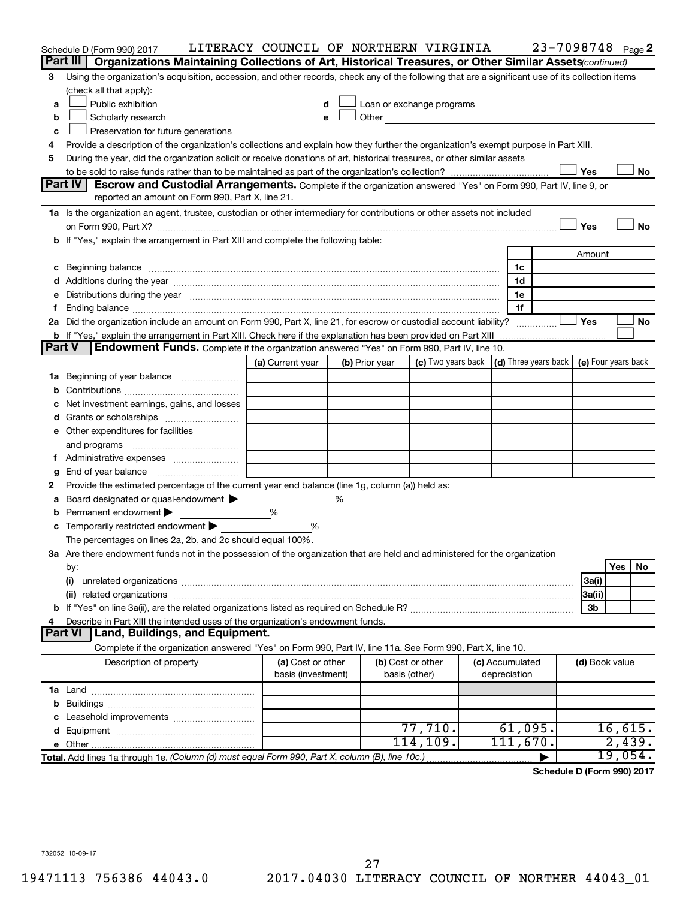|                     | Schedule D (Form 990) 2017                                                                                                                                                                                                     | LITERACY COUNCIL OF NORTHERN VIRGINIA   |   |                                    |                                                                                                                                                                                                                                      |  |                                 | 23-7098748 Page 2 |                |         |    |  |
|---------------------|--------------------------------------------------------------------------------------------------------------------------------------------------------------------------------------------------------------------------------|-----------------------------------------|---|------------------------------------|--------------------------------------------------------------------------------------------------------------------------------------------------------------------------------------------------------------------------------------|--|---------------------------------|-------------------|----------------|---------|----|--|
| Part III            | Organizations Maintaining Collections of Art, Historical Treasures, or Other Similar Assets (continued)                                                                                                                        |                                         |   |                                    |                                                                                                                                                                                                                                      |  |                                 |                   |                |         |    |  |
| 3                   | Using the organization's acquisition, accession, and other records, check any of the following that are a significant use of its collection items                                                                              |                                         |   |                                    |                                                                                                                                                                                                                                      |  |                                 |                   |                |         |    |  |
|                     | (check all that apply):                                                                                                                                                                                                        |                                         |   |                                    |                                                                                                                                                                                                                                      |  |                                 |                   |                |         |    |  |
| a                   | Public exhibition                                                                                                                                                                                                              | d                                       |   |                                    | Loan or exchange programs                                                                                                                                                                                                            |  |                                 |                   |                |         |    |  |
| b                   | Scholarly research                                                                                                                                                                                                             | e                                       |   |                                    | Other <u>the contract of the contract of the contract of the contract of the contract of the contract of the contract of the contract of the contract of the contract of the contract of the contract of the contract of the con</u> |  |                                 |                   |                |         |    |  |
| c                   | Preservation for future generations                                                                                                                                                                                            |                                         |   |                                    |                                                                                                                                                                                                                                      |  |                                 |                   |                |         |    |  |
| 4                   | Provide a description of the organization's collections and explain how they further the organization's exempt purpose in Part XIII.                                                                                           |                                         |   |                                    |                                                                                                                                                                                                                                      |  |                                 |                   |                |         |    |  |
| 5                   | During the year, did the organization solicit or receive donations of art, historical treasures, or other similar assets                                                                                                       |                                         |   |                                    |                                                                                                                                                                                                                                      |  |                                 |                   |                |         |    |  |
|                     |                                                                                                                                                                                                                                |                                         |   |                                    |                                                                                                                                                                                                                                      |  |                                 |                   | Yes            |         | No |  |
|                     | Part IV<br>Escrow and Custodial Arrangements. Complete if the organization answered "Yes" on Form 990, Part IV, line 9, or<br>reported an amount on Form 990, Part X, line 21.                                                 |                                         |   |                                    |                                                                                                                                                                                                                                      |  |                                 |                   |                |         |    |  |
|                     | 1a Is the organization an agent, trustee, custodian or other intermediary for contributions or other assets not included                                                                                                       |                                         |   |                                    |                                                                                                                                                                                                                                      |  |                                 |                   |                |         |    |  |
|                     | on Form 990, Part X? [11] matter and the contract of the contract of the contract of the contract of the contract of the contract of the contract of the contract of the contract of the contract of the contract of the contr |                                         |   |                                    |                                                                                                                                                                                                                                      |  |                                 |                   | Yes            |         | No |  |
|                     | b If "Yes," explain the arrangement in Part XIII and complete the following table:                                                                                                                                             |                                         |   |                                    |                                                                                                                                                                                                                                      |  |                                 |                   |                |         |    |  |
|                     |                                                                                                                                                                                                                                |                                         |   |                                    |                                                                                                                                                                                                                                      |  |                                 |                   | Amount         |         |    |  |
|                     | c Beginning balance measurements and the contract of the contract of the contract of the contract of the contract of the contract of the contract of the contract of the contract of the contract of the contract of the contr |                                         |   |                                    |                                                                                                                                                                                                                                      |  | 1c                              |                   |                |         |    |  |
|                     |                                                                                                                                                                                                                                |                                         |   |                                    |                                                                                                                                                                                                                                      |  | 1d                              |                   |                |         |    |  |
|                     | e Distributions during the year manufactured and continuum and contact the year manufactured and contact the year manufactured and contact the year manufactured and contact the year manufactured and contact the year manufa |                                         |   |                                    |                                                                                                                                                                                                                                      |  | 1e                              |                   |                |         |    |  |
|                     |                                                                                                                                                                                                                                |                                         |   |                                    |                                                                                                                                                                                                                                      |  | 1f                              |                   |                |         |    |  |
|                     | 2a Did the organization include an amount on Form 990, Part X, line 21, for escrow or custodial account liability?                                                                                                             |                                         |   |                                    |                                                                                                                                                                                                                                      |  |                                 |                   | Yes            |         | No |  |
|                     | <b>b</b> If "Yes," explain the arrangement in Part XIII. Check here if the explanation has been provided on Part XIII                                                                                                          |                                         |   |                                    |                                                                                                                                                                                                                                      |  |                                 |                   |                |         |    |  |
| <b>Part V</b>       | <b>Endowment Funds.</b> Complete if the organization answered "Yes" on Form 990, Part IV, line 10.                                                                                                                             |                                         |   |                                    |                                                                                                                                                                                                                                      |  |                                 |                   |                |         |    |  |
|                     |                                                                                                                                                                                                                                | (a) Current year                        |   | (b) Prior year                     | (c) Two years back   (d) Three years back   (e) Four years back                                                                                                                                                                      |  |                                 |                   |                |         |    |  |
| ٦а                  | Beginning of year balance                                                                                                                                                                                                      |                                         |   |                                    |                                                                                                                                                                                                                                      |  |                                 |                   |                |         |    |  |
| b                   |                                                                                                                                                                                                                                |                                         |   |                                    |                                                                                                                                                                                                                                      |  |                                 |                   |                |         |    |  |
|                     | Net investment earnings, gains, and losses                                                                                                                                                                                     |                                         |   |                                    |                                                                                                                                                                                                                                      |  |                                 |                   |                |         |    |  |
|                     |                                                                                                                                                                                                                                |                                         |   |                                    |                                                                                                                                                                                                                                      |  |                                 |                   |                |         |    |  |
|                     | e Other expenditures for facilities                                                                                                                                                                                            |                                         |   |                                    |                                                                                                                                                                                                                                      |  |                                 |                   |                |         |    |  |
|                     | and programs                                                                                                                                                                                                                   |                                         |   |                                    |                                                                                                                                                                                                                                      |  |                                 |                   |                |         |    |  |
| Ť.                  |                                                                                                                                                                                                                                |                                         |   |                                    |                                                                                                                                                                                                                                      |  |                                 |                   |                |         |    |  |
| g                   | End of year balance                                                                                                                                                                                                            |                                         |   |                                    |                                                                                                                                                                                                                                      |  |                                 |                   |                |         |    |  |
| 2                   | Provide the estimated percentage of the current year end balance (line 1g, column (a)) held as:                                                                                                                                |                                         |   |                                    |                                                                                                                                                                                                                                      |  |                                 |                   |                |         |    |  |
| а                   | Board designated or quasi-endowment                                                                                                                                                                                            |                                         | ℅ |                                    |                                                                                                                                                                                                                                      |  |                                 |                   |                |         |    |  |
| b                   | Permanent endowment                                                                                                                                                                                                            | %                                       |   |                                    |                                                                                                                                                                                                                                      |  |                                 |                   |                |         |    |  |
|                     | c Temporarily restricted endowment $\blacktriangleright$                                                                                                                                                                       | %                                       |   |                                    |                                                                                                                                                                                                                                      |  |                                 |                   |                |         |    |  |
|                     | The percentages on lines 2a, 2b, and 2c should equal 100%.                                                                                                                                                                     |                                         |   |                                    |                                                                                                                                                                                                                                      |  |                                 |                   |                |         |    |  |
|                     | 3a Are there endowment funds not in the possession of the organization that are held and administered for the organization                                                                                                     |                                         |   |                                    |                                                                                                                                                                                                                                      |  |                                 |                   |                |         |    |  |
|                     | by:                                                                                                                                                                                                                            |                                         |   |                                    |                                                                                                                                                                                                                                      |  |                                 |                   |                | Yes     | No |  |
|                     | (i)                                                                                                                                                                                                                            |                                         |   |                                    |                                                                                                                                                                                                                                      |  |                                 |                   | 3a(i)          |         |    |  |
|                     |                                                                                                                                                                                                                                |                                         |   |                                    |                                                                                                                                                                                                                                      |  |                                 |                   | 3a(ii)         |         |    |  |
|                     |                                                                                                                                                                                                                                |                                         |   |                                    |                                                                                                                                                                                                                                      |  |                                 |                   | 3b             |         |    |  |
| 4<br><b>Part VI</b> | Describe in Part XIII the intended uses of the organization's endowment funds.                                                                                                                                                 |                                         |   |                                    |                                                                                                                                                                                                                                      |  |                                 |                   |                |         |    |  |
|                     | Land, Buildings, and Equipment.                                                                                                                                                                                                |                                         |   |                                    |                                                                                                                                                                                                                                      |  |                                 |                   |                |         |    |  |
|                     | Complete if the organization answered "Yes" on Form 990, Part IV, line 11a. See Form 990, Part X, line 10.                                                                                                                     |                                         |   |                                    |                                                                                                                                                                                                                                      |  |                                 |                   |                |         |    |  |
|                     | Description of property                                                                                                                                                                                                        | (a) Cost or other<br>basis (investment) |   | (b) Cost or other<br>basis (other) |                                                                                                                                                                                                                                      |  | (c) Accumulated<br>depreciation |                   | (d) Book value |         |    |  |
|                     |                                                                                                                                                                                                                                |                                         |   |                                    |                                                                                                                                                                                                                                      |  |                                 |                   |                |         |    |  |
|                     |                                                                                                                                                                                                                                |                                         |   |                                    |                                                                                                                                                                                                                                      |  |                                 |                   |                |         |    |  |
|                     |                                                                                                                                                                                                                                |                                         |   |                                    |                                                                                                                                                                                                                                      |  |                                 |                   |                |         |    |  |
|                     |                                                                                                                                                                                                                                |                                         |   |                                    | 77,710.                                                                                                                                                                                                                              |  | 61,095.                         |                   |                | 16,615. |    |  |
|                     |                                                                                                                                                                                                                                |                                         |   |                                    | 114,109.                                                                                                                                                                                                                             |  | 111,670.                        |                   |                | 2,439.  |    |  |
|                     | Total. Add lines 1a through 1e. (Column (d) must equal Form 990, Part X, column (B), line 10c.)                                                                                                                                |                                         |   |                                    |                                                                                                                                                                                                                                      |  |                                 |                   |                | 19,054. |    |  |

**Schedule D (Form 990) 2017**

732052 10-09-17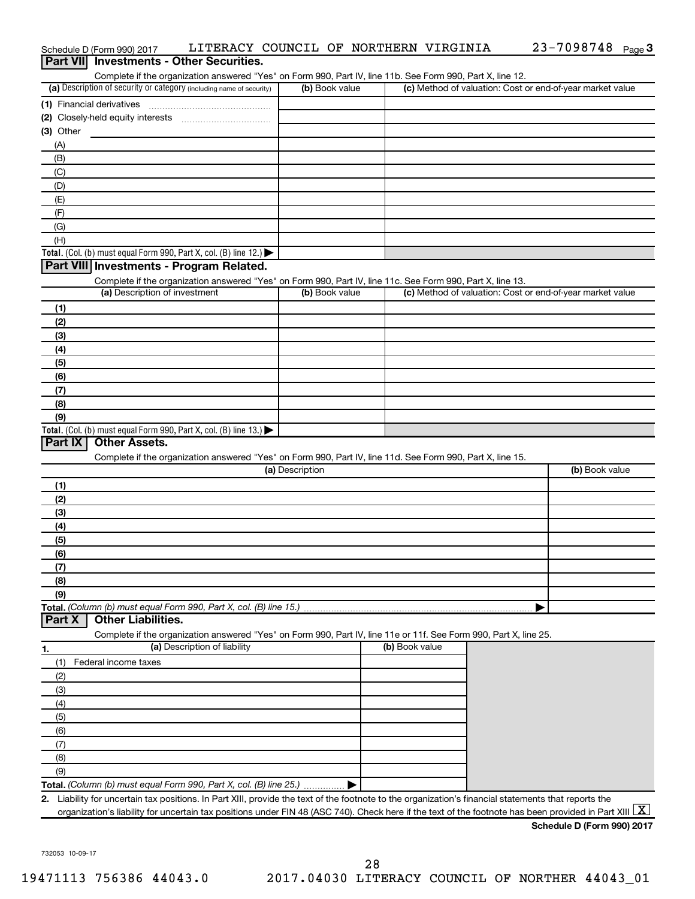|    |                | Schedule D (Form 990) 2017<br><b>Part VII</b> Investments - Other Securities. |                                                                                                                                                                                    |                 | LITERACY COUNCIL OF NORTHERN VIRGINIA |                                                           | $23 - 7098748$ Page 3                                                                                                                                    |
|----|----------------|-------------------------------------------------------------------------------|------------------------------------------------------------------------------------------------------------------------------------------------------------------------------------|-----------------|---------------------------------------|-----------------------------------------------------------|----------------------------------------------------------------------------------------------------------------------------------------------------------|
|    |                |                                                                               |                                                                                                                                                                                    |                 |                                       |                                                           |                                                                                                                                                          |
|    |                |                                                                               | Complete if the organization answered "Yes" on Form 990, Part IV, line 11b. See Form 990, Part X, line 12.<br>(a) Description of security or category (including name of security) | (b) Book value  |                                       | (c) Method of valuation: Cost or end-of-year market value |                                                                                                                                                          |
|    |                |                                                                               |                                                                                                                                                                                    |                 |                                       |                                                           |                                                                                                                                                          |
|    |                | (1) Financial derivatives                                                     |                                                                                                                                                                                    |                 |                                       |                                                           |                                                                                                                                                          |
|    |                |                                                                               |                                                                                                                                                                                    |                 |                                       |                                                           |                                                                                                                                                          |
|    | (3) Other      |                                                                               |                                                                                                                                                                                    |                 |                                       |                                                           |                                                                                                                                                          |
|    | (A)            |                                                                               |                                                                                                                                                                                    |                 |                                       |                                                           |                                                                                                                                                          |
|    | (B)            |                                                                               |                                                                                                                                                                                    |                 |                                       |                                                           |                                                                                                                                                          |
|    | (C)            |                                                                               |                                                                                                                                                                                    |                 |                                       |                                                           |                                                                                                                                                          |
|    | (D)            |                                                                               |                                                                                                                                                                                    |                 |                                       |                                                           |                                                                                                                                                          |
|    | (E)            |                                                                               |                                                                                                                                                                                    |                 |                                       |                                                           |                                                                                                                                                          |
|    | (F)            |                                                                               |                                                                                                                                                                                    |                 |                                       |                                                           |                                                                                                                                                          |
|    | (G)            |                                                                               |                                                                                                                                                                                    |                 |                                       |                                                           |                                                                                                                                                          |
|    | (H)            |                                                                               |                                                                                                                                                                                    |                 |                                       |                                                           |                                                                                                                                                          |
|    |                |                                                                               | Total. (Col. (b) must equal Form 990, Part X, col. (B) line 12.) $\blacktriangleright$                                                                                             |                 |                                       |                                                           |                                                                                                                                                          |
|    |                |                                                                               | Part VIII Investments - Program Related.                                                                                                                                           |                 |                                       |                                                           |                                                                                                                                                          |
|    |                |                                                                               | Complete if the organization answered "Yes" on Form 990, Part IV, line 11c. See Form 990, Part X, line 13.                                                                         |                 |                                       |                                                           |                                                                                                                                                          |
|    |                | (a) Description of investment                                                 |                                                                                                                                                                                    | (b) Book value  |                                       | (c) Method of valuation: Cost or end-of-year market value |                                                                                                                                                          |
|    | (1)            |                                                                               |                                                                                                                                                                                    |                 |                                       |                                                           |                                                                                                                                                          |
|    | (2)            |                                                                               |                                                                                                                                                                                    |                 |                                       |                                                           |                                                                                                                                                          |
|    | (3)            |                                                                               |                                                                                                                                                                                    |                 |                                       |                                                           |                                                                                                                                                          |
|    | (4)            |                                                                               |                                                                                                                                                                                    |                 |                                       |                                                           |                                                                                                                                                          |
|    | (5)            |                                                                               |                                                                                                                                                                                    |                 |                                       |                                                           |                                                                                                                                                          |
|    | (6)            |                                                                               |                                                                                                                                                                                    |                 |                                       |                                                           |                                                                                                                                                          |
|    | (7)            |                                                                               |                                                                                                                                                                                    |                 |                                       |                                                           |                                                                                                                                                          |
|    | (8)            |                                                                               |                                                                                                                                                                                    |                 |                                       |                                                           |                                                                                                                                                          |
|    | (9)            |                                                                               |                                                                                                                                                                                    |                 |                                       |                                                           |                                                                                                                                                          |
|    |                |                                                                               | Total. (Col. (b) must equal Form 990, Part X, col. (B) line 13.) $\blacktriangleright$                                                                                             |                 |                                       |                                                           |                                                                                                                                                          |
|    | <b>Part IX</b> | <b>Other Assets.</b>                                                          |                                                                                                                                                                                    |                 |                                       |                                                           |                                                                                                                                                          |
|    |                |                                                                               | Complete if the organization answered "Yes" on Form 990, Part IV, line 11d. See Form 990, Part X, line 15.                                                                         |                 |                                       |                                                           |                                                                                                                                                          |
|    |                |                                                                               |                                                                                                                                                                                    | (a) Description |                                       |                                                           | (b) Book value                                                                                                                                           |
|    | (1)            |                                                                               |                                                                                                                                                                                    |                 |                                       |                                                           |                                                                                                                                                          |
|    | (2)            |                                                                               |                                                                                                                                                                                    |                 |                                       |                                                           |                                                                                                                                                          |
|    | (3)            |                                                                               |                                                                                                                                                                                    |                 |                                       |                                                           |                                                                                                                                                          |
|    | (4)            |                                                                               |                                                                                                                                                                                    |                 |                                       |                                                           |                                                                                                                                                          |
|    | (5)            |                                                                               |                                                                                                                                                                                    |                 |                                       |                                                           |                                                                                                                                                          |
|    | (6)            |                                                                               |                                                                                                                                                                                    |                 |                                       |                                                           |                                                                                                                                                          |
|    | (7)            |                                                                               |                                                                                                                                                                                    |                 |                                       |                                                           |                                                                                                                                                          |
|    | (8)            |                                                                               |                                                                                                                                                                                    |                 |                                       |                                                           |                                                                                                                                                          |
|    | (9)            |                                                                               |                                                                                                                                                                                    |                 |                                       |                                                           |                                                                                                                                                          |
|    |                |                                                                               | Total. (Column (b) must equal Form 990, Part X, col. (B) line 15.)                                                                                                                 |                 |                                       |                                                           |                                                                                                                                                          |
|    | <b>Part X</b>  | <b>Other Liabilities.</b>                                                     |                                                                                                                                                                                    |                 |                                       |                                                           |                                                                                                                                                          |
|    |                |                                                                               | Complete if the organization answered "Yes" on Form 990, Part IV, line 11e or 11f. See Form 990, Part X, line 25.                                                                  |                 |                                       |                                                           |                                                                                                                                                          |
| 1. |                |                                                                               | (a) Description of liability                                                                                                                                                       |                 | (b) Book value                        |                                                           |                                                                                                                                                          |
|    | (1)            | Federal income taxes                                                          |                                                                                                                                                                                    |                 |                                       |                                                           |                                                                                                                                                          |
|    | (2)            |                                                                               |                                                                                                                                                                                    |                 |                                       |                                                           |                                                                                                                                                          |
|    | (3)            |                                                                               |                                                                                                                                                                                    |                 |                                       |                                                           |                                                                                                                                                          |
|    | (4)            |                                                                               |                                                                                                                                                                                    |                 |                                       |                                                           |                                                                                                                                                          |
|    | (5)            |                                                                               |                                                                                                                                                                                    |                 |                                       |                                                           |                                                                                                                                                          |
|    | (6)            |                                                                               |                                                                                                                                                                                    |                 |                                       |                                                           |                                                                                                                                                          |
|    | (7)            |                                                                               |                                                                                                                                                                                    |                 |                                       |                                                           |                                                                                                                                                          |
|    | (8)            |                                                                               |                                                                                                                                                                                    |                 |                                       |                                                           |                                                                                                                                                          |
|    | (9)            |                                                                               |                                                                                                                                                                                    |                 |                                       |                                                           |                                                                                                                                                          |
|    |                |                                                                               | Total. (Column (b) must equal Form 990, Part X, col. (B) line 25.)                                                                                                                 |                 |                                       |                                                           |                                                                                                                                                          |
|    |                |                                                                               | 2. Liability for uncertain tax positions. In Part XIII, provide the text of the footnote to the organization's financial statements that reports the                               |                 |                                       |                                                           |                                                                                                                                                          |
|    |                |                                                                               |                                                                                                                                                                                    |                 |                                       |                                                           | organization's liability for uncertain tax positions under FIN 48 (ASC 740). Check here if the text of the footnote has been provided in Part XIII $ X $ |
|    |                |                                                                               |                                                                                                                                                                                    |                 |                                       |                                                           | Schedule D (Form 990) 2017                                                                                                                               |
|    |                |                                                                               |                                                                                                                                                                                    |                 |                                       |                                                           |                                                                                                                                                          |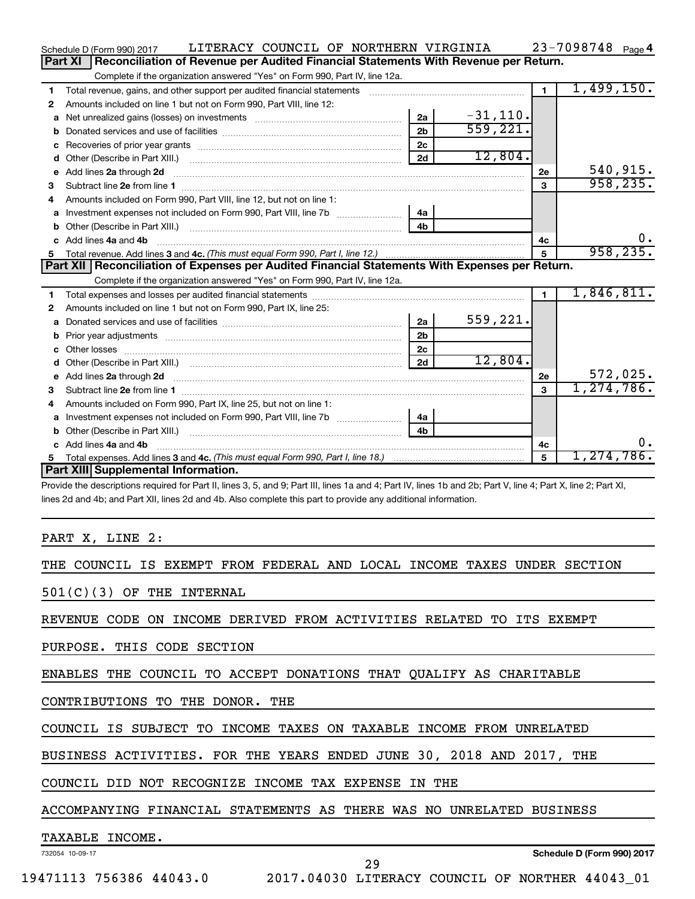|    | LITERACY COUNCIL OF NORTHERN VIRGINIA<br>Schedule D (Form 990) 2017                                                                                          |                |            |                | 23-7098748 Page 4 |
|----|--------------------------------------------------------------------------------------------------------------------------------------------------------------|----------------|------------|----------------|-------------------|
|    | Part XI<br>Reconciliation of Revenue per Audited Financial Statements With Revenue per Return.                                                               |                |            |                |                   |
|    | Complete if the organization answered "Yes" on Form 990, Part IV, line 12a.                                                                                  |                |            |                |                   |
| 1  | Total revenue, gains, and other support per audited financial statements [111] [11] Total revenue, gains, and other support per audited financial statements |                |            | $\blacksquare$ | 1,499,150.        |
| 2  | Amounts included on line 1 but not on Form 990, Part VIII, line 12:                                                                                          |                |            |                |                   |
| a  |                                                                                                                                                              | 2a             | $-31,110.$ |                |                   |
| b  |                                                                                                                                                              | 2 <sub>b</sub> | 559,221.   |                |                   |
| с  |                                                                                                                                                              | 2 <sub>c</sub> |            |                |                   |
| d  |                                                                                                                                                              | 2d             | 12,804.    |                |                   |
| е  |                                                                                                                                                              |                |            | 2e             | 540,915.          |
| 3  |                                                                                                                                                              |                |            | $\mathbf{3}$   | 958, 235.         |
| 4  | Amounts included on Form 990, Part VIII, line 12, but not on line 1:                                                                                         |                |            |                |                   |
|    |                                                                                                                                                              | 4a             |            |                |                   |
| b  |                                                                                                                                                              | 4 <sub>h</sub> |            |                |                   |
| c. | Add lines 4a and 4b                                                                                                                                          |                |            | 4с             |                   |
| 5  |                                                                                                                                                              |                |            | 5              | 958, 235.         |
|    |                                                                                                                                                              |                |            |                |                   |
|    | Part XII   Reconciliation of Expenses per Audited Financial Statements With Expenses per Return.                                                             |                |            |                |                   |
|    | Complete if the organization answered "Yes" on Form 990, Part IV, line 12a.                                                                                  |                |            |                |                   |
| 1  |                                                                                                                                                              |                |            | $\mathbf{1}$   | 1,846,811.        |
| 2  | Amounts included on line 1 but not on Form 990, Part IX, line 25:                                                                                            |                |            |                |                   |
| a  |                                                                                                                                                              | 2a             | 559,221.   |                |                   |
| b  |                                                                                                                                                              | 2 <sub>b</sub> |            |                |                   |
| c  |                                                                                                                                                              | 2 <sub>c</sub> |            |                |                   |
| d  |                                                                                                                                                              | 2d             | 12,804.    |                |                   |
|    |                                                                                                                                                              |                |            | 2e             | 572,025.          |
| з  |                                                                                                                                                              |                |            | 3              | 1, 274, 786.      |
| 4  | Amounts included on Form 990, Part IX, line 25, but not on line 1:                                                                                           |                |            |                |                   |
|    |                                                                                                                                                              | 4a             |            |                |                   |
| b  |                                                                                                                                                              | 4 <sub>h</sub> |            |                |                   |
| c. | Add lines 4a and 4b                                                                                                                                          |                |            | 4c             | 0.                |
|    | Part XIII Supplemental Information.                                                                                                                          |                |            | 5              | 1,274,786.        |

Provide the descriptions required for Part II, lines 3, 5, and 9; Part III, lines 1a and 4; Part IV, lines 1b and 2b; Part V, line 4; Part X, line 2; Part XI, lines 2d and 4b; and Part XII, lines 2d and 4b. Also complete this part to provide any additional information.

#### PART X, LINE 2:

|  | THE COUNCIL IS EXEMPT FROM FEDERAL AND LOCAL INCOME TAXES UNDER SECTION |  |  |  |  |  |  |  |  |  |  |
|--|-------------------------------------------------------------------------|--|--|--|--|--|--|--|--|--|--|
|--|-------------------------------------------------------------------------|--|--|--|--|--|--|--|--|--|--|

501(C)(3) OF THE INTERNAL

REVENUE CODE ON INCOME DERIVED FROM ACTIVITIES RELATED TO ITS EXEMPT

PURPOSE. THIS CODE SECTION

ENABLES THE COUNCIL TO ACCEPT DONATIONS THAT QUALIFY AS CHARITABLE

CONTRIBUTIONS TO THE DONOR. THE

COUNCIL IS SUBJECT TO INCOME TAXES ON TAXABLE INCOME FROM UNRELATED

BUSINESS ACTIVITIES. FOR THE YEARS ENDED JUNE 30, 2018 AND 2017, THE

COUNCIL DID NOT RECOGNIZE INCOME TAX EXPENSE IN THE

ACCOMPANYING FINANCIAL STATEMENTS AS THERE WAS NO UNRELATED BUSINESS

#### TAXABLE INCOME.

732054 10-09-17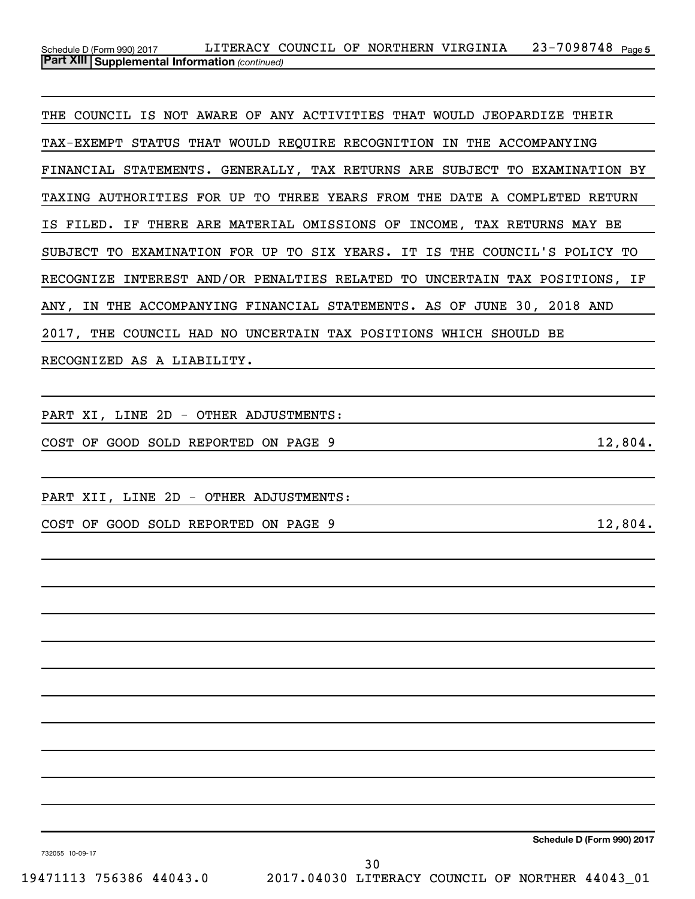#### 23-7098748 Page 5 *(continued)* **Part XIII Supplemental Information**  Schedule D (Form 990) 2017 LITERACY COUNCIL OF NORTHERN VIRGINIA 23-7098748 Page

THE COUNCIL IS NOT AWARE OF ANY ACTIVITIES THAT WOULD JEOPARDIZE THEIR TAX-EXEMPT STATUS THAT WOULD REQUIRE RECOGNITION IN THE ACCOMPANYING FINANCIAL STATEMENTS. GENERALLY, TAX RETURNS ARE SUBJECT TO EXAMINATION BY TAXING AUTHORITIES FOR UP TO THREE YEARS FROM THE DATE A COMPLETED RETURN IS FILED. IF THERE ARE MATERIAL OMISSIONS OF INCOME, TAX RETURNS MAY BE SUBJECT TO EXAMINATION FOR UP TO SIX YEARS. IT IS THE COUNCIL'S POLICY TO RECOGNIZE INTEREST AND/OR PENALTIES RELATED TO UNCERTAIN TAX POSITIONS, IF ANY, IN THE ACCOMPANYING FINANCIAL STATEMENTS. AS OF JUNE 30, 2018 AND 2017, THE COUNCIL HAD NO UNCERTAIN TAX POSITIONS WHICH SHOULD BE RECOGNIZED AS A LIABILITY.

PART XI, LINE 2D - OTHER ADJUSTMENTS:

COST OF GOOD SOLD REPORTED ON PAGE  $9$  12,804.

PART XII, LINE 2D - OTHER ADJUSTMENTS:

COST OF GOOD SOLD REPORTED ON PAGE  $9$  12,804.

**Schedule D (Form 990) 2017**

732055 10-09-17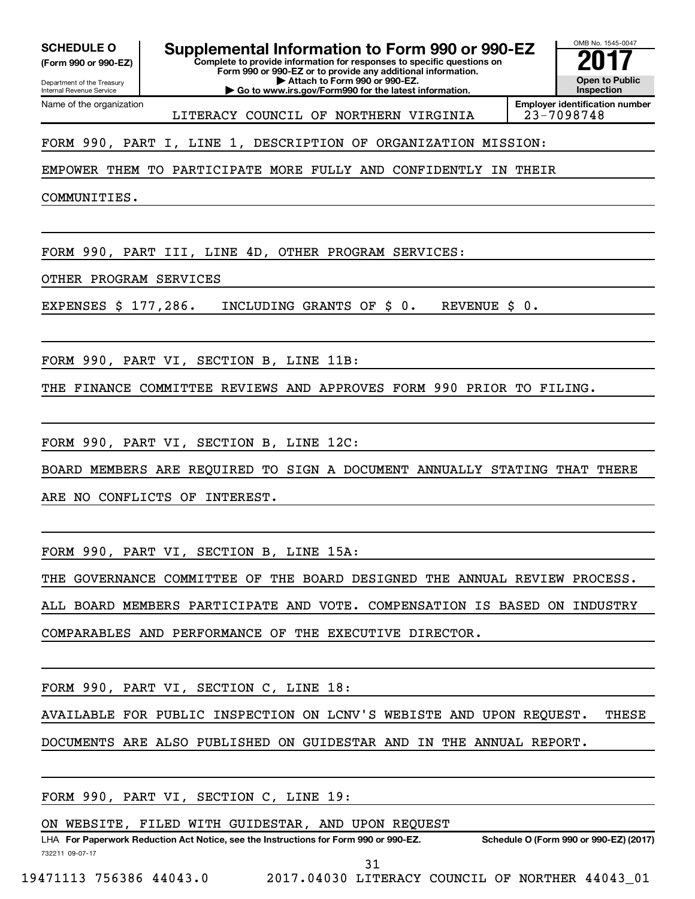**(Form 990 or 990-EZ)**

**Complete to provide information for responses to specific questions on SCHEDULE O Supplemental Information to Form 990 or 990-EZ 2017**<br>(Form 990 or 990-EZ) Complete to provide information for responses to specific questions on

Department of the Treasury Internal Revenue Service Name of the organization **Form 990 or 990-EZ or to provide any additional information. | Attach to Form 990 or 990-EZ. | Go to www.irs.gov/Form990 for the latest information.**

OMB No. 1545-0047 **Open to Public Inspection**

**Employer identification number** LITERACY COUNCIL OF NORTHERN VIRGINIA | 23-7098748

FORM 990, PART I, LINE 1, DESCRIPTION OF ORGANIZATION MISSION:

EMPOWER THEM TO PARTICIPATE MORE FULLY AND CONFIDENTLY IN THEIR

COMMUNITIES.

FORM 990, PART III, LINE 4D, OTHER PROGRAM SERVICES:

OTHER PROGRAM SERVICES

EXPENSES \$ 177,286. INCLUDING GRANTS OF \$ 0. REVENUE \$ 0.

FORM 990, PART VI, SECTION B, LINE 11B:

THE FINANCE COMMITTEE REVIEWS AND APPROVES FORM 990 PRIOR TO FILING.

FORM 990, PART VI, SECTION B, LINE 12C:

BOARD MEMBERS ARE REQUIRED TO SIGN A DOCUMENT ANNUALLY STATING THAT THERE

ARE NO CONFLICTS OF INTEREST.

FORM 990, PART VI, SECTION B, LINE 15A:

THE GOVERNANCE COMMITTEE OF THE BOARD DESIGNED THE ANNUAL REVIEW PROCESS.

ALL BOARD MEMBERS PARTICIPATE AND VOTE. COMPENSATION IS BASED ON INDUSTRY

COMPARABLES AND PERFORMANCE OF THE EXECUTIVE DIRECTOR.

FORM 990, PART VI, SECTION C, LINE 18:

AVAILABLE FOR PUBLIC INSPECTION ON LCNV'S WEBISTE AND UPON REQUEST. THESE

DOCUMENTS ARE ALSO PUBLISHED ON GUIDESTAR AND IN THE ANNUAL REPORT.

FORM 990, PART VI, SECTION C, LINE 19:

ON WEBSITE, FILED WITH GUIDESTAR, AND UPON REQUEST

732211 09-07-17 LHA For Paperwork Reduction Act Notice, see the Instructions for Form 990 or 990-EZ. Schedule O (Form 990 or 990-EZ) (2017) 31

19471113 756386 44043.0 2017.04030 LITERACY COUNCIL OF NORTHER 44043\_01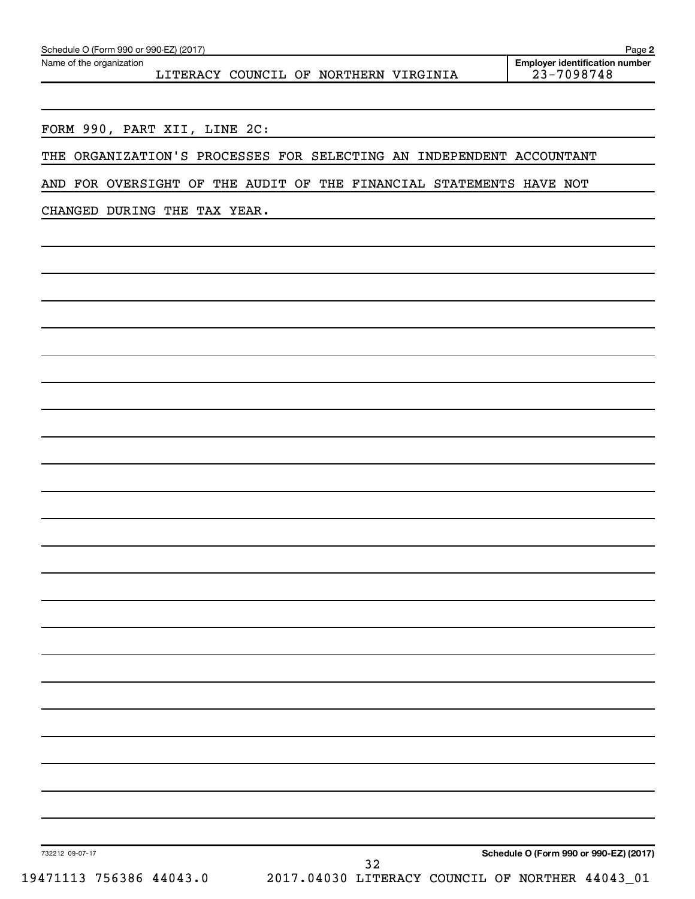Name of the organization

LITERACY COUNCIL OF NORTHERN VIRGINIA

FORM 990, PART XII, LINE 2C:

THE ORGANIZATION'S PROCESSES FOR SELECTING AN INDEPENDENT ACCOUNTANT

AND FOR OVERSIGHT OF THE AUDIT OF THE FINANCIAL STATEMENTS HAVE NOT

CHANGED DURING THE TAX YEAR.

**Schedule O (Form 990 or 990-EZ) (2017)**

732212 09-07-17

19471113 756386 44043.0 2017.04030 LITERACY COUNCIL OF NORTHER 44043\_01 32